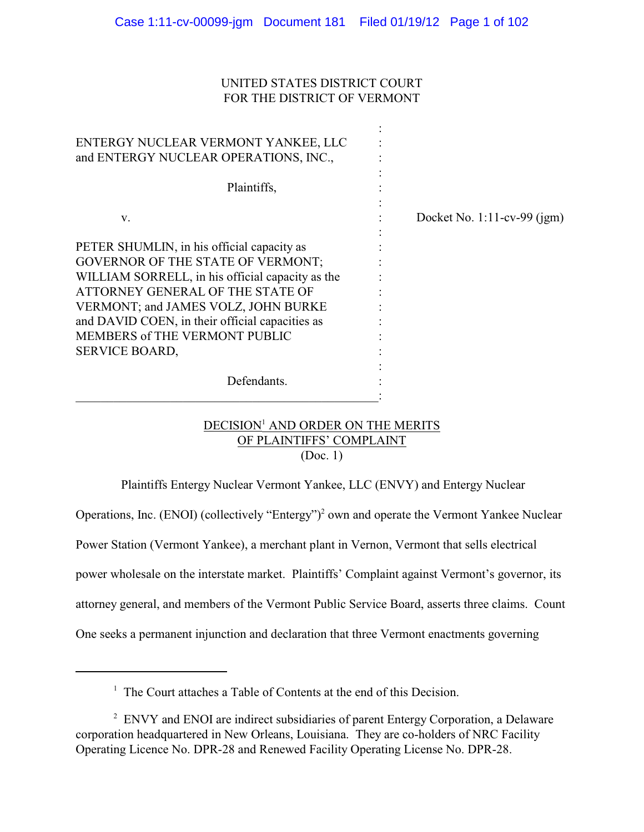# UNITED STATES DISTRICT COURT FOR THE DISTRICT OF VERMONT

| ENTERGY NUCLEAR VERMONT YANKEE, LLC<br>and ENTERGY NUCLEAR OPERATIONS, INC.,                                                                                                                                                                                                                                                       |                                |
|------------------------------------------------------------------------------------------------------------------------------------------------------------------------------------------------------------------------------------------------------------------------------------------------------------------------------------|--------------------------------|
| Plaintiffs,                                                                                                                                                                                                                                                                                                                        |                                |
| V.                                                                                                                                                                                                                                                                                                                                 | Docket No. $1:11$ -cv-99 (jgm) |
| PETER SHUMLIN, in his official capacity as<br>GOVERNOR OF THE STATE OF VERMONT;<br>WILLIAM SORRELL, in his official capacity as the<br>ATTORNEY GENERAL OF THE STATE OF<br>VERMONT; and JAMES VOLZ, JOHN BURKE<br>and DAVID COEN, in their official capacities as<br><b>MEMBERS of THE VERMONT PUBLIC</b><br><b>SERVICE BOARD,</b> |                                |
| Defendants.                                                                                                                                                                                                                                                                                                                        |                                |

# DECISION<sup>1</sup> AND ORDER ON THE MERITS OF PLAINTIFFS' COMPLAINT (Doc. 1)

Plaintiffs Entergy Nuclear Vermont Yankee, LLC (ENVY) and Entergy Nuclear

Operations, Inc. (ENOI) (collectively "Entergy")<sup>2</sup> own and operate the Vermont Yankee Nuclear

Power Station (Vermont Yankee), a merchant plant in Vernon, Vermont that sells electrical

power wholesale on the interstate market. Plaintiffs' Complaint against Vermont's governor, its

attorney general, and members of the Vermont Public Service Board, asserts three claims. Count

One seeks a permanent injunction and declaration that three Vermont enactments governing

 $<sup>1</sup>$  The Court attaches a Table of Contents at the end of this Decision.</sup>

<sup>&</sup>lt;sup>2</sup> ENVY and ENOI are indirect subsidiaries of parent Entergy Corporation, a Delaware corporation headquartered in New Orleans, Louisiana. They are co-holders of NRC Facility Operating Licence No. DPR-28 and Renewed Facility Operating License No. DPR-28.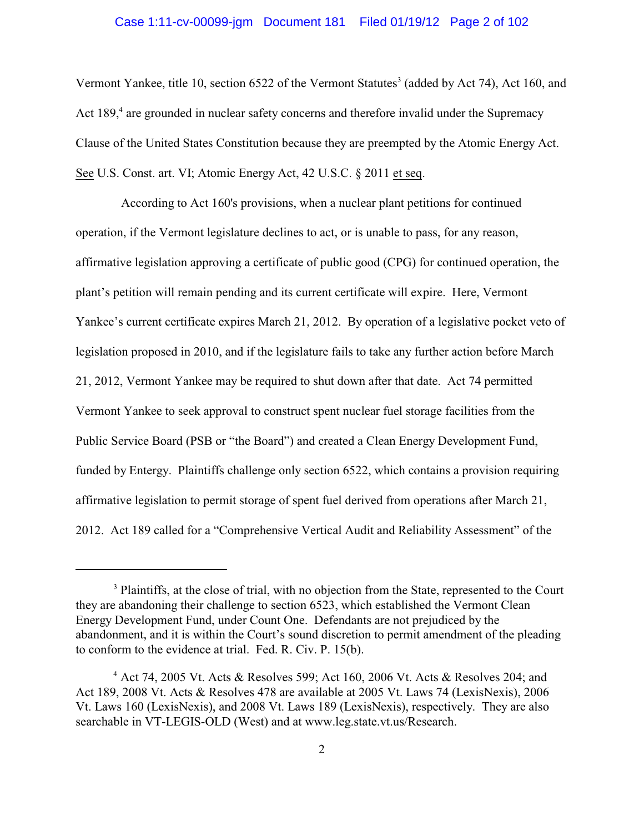#### Case 1:11-cv-00099-jgm Document 181 Filed 01/19/12 Page 2 of 102

Vermont Yankee, title 10, section 6522 of the Vermont Statutes<sup>3</sup> (added by Act 74), Act 160, and Act 189,<sup>4</sup> are grounded in nuclear safety concerns and therefore invalid under the Supremacy Clause of the United States Constitution because they are preempted by the Atomic Energy Act. See U.S. Const. art. VI; Atomic Energy Act, 42 U.S.C. § 2011 et seq.

According to Act 160's provisions, when a nuclear plant petitions for continued operation, if the Vermont legislature declines to act, or is unable to pass, for any reason, affirmative legislation approving a certificate of public good (CPG) for continued operation, the plant's petition will remain pending and its current certificate will expire. Here, Vermont Yankee's current certificate expires March 21, 2012. By operation of a legislative pocket veto of legislation proposed in 2010, and if the legislature fails to take any further action before March 21, 2012, Vermont Yankee may be required to shut down after that date. Act 74 permitted Vermont Yankee to seek approval to construct spent nuclear fuel storage facilities from the Public Service Board (PSB or "the Board") and created a Clean Energy Development Fund, funded by Entergy. Plaintiffs challenge only section 6522, which contains a provision requiring affirmative legislation to permit storage of spent fuel derived from operations after March 21, 2012. Act 189 called for a "Comprehensive Vertical Audit and Reliability Assessment" of the

<sup>&</sup>lt;sup>3</sup> Plaintiffs, at the close of trial, with no objection from the State, represented to the Court they are abandoning their challenge to section 6523, which established the Vermont Clean Energy Development Fund, under Count One. Defendants are not prejudiced by the abandonment, and it is within the Court's sound discretion to permit amendment of the pleading to conform to the evidence at trial. Fed. R. Civ. P. 15(b).

 $4$  Act 74, 2005 Vt. Acts & Resolves 599; Act 160, 2006 Vt. Acts & Resolves 204; and Act 189, 2008 Vt. Acts & Resolves 478 are available at 2005 Vt. Laws 74 (LexisNexis), 2006 Vt. Laws 160 (LexisNexis), and 2008 Vt. Laws 189 (LexisNexis), respectively. They are also searchable in VT-LEGIS-OLD (West) and at www.leg.state.vt.us/Research.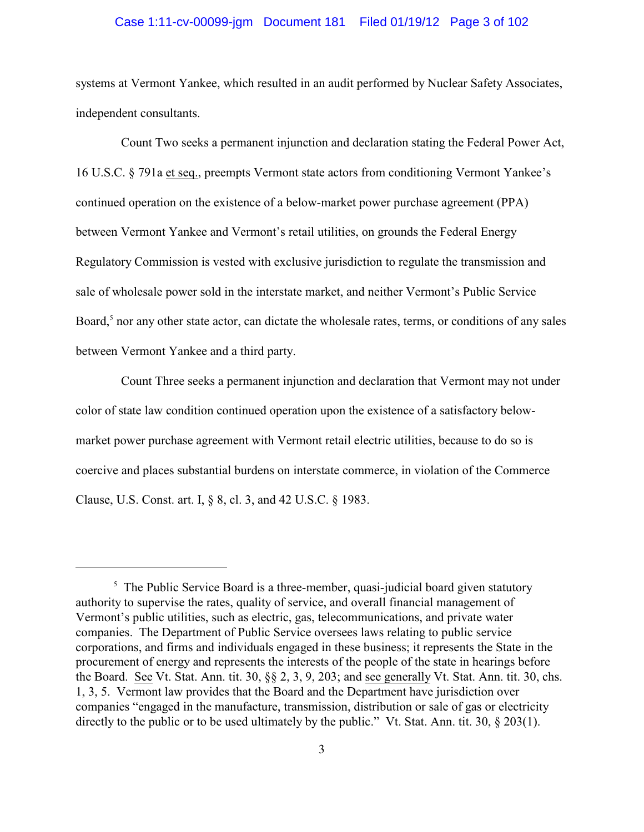#### Case 1:11-cv-00099-jgm Document 181 Filed 01/19/12 Page 3 of 102

systems at Vermont Yankee, which resulted in an audit performed by Nuclear Safety Associates, independent consultants.

Count Two seeks a permanent injunction and declaration stating the Federal Power Act, 16 U.S.C. § 791a et seq., preempts Vermont state actors from conditioning Vermont Yankee's continued operation on the existence of a below-market power purchase agreement (PPA) between Vermont Yankee and Vermont's retail utilities, on grounds the Federal Energy Regulatory Commission is vested with exclusive jurisdiction to regulate the transmission and sale of wholesale power sold in the interstate market, and neither Vermont's Public Service Board, $<sup>5</sup>$  nor any other state actor, can dictate the wholesale rates, terms, or conditions of any sales</sup> between Vermont Yankee and a third party.

Count Three seeks a permanent injunction and declaration that Vermont may not under color of state law condition continued operation upon the existence of a satisfactory belowmarket power purchase agreement with Vermont retail electric utilities, because to do so is coercive and places substantial burdens on interstate commerce, in violation of the Commerce Clause, U.S. Const. art. I, § 8, cl. 3, and 42 U.S.C. § 1983.

 $\frac{5}{5}$  The Public Service Board is a three-member, quasi-judicial board given statutory authority to supervise the rates, quality of service, and overall financial management of Vermont's public utilities, such as electric, gas, telecommunications, and private water companies. The Department of Public Service oversees laws relating to public service corporations, and firms and individuals engaged in these business; it represents the State in the procurement of energy and represents the interests of the people of the state in hearings before the Board. See Vt. Stat. Ann. tit. 30, §§ 2, 3, 9, 203; and see generally Vt. Stat. Ann. tit. 30, chs. 1, 3, 5. Vermont law provides that the Board and the Department have jurisdiction over companies "engaged in the manufacture, transmission, distribution or sale of gas or electricity directly to the public or to be used ultimately by the public." Vt. Stat. Ann. tit. 30, § 203(1).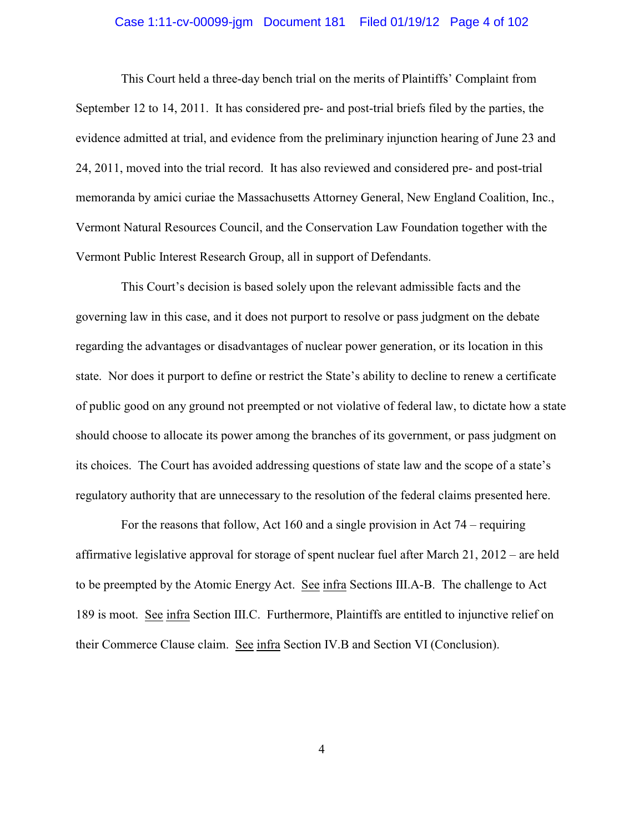#### Case 1:11-cv-00099-jgm Document 181 Filed 01/19/12 Page 4 of 102

This Court held a three-day bench trial on the merits of Plaintiffs' Complaint from September 12 to 14, 2011. It has considered pre- and post-trial briefs filed by the parties, the evidence admitted at trial, and evidence from the preliminary injunction hearing of June 23 and 24, 2011, moved into the trial record. It has also reviewed and considered pre- and post-trial memoranda by amici curiae the Massachusetts Attorney General, New England Coalition, Inc., Vermont Natural Resources Council, and the Conservation Law Foundation together with the Vermont Public Interest Research Group, all in support of Defendants.

This Court's decision is based solely upon the relevant admissible facts and the governing law in this case, and it does not purport to resolve or pass judgment on the debate regarding the advantages or disadvantages of nuclear power generation, or its location in this state. Nor does it purport to define or restrict the State's ability to decline to renew a certificate of public good on any ground not preempted or not violative of federal law, to dictate how a state should choose to allocate its power among the branches of its government, or pass judgment on its choices. The Court has avoided addressing questions of state law and the scope of a state's regulatory authority that are unnecessary to the resolution of the federal claims presented here.

For the reasons that follow, Act 160 and a single provision in Act 74 – requiring affirmative legislative approval for storage of spent nuclear fuel after March 21, 2012 – are held to be preempted by the Atomic Energy Act. See infra Sections III.A-B.The challenge to Act 189 is moot. See infra Section III.C. Furthermore, Plaintiffs are entitled to injunctive relief on their Commerce Clause claim. See infra Section IV.B and Section VI (Conclusion).

4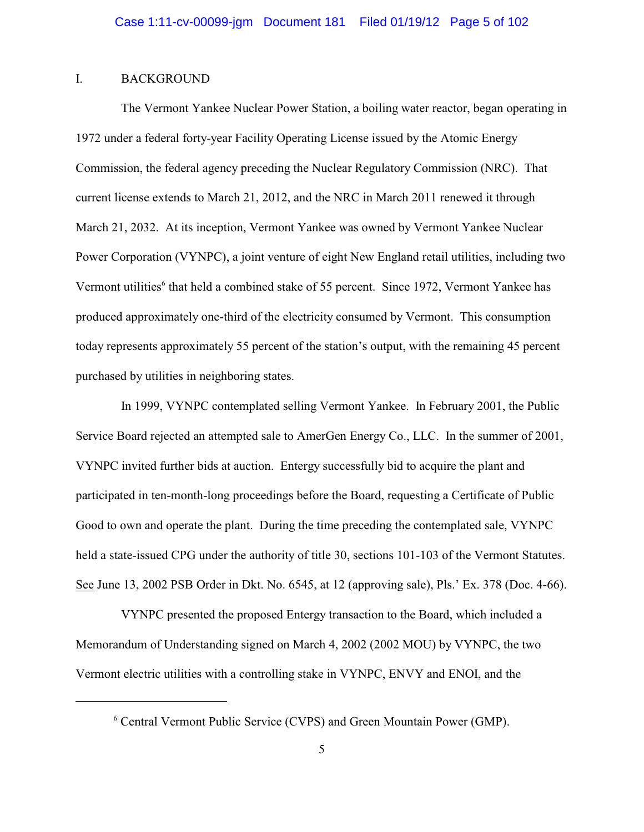#### I. BACKGROUND

The Vermont Yankee Nuclear Power Station, a boiling water reactor, began operating in 1972 under a federal forty-year Facility Operating License issued by the Atomic Energy Commission, the federal agency preceding the Nuclear Regulatory Commission (NRC). That current license extends to March 21, 2012, and the NRC in March 2011 renewed it through March 21, 2032. At its inception, Vermont Yankee was owned by Vermont Yankee Nuclear Power Corporation (VYNPC), a joint venture of eight New England retail utilities, including two Vermont utilities<sup>6</sup> that held a combined stake of 55 percent. Since 1972, Vermont Yankee has produced approximately one-third of the electricity consumed by Vermont. This consumption today represents approximately 55 percent of the station's output, with the remaining 45 percent purchased by utilities in neighboring states.

In 1999, VYNPC contemplated selling Vermont Yankee. In February 2001, the Public Service Board rejected an attempted sale to AmerGen Energy Co., LLC. In the summer of 2001, VYNPC invited further bids at auction. Entergy successfully bid to acquire the plant and participated in ten-month-long proceedings before the Board, requesting a Certificate of Public Good to own and operate the plant. During the time preceding the contemplated sale, VYNPC held a state-issued CPG under the authority of title 30, sections 101-103 of the Vermont Statutes. See June 13, 2002 PSB Order in Dkt. No. 6545, at 12 (approving sale), Pls.' Ex. 378 (Doc. 4-66).

VYNPC presented the proposed Entergy transaction to the Board, which included a Memorandum of Understanding signed on March 4, 2002 (2002 MOU) by VYNPC, the two Vermont electric utilities with a controlling stake in VYNPC, ENVY and ENOI, and the

<sup>&</sup>lt;sup>6</sup> Central Vermont Public Service (CVPS) and Green Mountain Power (GMP).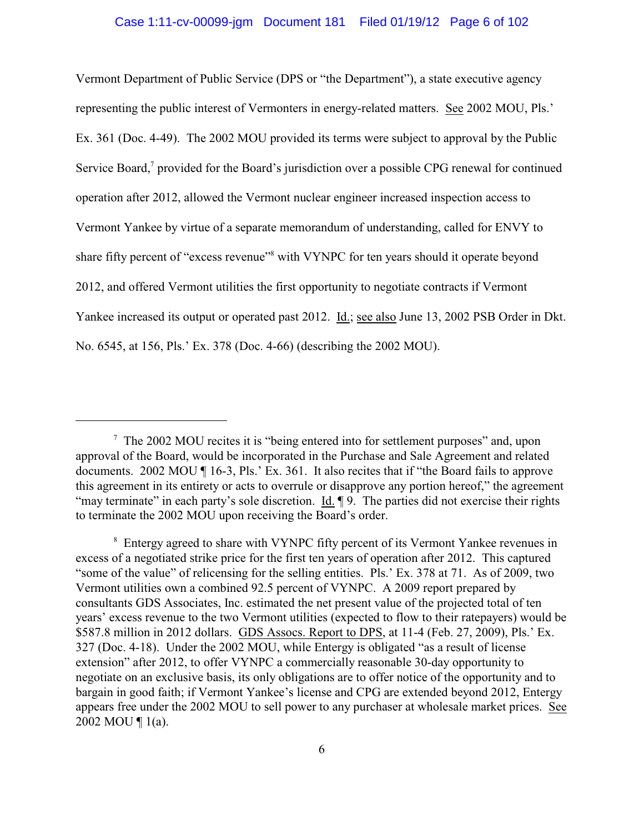Vermont Department of Public Service (DPS or "the Department"), a state executive agency representing the public interest of Vermonters in energy-related matters. See 2002 MOU, Pls.' Ex. 361 (Doc. 4-49). The 2002 MOU provided its terms were subject to approval by the Public Service Board,<sup>7</sup> provided for the Board's jurisdiction over a possible CPG renewal for continued operation after 2012, allowed the Vermont nuclear engineer increased inspection access to Vermont Yankee by virtue of a separate memorandum of understanding, called for ENVY to share fifty percent of "excess revenue"<sup>8</sup> with VYNPC for ten years should it operate beyond 2012, and offered Vermont utilities the first opportunity to negotiate contracts if Vermont Yankee increased its output or operated past 2012. Id.; see also June 13, 2002 PSB Order in Dkt. No. 6545, at 156, Pls.' Ex. 378 (Doc. 4-66) (describing the 2002 MOU).

 $\frac{7}{1}$  The 2002 MOU recites it is "being entered into for settlement purposes" and, upon approval of the Board, would be incorporated in the Purchase and Sale Agreement and related documents. 2002 MOU ¶ 16-3, Pls.' Ex. 361. It also recites that if "the Board fails to approve this agreement in its entirety or acts to overrule or disapprove any portion hereof," the agreement "may terminate" in each party's sole discretion. Id.  $\parallel$  9. The parties did not exercise their rights to terminate the 2002 MOU upon receiving the Board's order.

<sup>&</sup>lt;sup>8</sup> Entergy agreed to share with VYNPC fifty percent of its Vermont Yankee revenues in excess of a negotiated strike price for the first ten years of operation after 2012. This captured "some of the value" of relicensing for the selling entities. Pls.' Ex. 378 at 71. As of 2009, two Vermont utilities own a combined 92.5 percent of VYNPC. A 2009 report prepared by consultants GDS Associates, Inc. estimated the net present value of the projected total of ten years' excess revenue to the two Vermont utilities (expected to flow to their ratepayers) would be \$587.8 million in 2012 dollars. GDS Assocs. Report to DPS, at 11-4 (Feb. 27, 2009), Pls.' Ex. 327 (Doc. 4-18). Under the 2002 MOU, while Entergy is obligated "as a result of license extension" after 2012, to offer VYNPC a commercially reasonable 30-day opportunity to negotiate on an exclusive basis, its only obligations are to offer notice of the opportunity and to bargain in good faith; if Vermont Yankee's license and CPG are extended beyond 2012, Entergy appears free under the 2002 MOU to sell power to any purchaser at wholesale market prices. See 2002 MOU ¶ 1(a).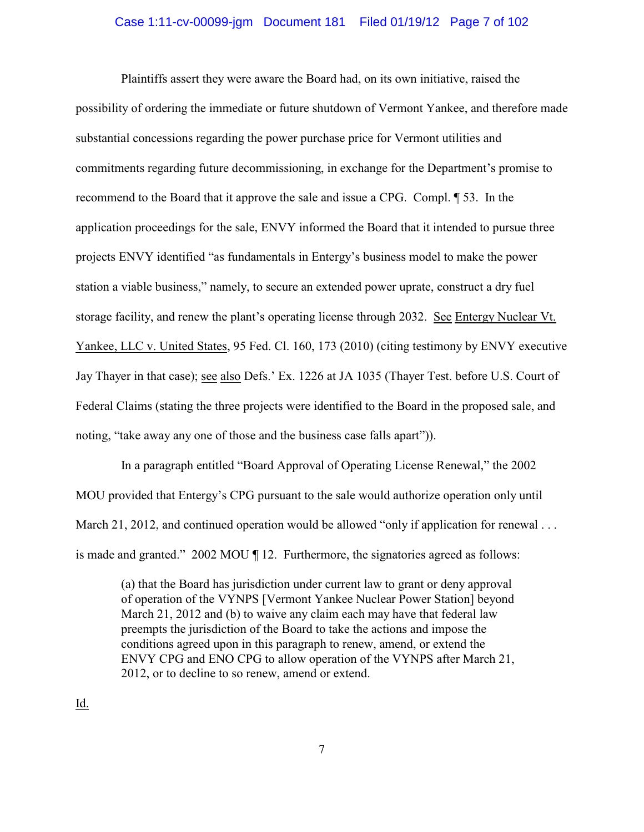#### Case 1:11-cv-00099-jgm Document 181 Filed 01/19/12 Page 7 of 102

Plaintiffs assert they were aware the Board had, on its own initiative, raised the possibility of ordering the immediate or future shutdown of Vermont Yankee, and therefore made substantial concessions regarding the power purchase price for Vermont utilities and commitments regarding future decommissioning, in exchange for the Department's promise to recommend to the Board that it approve the sale and issue a CPG. Compl. ¶ 53. In the application proceedings for the sale, ENVY informed the Board that it intended to pursue three projects ENVY identified "as fundamentals in Entergy's business model to make the power station a viable business," namely, to secure an extended power uprate, construct a dry fuel storage facility, and renew the plant's operating license through 2032. See Entergy Nuclear Vt. Yankee, LLC v. United States, 95 Fed. Cl. 160, 173 (2010) (citing testimony by ENVY executive Jay Thayer in that case); see also Defs.' Ex. 1226 at JA 1035 (Thayer Test. before U.S. Court of Federal Claims (stating the three projects were identified to the Board in the proposed sale, and noting, "take away any one of those and the business case falls apart")).

In a paragraph entitled "Board Approval of Operating License Renewal," the 2002 MOU provided that Entergy's CPG pursuant to the sale would authorize operation only until March 21, 2012, and continued operation would be allowed "only if application for renewal ... is made and granted." 2002 MOU ¶ 12. Furthermore, the signatories agreed as follows:

(a) that the Board has jurisdiction under current law to grant or deny approval of operation of the VYNPS [Vermont Yankee Nuclear Power Station] beyond March 21, 2012 and (b) to waive any claim each may have that federal law preempts the jurisdiction of the Board to take the actions and impose the conditions agreed upon in this paragraph to renew, amend, or extend the ENVY CPG and ENO CPG to allow operation of the VYNPS after March 21, 2012, or to decline to so renew, amend or extend.

<u>Id.</u>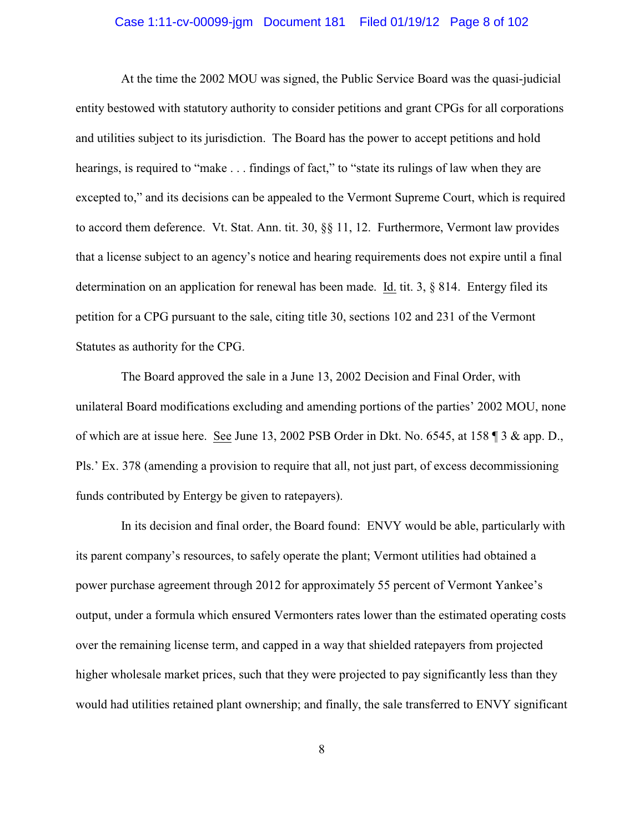#### Case 1:11-cv-00099-jgm Document 181 Filed 01/19/12 Page 8 of 102

At the time the 2002 MOU was signed, the Public Service Board was the quasi-judicial entity bestowed with statutory authority to consider petitions and grant CPGs for all corporations and utilities subject to its jurisdiction. The Board has the power to accept petitions and hold hearings, is required to "make . . . findings of fact," to "state its rulings of law when they are excepted to," and its decisions can be appealed to the Vermont Supreme Court, which is required to accord them deference. Vt. Stat. Ann. tit. 30, §§ 11, 12. Furthermore, Vermont law provides that a license subject to an agency's notice and hearing requirements does not expire until a final determination on an application for renewal has been made. Id. tit. 3, § 814. Entergy filed its petition for a CPG pursuant to the sale, citing title 30, sections 102 and 231 of the Vermont Statutes as authority for the CPG.

The Board approved the sale in a June 13, 2002 Decision and Final Order, with unilateral Board modifications excluding and amending portions of the parties' 2002 MOU, none of which are at issue here. See June 13, 2002 PSB Order in Dkt. No. 6545, at 158 ¶ 3 & app. D., Pls.' Ex. 378 (amending a provision to require that all, not just part, of excess decommissioning funds contributed by Entergy be given to ratepayers).

In its decision and final order, the Board found: ENVY would be able, particularly with its parent company's resources, to safely operate the plant; Vermont utilities had obtained a power purchase agreement through 2012 for approximately 55 percent of Vermont Yankee's output, under a formula which ensured Vermonters rates lower than the estimated operating costs over the remaining license term, and capped in a way that shielded ratepayers from projected higher wholesale market prices, such that they were projected to pay significantly less than they would had utilities retained plant ownership; and finally, the sale transferred to ENVY significant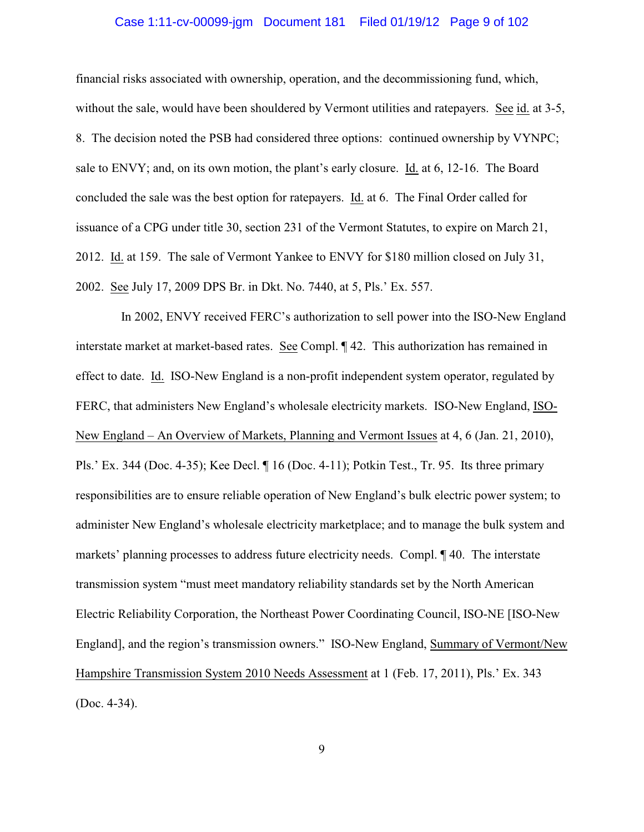#### Case 1:11-cv-00099-jgm Document 181 Filed 01/19/12 Page 9 of 102

financial risks associated with ownership, operation, and the decommissioning fund, which, without the sale, would have been shouldered by Vermont utilities and ratepayers. See id. at 3-5, 8. The decision noted the PSB had considered three options: continued ownership by VYNPC; sale to ENVY; and, on its own motion, the plant's early closure. Id. at 6, 12-16. The Board concluded the sale was the best option for ratepayers. Id. at 6. The Final Order called for issuance of a CPG under title 30, section 231 of the Vermont Statutes, to expire on March 21, 2012. Id. at 159. The sale of Vermont Yankee to ENVY for \$180 million closed on July 31, 2002. See July 17, 2009 DPS Br. in Dkt. No. 7440, at 5, Pls.' Ex. 557.

In 2002, ENVY received FERC's authorization to sell power into the ISO-New England interstate market at market-based rates. See Compl. ¶ 42. This authorization has remained in effect to date. Id. ISO-New England is a non-profit independent system operator, regulated by FERC, that administers New England's wholesale electricity markets. ISO-New England, ISO-New England – An Overview of Markets, Planning and Vermont Issues at 4, 6 (Jan. 21, 2010), Pls.' Ex. 344 (Doc. 4-35); Kee Decl. ¶ 16 (Doc. 4-11); Potkin Test., Tr. 95. Its three primary responsibilities are to ensure reliable operation of New England's bulk electric power system; to administer New England's wholesale electricity marketplace; and to manage the bulk system and markets' planning processes to address future electricity needs. Compl. ¶ 40. The interstate transmission system "must meet mandatory reliability standards set by the North American Electric Reliability Corporation, the Northeast Power Coordinating Council, ISO-NE [ISO-New England], and the region's transmission owners." ISO-New England, Summary of Vermont/New Hampshire Transmission System 2010 Needs Assessment at 1 (Feb. 17, 2011), Pls.' Ex. 343 (Doc. 4-34).

9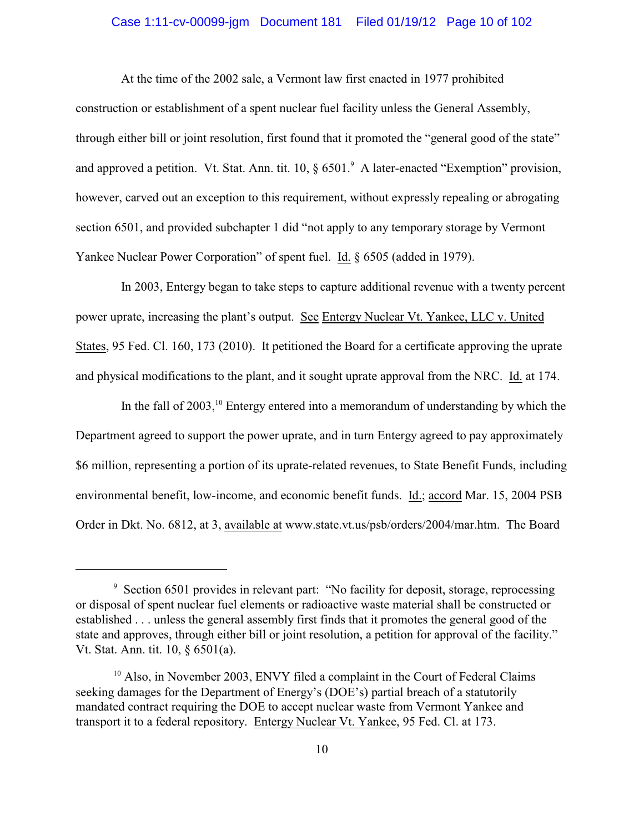# Case 1:11-cv-00099-jgm Document 181 Filed 01/19/12 Page 10 of 102

At the time of the 2002 sale, a Vermont law first enacted in 1977 prohibited construction or establishment of a spent nuclear fuel facility unless the General Assembly, through either bill or joint resolution, first found that it promoted the "general good of the state" and approved a petition. Vt. Stat. Ann. tit.  $10, \S 6501$ . A later-enacted "Exemption" provision, however, carved out an exception to this requirement, without expressly repealing or abrogating section 6501, and provided subchapter 1 did "not apply to any temporary storage by Vermont Yankee Nuclear Power Corporation" of spent fuel. Id. § 6505 (added in 1979).

In 2003, Entergy began to take steps to capture additional revenue with a twenty percent power uprate, increasing the plant's output. See Entergy Nuclear Vt. Yankee, LLC v. United States, 95 Fed. Cl. 160, 173 (2010). It petitioned the Board for a certificate approving the uprate and physical modifications to the plant, and it sought uprate approval from the NRC. Id. at 174.

In the fall of  $2003$ , <sup>10</sup> Entergy entered into a memorandum of understanding by which the Department agreed to support the power uprate, and in turn Entergy agreed to pay approximately \$6 million, representing a portion of its uprate-related revenues, to State Benefit Funds, including environmental benefit, low-income, and economic benefit funds. Id.; accord Mar. 15, 2004 PSB Order in Dkt. No. 6812, at 3, available at www.state.vt.us/psb/orders/2004/mar.htm. The Board

 $\degree$  Section 6501 provides in relevant part: "No facility for deposit, storage, reprocessing or disposal of spent nuclear fuel elements or radioactive waste material shall be constructed or established . . . unless the general assembly first finds that it promotes the general good of the state and approves, through either bill or joint resolution, a petition for approval of the facility." Vt. Stat. Ann. tit. 10, § 6501(a).

 $10$  Also, in November 2003, ENVY filed a complaint in the Court of Federal Claims seeking damages for the Department of Energy's (DOE's) partial breach of a statutorily mandated contract requiring the DOE to accept nuclear waste from Vermont Yankee and transport it to a federal repository. Entergy Nuclear Vt. Yankee, 95 Fed. Cl. at 173.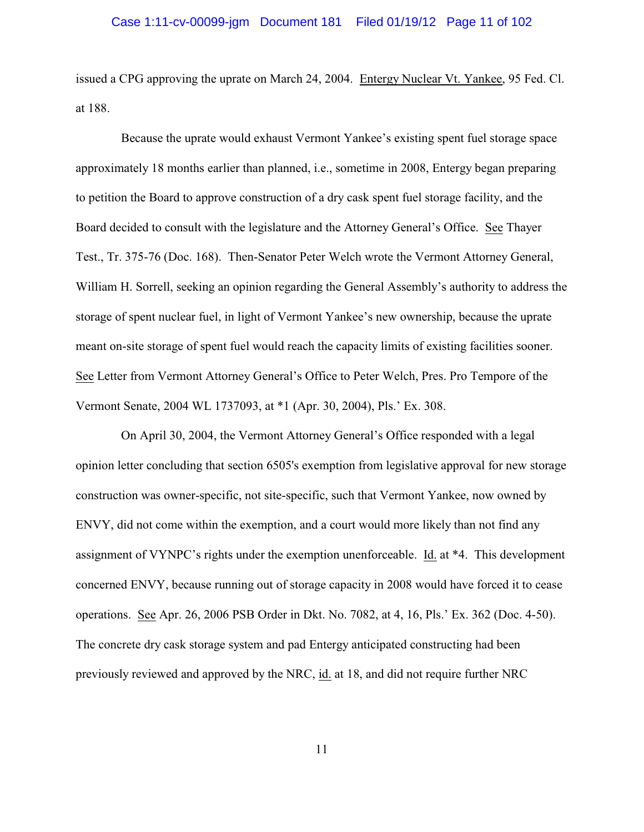issued a CPG approving the uprate on March 24, 2004. Entergy Nuclear Vt. Yankee, 95 Fed. Cl. at 188.

Because the uprate would exhaust Vermont Yankee's existing spent fuel storage space approximately 18 months earlier than planned, i.e., sometime in 2008, Entergy began preparing to petition the Board to approve construction of a dry cask spent fuel storage facility, and the Board decided to consult with the legislature and the Attorney General's Office. See Thayer Test., Tr. 375-76 (Doc. 168). Then-Senator Peter Welch wrote the Vermont Attorney General, William H. Sorrell, seeking an opinion regarding the General Assembly's authority to address the storage of spent nuclear fuel, in light of Vermont Yankee's new ownership, because the uprate meant on-site storage of spent fuel would reach the capacity limits of existing facilities sooner. See Letter from Vermont Attorney General's Office to Peter Welch, Pres. Pro Tempore of the Vermont Senate, 2004 WL 1737093, at \*1 (Apr. 30, 2004), Pls.' Ex. 308.

On April 30, 2004, the Vermont Attorney General's Office responded with a legal opinion letter concluding that section 6505's exemption from legislative approval for new storage construction was owner-specific, not site-specific, such that Vermont Yankee, now owned by ENVY, did not come within the exemption, and a court would more likely than not find any assignment of VYNPC's rights under the exemption unenforceable. Id. at \*4. This development concerned ENVY, because running out of storage capacity in 2008 would have forced it to cease operations. See Apr. 26, 2006 PSB Order in Dkt. No. 7082, at 4, 16, Pls.' Ex. 362 (Doc. 4-50). The concrete dry cask storage system and pad Entergy anticipated constructing had been previously reviewed and approved by the NRC, id. at 18, and did not require further NRC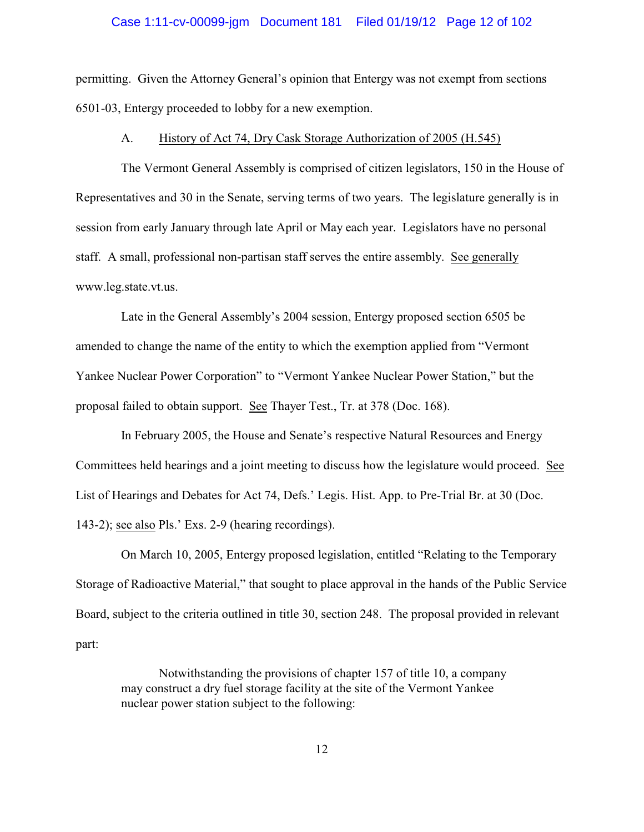#### Case 1:11-cv-00099-jgm Document 181 Filed 01/19/12 Page 12 of 102

permitting. Given the Attorney General's opinion that Entergy was not exempt from sections 6501-03, Entergy proceeded to lobby for a new exemption.

#### A. History of Act 74, Dry Cask Storage Authorization of 2005 (H.545)

The Vermont General Assembly is comprised of citizen legislators, 150 in the House of Representatives and 30 in the Senate, serving terms of two years. The legislature generally is in session from early January through late April or May each year. Legislators have no personal staff. A small, professional non-partisan staff serves the entire assembly. See generally www.leg.state.vt.us.

Late in the General Assembly's 2004 session, Entergy proposed section 6505 be amended to change the name of the entity to which the exemption applied from "Vermont Yankee Nuclear Power Corporation" to "Vermont Yankee Nuclear Power Station," but the proposal failed to obtain support. See Thayer Test., Tr. at 378 (Doc. 168).

In February 2005, the House and Senate's respective Natural Resources and Energy Committees held hearings and a joint meeting to discuss how the legislature would proceed. See List of Hearings and Debates for Act 74, Defs.' Legis. Hist. App. to Pre-Trial Br. at 30 (Doc. 143-2); see also Pls.' Exs. 2-9 (hearing recordings).

On March 10, 2005, Entergy proposed legislation, entitled "Relating to the Temporary Storage of Radioactive Material," that sought to place approval in the hands of the Public Service Board, subject to the criteria outlined in title 30, section 248. The proposal provided in relevant part:

Notwithstanding the provisions of chapter 157 of title 10, a company may construct a dry fuel storage facility at the site of the Vermont Yankee nuclear power station subject to the following: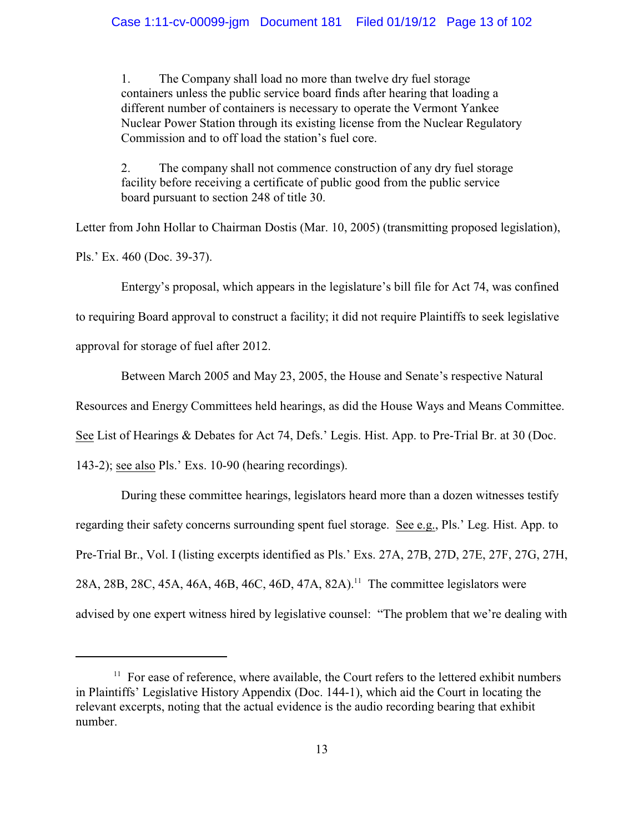1. The Company shall load no more than twelve dry fuel storage containers unless the public service board finds after hearing that loading a different number of containers is necessary to operate the Vermont Yankee Nuclear Power Station through its existing license from the Nuclear Regulatory Commission and to off load the station's fuel core.

2. The company shall not commence construction of any dry fuel storage facility before receiving a certificate of public good from the public service board pursuant to section 248 of title 30.

Letter from John Hollar to Chairman Dostis (Mar. 10, 2005) (transmitting proposed legislation),

Pls.' Ex. 460 (Doc. 39-37).

Entergy's proposal, which appears in the legislature's bill file for Act 74, was confined

to requiring Board approval to construct a facility; it did not require Plaintiffs to seek legislative

approval for storage of fuel after 2012.

Between March 2005 and May 23, 2005, the House and Senate's respective Natural

Resources and Energy Committees held hearings, as did the House Ways and Means Committee.

See List of Hearings & Debates for Act 74, Defs.' Legis. Hist. App. to Pre-Trial Br. at 30 (Doc.

143-2); see also Pls.' Exs. 10-90 (hearing recordings).

During these committee hearings, legislators heard more than a dozen witnesses testify regarding their safety concerns surrounding spent fuel storage. See e.g., Pls.' Leg. Hist. App. to Pre-Trial Br., Vol. I (listing excerpts identified as Pls.' Exs. 27A, 27B, 27D, 27E, 27F, 27G, 27H, 28A, 28B, 28C, 45A, 46A, 46B, 46C, 46D, 47A, 82A).<sup>11</sup> The committee legislators were advised by one expert witness hired by legislative counsel: "The problem that we're dealing with

 $11$  For ease of reference, where available, the Court refers to the lettered exhibit numbers in Plaintiffs' Legislative History Appendix (Doc. 144-1), which aid the Court in locating the relevant excerpts, noting that the actual evidence is the audio recording bearing that exhibit number.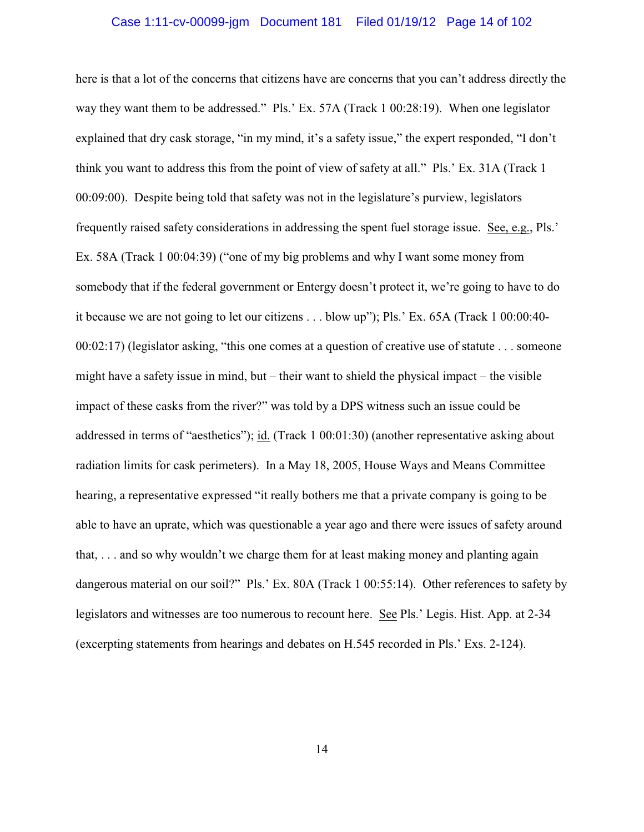# Case 1:11-cv-00099-jgm Document 181 Filed 01/19/12 Page 14 of 102

here is that a lot of the concerns that citizens have are concerns that you can't address directly the way they want them to be addressed." Pls.' Ex. 57A (Track 1 00:28:19). When one legislator explained that dry cask storage, "in my mind, it's a safety issue," the expert responded, "I don't think you want to address this from the point of view of safety at all." Pls.' Ex. 31A (Track 1 00:09:00). Despite being told that safety was not in the legislature's purview, legislators frequently raised safety considerations in addressing the spent fuel storage issue. See, e.g., Pls.' Ex. 58A (Track 1 00:04:39) ("one of my big problems and why I want some money from somebody that if the federal government or Entergy doesn't protect it, we're going to have to do it because we are not going to let our citizens . . . blow up"); Pls.' Ex. 65A (Track 1 00:00:40- 00:02:17) (legislator asking, "this one comes at a question of creative use of statute . . . someone might have a safety issue in mind, but – their want to shield the physical impact – the visible impact of these casks from the river?" was told by a DPS witness such an issue could be addressed in terms of "aesthetics"); id. (Track 1 00:01:30) (another representative asking about radiation limits for cask perimeters). In a May 18, 2005, House Ways and Means Committee hearing, a representative expressed "it really bothers me that a private company is going to be able to have an uprate, which was questionable a year ago and there were issues of safety around that, . . . and so why wouldn't we charge them for at least making money and planting again dangerous material on our soil?" Pls.' Ex. 80A (Track 1 00:55:14). Other references to safety by legislators and witnesses are too numerous to recount here. See Pls.' Legis. Hist. App. at 2-34 (excerpting statements from hearings and debates on H.545 recorded in Pls.' Exs. 2-124).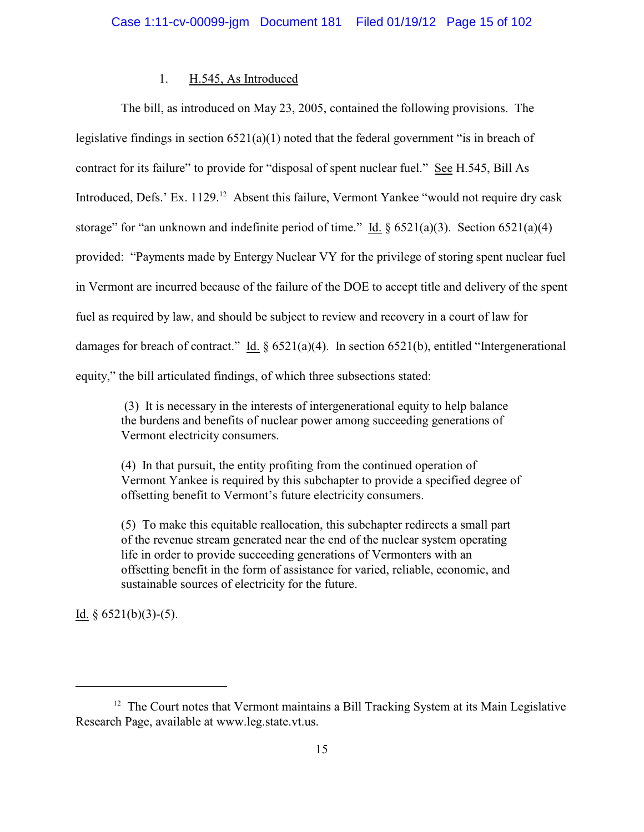# 1. H.545, As Introduced

The bill, as introduced on May 23, 2005, contained the following provisions. The legislative findings in section 6521(a)(1) noted that the federal government "is in breach of contract for its failure" to provide for "disposal of spent nuclear fuel." See H.545, Bill As Introduced, Defs.' Ex. 1129.<sup>12</sup> Absent this failure, Vermont Yankee "would not require dry cask storage" for "an unknown and indefinite period of time." Id.  $\S 6521(a)(3)$ . Section 6521(a)(4) provided: "Payments made by Entergy Nuclear VY for the privilege of storing spent nuclear fuel in Vermont are incurred because of the failure of the DOE to accept title and delivery of the spent fuel as required by law, and should be subject to review and recovery in a court of law for damages for breach of contract." Id. § 6521(a)(4). In section 6521(b), entitled "Intergenerational equity," the bill articulated findings, of which three subsections stated:

 (3) It is necessary in the interests of intergenerational equity to help balance the burdens and benefits of nuclear power among succeeding generations of Vermont electricity consumers.

(4) In that pursuit, the entity profiting from the continued operation of Vermont Yankee is required by this subchapter to provide a specified degree of offsetting benefit to Vermont's future electricity consumers.

(5) To make this equitable reallocation, this subchapter redirects a small part of the revenue stream generated near the end of the nuclear system operating life in order to provide succeeding generations of Vermonters with an offsetting benefit in the form of assistance for varied, reliable, economic, and sustainable sources of electricity for the future.

Id.  $§$  6521(b)(3)-(5).

 $12$  The Court notes that Vermont maintains a Bill Tracking System at its Main Legislative Research Page, available at www.leg.state.vt.us.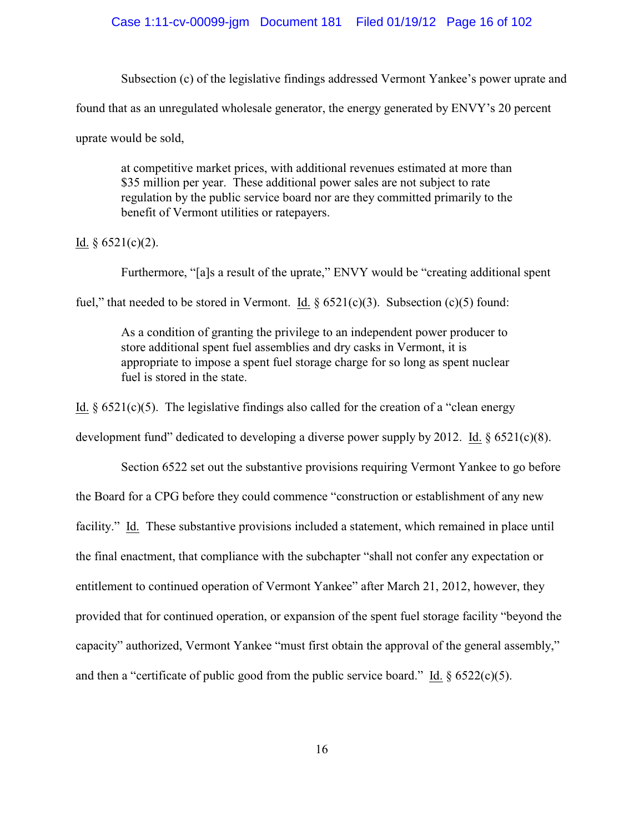Subsection (c) of the legislative findings addressed Vermont Yankee's power uprate and

found that as an unregulated wholesale generator, the energy generated by ENVY's 20 percent

uprate would be sold,

at competitive market prices, with additional revenues estimated at more than \$35 million per year. These additional power sales are not subject to rate regulation by the public service board nor are they committed primarily to the benefit of Vermont utilities or ratepayers.

Id.  $§$  6521(c)(2).

Furthermore, "[a]s a result of the uprate," ENVY would be "creating additional spent

fuel," that needed to be stored in Vermont. Id.  $\S 6521(c)(3)$ . Subsection (c)(5) found:

As a condition of granting the privilege to an independent power producer to store additional spent fuel assemblies and dry casks in Vermont, it is appropriate to impose a spent fuel storage charge for so long as spent nuclear fuel is stored in the state.

Id.  $\S 6521(c)(5)$ . The legislative findings also called for the creation of a "clean energy

development fund" dedicated to developing a diverse power supply by 2012. Id.  $\S 6521(c)(8)$ .

Section 6522 set out the substantive provisions requiring Vermont Yankee to go before the Board for a CPG before they could commence "construction or establishment of any new facility." Id.These substantive provisions included a statement, which remained in place until the final enactment, that compliance with the subchapter "shall not confer any expectation or entitlement to continued operation of Vermont Yankee" after March 21, 2012, however, they provided that for continued operation, or expansion of the spent fuel storage facility "beyond the capacity" authorized, Vermont Yankee "must first obtain the approval of the general assembly," and then a "certificate of public good from the public service board." Id.  $\S 6522(c)(5)$ .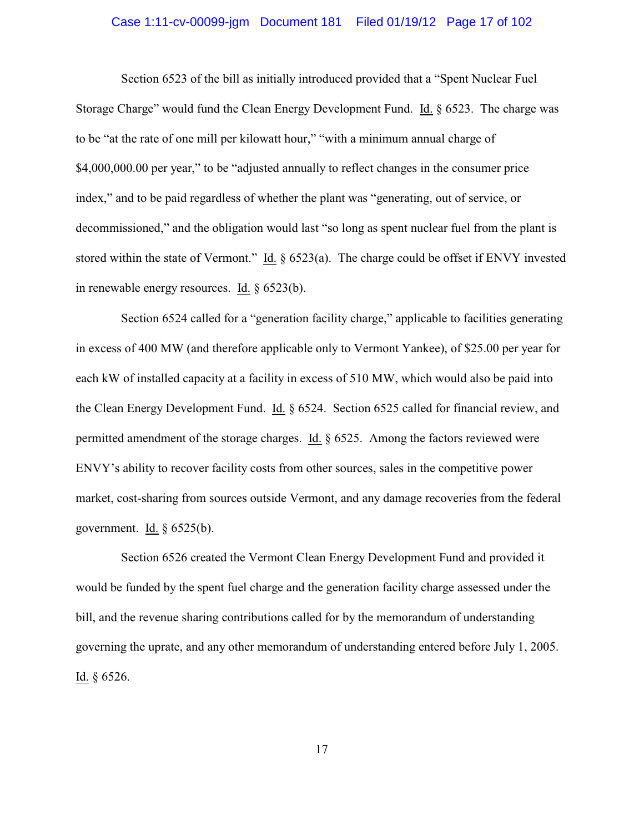# Case 1:11-cv-00099-jgm Document 181 Filed 01/19/12 Page 17 of 102

Section 6523 of the bill as initially introduced provided that a "Spent Nuclear Fuel Storage Charge" would fund the Clean Energy Development Fund. Id. § 6523. The charge was to be "at the rate of one mill per kilowatt hour," "with a minimum annual charge of \$4,000,000.00 per year," to be "adjusted annually to reflect changes in the consumer price index," and to be paid regardless of whether the plant was "generating, out of service, or decommissioned," and the obligation would last "so long as spent nuclear fuel from the plant is stored within the state of Vermont." Id. § 6523(a).The charge could be offset if ENVY invested in renewable energy resources. Id. § 6523(b).

Section 6524 called for a "generation facility charge," applicable to facilities generating in excess of 400 MW (and therefore applicable only to Vermont Yankee), of \$25.00 per year for each kW of installed capacity at a facility in excess of 510 MW, which would also be paid into the Clean Energy Development Fund.Id. § 6524. Section 6525 called for financial review, and permitted amendment of the storage charges. Id. § 6525. Among the factors reviewed were ENVY's ability to recover facility costs from other sources, sales in the competitive power market, cost-sharing from sources outside Vermont, and any damage recoveries from the federal government. Id.  $\S$  6525(b).

Section 6526 created the Vermont Clean Energy Development Fund and provided it would be funded by the spent fuel charge and the generation facility charge assessed under the bill, and the revenue sharing contributions called for by the memorandum of understanding governing the uprate, and any other memorandum of understanding entered before July 1, 2005. Id. § 6526.

17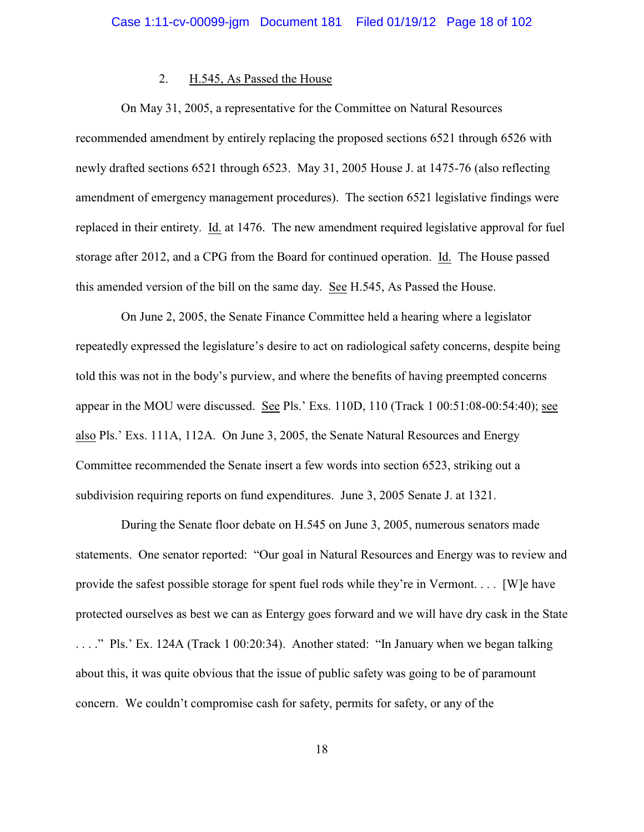#### 2. H.545, As Passed the House

On May 31, 2005, a representative for the Committee on Natural Resources recommended amendment by entirely replacing the proposed sections 6521 through 6526 with newly drafted sections 6521 through 6523. May 31, 2005 House J. at 1475-76 (also reflecting amendment of emergency management procedures). The section 6521 legislative findings were replaced in their entirety. Id. at 1476. The new amendment required legislative approval for fuel storage after 2012, and a CPG from the Board for continued operation. Id. The House passed this amended version of the bill on the same day. See H.545, As Passed the House.

On June 2, 2005, the Senate Finance Committee held a hearing where a legislator repeatedly expressed the legislature's desire to act on radiological safety concerns, despite being told this was not in the body's purview, and where the benefits of having preempted concerns appear in the MOU were discussed. See Pls.' Exs. 110D, 110 (Track 1 00:51:08-00:54:40); see also Pls.' Exs. 111A, 112A. On June 3, 2005, the Senate Natural Resources and Energy Committee recommended the Senate insert a few words into section 6523, striking out a subdivision requiring reports on fund expenditures. June 3, 2005 Senate J. at 1321.

During the Senate floor debate on H.545 on June 3, 2005, numerous senators made statements. One senator reported: "Our goal in Natural Resources and Energy was to review and provide the safest possible storage for spent fuel rods while they're in Vermont. . . . [W]e have protected ourselves as best we can as Entergy goes forward and we will have dry cask in the State . . . ." Pls.' Ex. 124A (Track 1 00:20:34). Another stated: "In January when we began talking about this, it was quite obvious that the issue of public safety was going to be of paramount concern. We couldn't compromise cash for safety, permits for safety, or any of the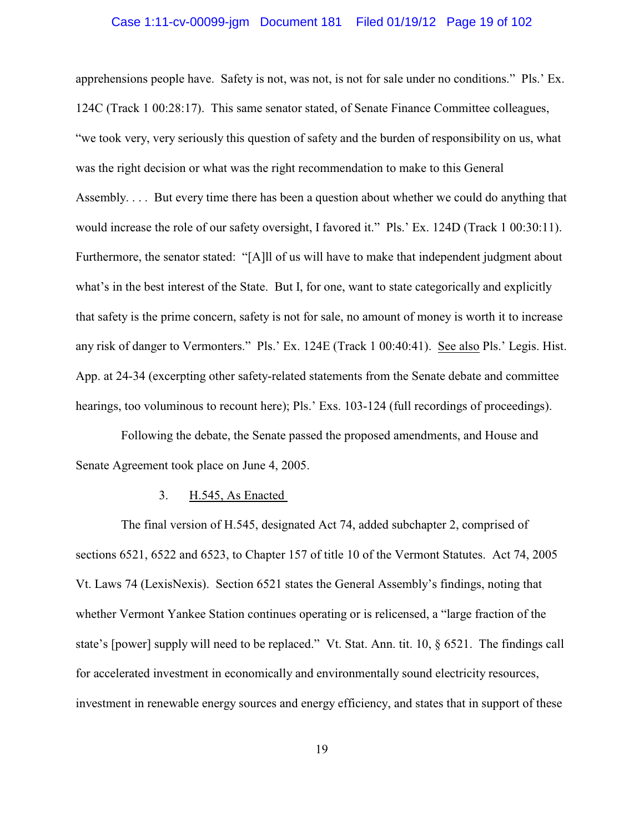# Case 1:11-cv-00099-jgm Document 181 Filed 01/19/12 Page 19 of 102

apprehensions people have. Safety is not, was not, is not for sale under no conditions." Pls.' Ex. 124C (Track 1 00:28:17). This same senator stated, of Senate Finance Committee colleagues, "we took very, very seriously this question of safety and the burden of responsibility on us, what was the right decision or what was the right recommendation to make to this General Assembly. . . . But every time there has been a question about whether we could do anything that would increase the role of our safety oversight, I favored it." Pls.' Ex. 124D (Track 1 00:30:11). Furthermore, the senator stated: "[A]ll of us will have to make that independent judgment about what's in the best interest of the State. But I, for one, want to state categorically and explicitly that safety is the prime concern, safety is not for sale, no amount of money is worth it to increase any risk of danger to Vermonters." Pls.' Ex. 124E (Track 1 00:40:41). See also Pls.' Legis. Hist. App. at 24-34 (excerpting other safety-related statements from the Senate debate and committee hearings, too voluminous to recount here); Pls.' Exs. 103-124 (full recordings of proceedings).

Following the debate, the Senate passed the proposed amendments, and House and Senate Agreement took place on June 4, 2005.

#### 3. H.545, As Enacted

The final version of H.545, designated Act 74, added subchapter 2, comprised of sections 6521, 6522 and 6523, to Chapter 157 of title 10 of the Vermont Statutes. Act 74, 2005 Vt. Laws 74 (LexisNexis). Section 6521 states the General Assembly's findings, noting that whether Vermont Yankee Station continues operating or is relicensed, a "large fraction of the state's [power] supply will need to be replaced." Vt. Stat. Ann. tit. 10, § 6521. The findings call for accelerated investment in economically and environmentally sound electricity resources, investment in renewable energy sources and energy efficiency, and states that in support of these

19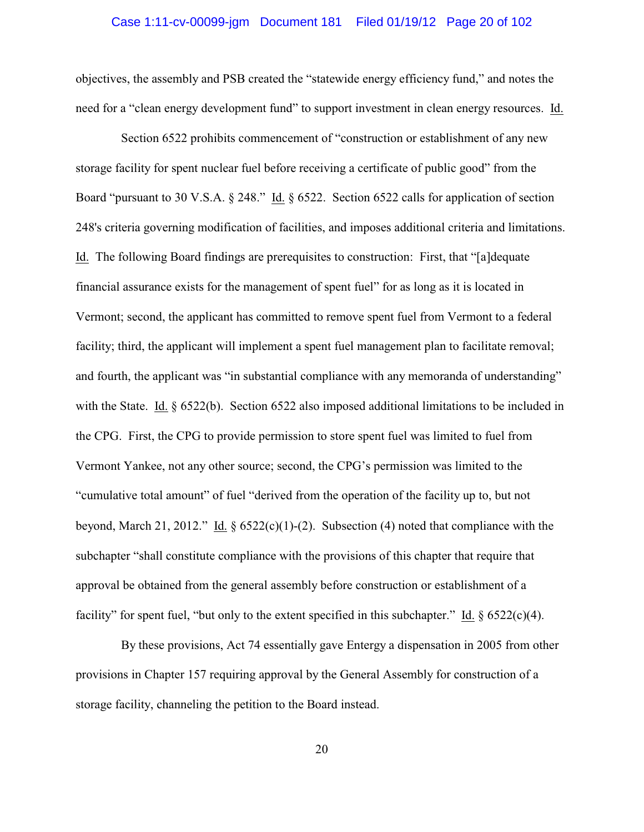# Case 1:11-cv-00099-jgm Document 181 Filed 01/19/12 Page 20 of 102

objectives, the assembly and PSB created the "statewide energy efficiency fund," and notes the need for a "clean energy development fund" to support investment in clean energy resources. Id.

Section 6522 prohibits commencement of "construction or establishment of any new storage facility for spent nuclear fuel before receiving a certificate of public good" from the Board "pursuant to 30 V.S.A. § 248." Id. § 6522. Section 6522 calls for application of section 248's criteria governing modification of facilities, and imposes additional criteria and limitations. Id. The following Board findings are prerequisites to construction: First, that "[a]dequate financial assurance exists for the management of spent fuel" for as long as it is located in Vermont; second, the applicant has committed to remove spent fuel from Vermont to a federal facility; third, the applicant will implement a spent fuel management plan to facilitate removal; and fourth, the applicant was "in substantial compliance with any memoranda of understanding" with the State. Id. § 6522(b). Section 6522 also imposed additional limitations to be included in the CPG. First, the CPG to provide permission to store spent fuel was limited to fuel from Vermont Yankee, not any other source; second, the CPG's permission was limited to the "cumulative total amount" of fuel "derived from the operation of the facility up to, but not beyond, March 21, 2012." Id.  $\S 6522(c)(1)-(2)$ . Subsection (4) noted that compliance with the subchapter "shall constitute compliance with the provisions of this chapter that require that approval be obtained from the general assembly before construction or establishment of a facility" for spent fuel, "but only to the extent specified in this subchapter." Id.  $\S 6522(c)(4)$ .

By these provisions, Act 74 essentially gave Entergy a dispensation in 2005 from other provisions in Chapter 157 requiring approval by the General Assembly for construction of a storage facility, channeling the petition to the Board instead.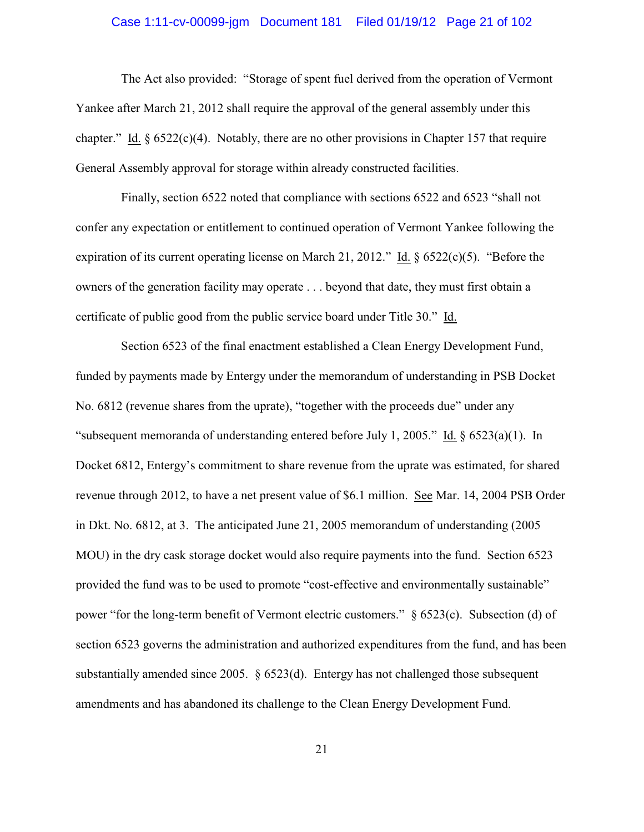# Case 1:11-cv-00099-jgm Document 181 Filed 01/19/12 Page 21 of 102

The Act also provided: "Storage of spent fuel derived from the operation of Vermont Yankee after March 21, 2012 shall require the approval of the general assembly under this chapter." Id.  $\S 6522(c)(4)$ . Notably, there are no other provisions in Chapter 157 that require General Assembly approval for storage within already constructed facilities.

Finally, section 6522 noted that compliance with sections 6522 and 6523 "shall not confer any expectation or entitlement to continued operation of Vermont Yankee following the expiration of its current operating license on March 21, 2012." Id. § 6522(c)(5). "Before the owners of the generation facility may operate . . . beyond that date, they must first obtain a certificate of public good from the public service board under Title 30." Id.

Section 6523 of the final enactment established a Clean Energy Development Fund, funded by payments made by Entergy under the memorandum of understanding in PSB Docket No. 6812 (revenue shares from the uprate), "together with the proceeds due" under any "subsequent memoranda of understanding entered before July 1, 2005." Id.  $\S$  6523(a)(1). In Docket 6812, Entergy's commitment to share revenue from the uprate was estimated, for shared revenue through 2012, to have a net present value of \$6.1 million. See Mar. 14, 2004 PSB Order in Dkt. No. 6812, at 3. The anticipated June 21, 2005 memorandum of understanding (2005 MOU) in the dry cask storage docket would also require payments into the fund. Section 6523 provided the fund was to be used to promote "cost-effective and environmentally sustainable" power "for the long-term benefit of Vermont electric customers." § 6523(c). Subsection (d) of section 6523 governs the administration and authorized expenditures from the fund, and has been substantially amended since 2005. § 6523(d). Entergy has not challenged those subsequent amendments and has abandoned its challenge to the Clean Energy Development Fund.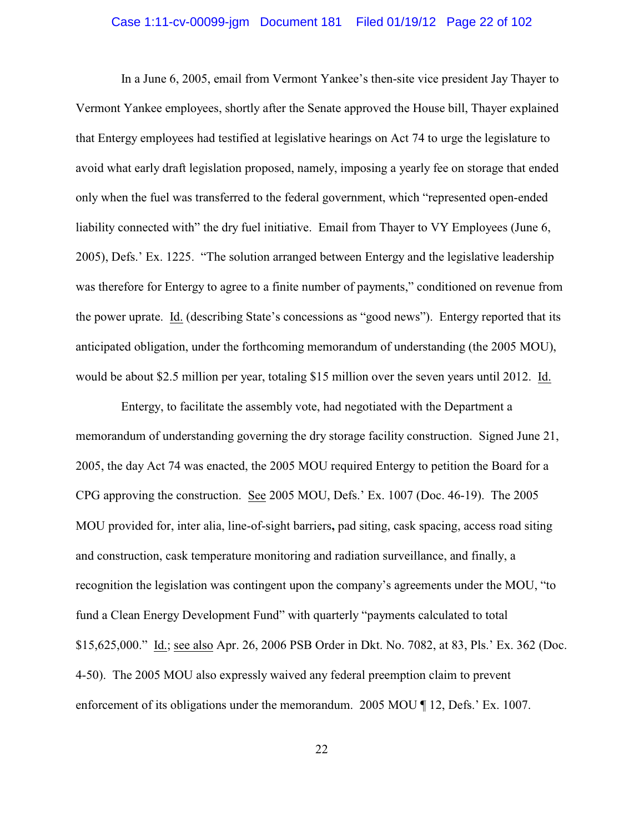# Case 1:11-cv-00099-jgm Document 181 Filed 01/19/12 Page 22 of 102

In a June 6, 2005, email from Vermont Yankee's then-site vice president Jay Thayer to Vermont Yankee employees, shortly after the Senate approved the House bill, Thayer explained that Entergy employees had testified at legislative hearings on Act 74 to urge the legislature to avoid what early draft legislation proposed, namely, imposing a yearly fee on storage that ended only when the fuel was transferred to the federal government, which "represented open-ended liability connected with" the dry fuel initiative. Email from Thayer to VY Employees (June 6, 2005), Defs.' Ex. 1225. "The solution arranged between Entergy and the legislative leadership was therefore for Entergy to agree to a finite number of payments," conditioned on revenue from the power uprate. Id. (describing State's concessions as "good news"). Entergy reported that its anticipated obligation, under the forthcoming memorandum of understanding (the 2005 MOU), would be about \$2.5 million per year, totaling \$15 million over the seven years until 2012. Id.

Entergy, to facilitate the assembly vote, had negotiated with the Department a memorandum of understanding governing the dry storage facility construction. Signed June 21, 2005, the day Act 74 was enacted, the 2005 MOU required Entergy to petition the Board for a CPG approving the construction. See 2005 MOU, Defs.' Ex. 1007 (Doc. 46-19). The 2005 MOU provided for, inter alia, line-of-sight barriers**,** pad siting, cask spacing, access road siting and construction, cask temperature monitoring and radiation surveillance, and finally, a recognition the legislation was contingent upon the company's agreements under the MOU, "to fund a Clean Energy Development Fund" with quarterly "payments calculated to total \$15,625,000." Id.; see also Apr. 26, 2006 PSB Order in Dkt. No. 7082, at 83, Pls.' Ex. 362 (Doc. 4-50). The 2005 MOU also expressly waived any federal preemption claim to prevent enforcement of its obligations under the memorandum. 2005 MOU ¶ 12, Defs.' Ex. 1007.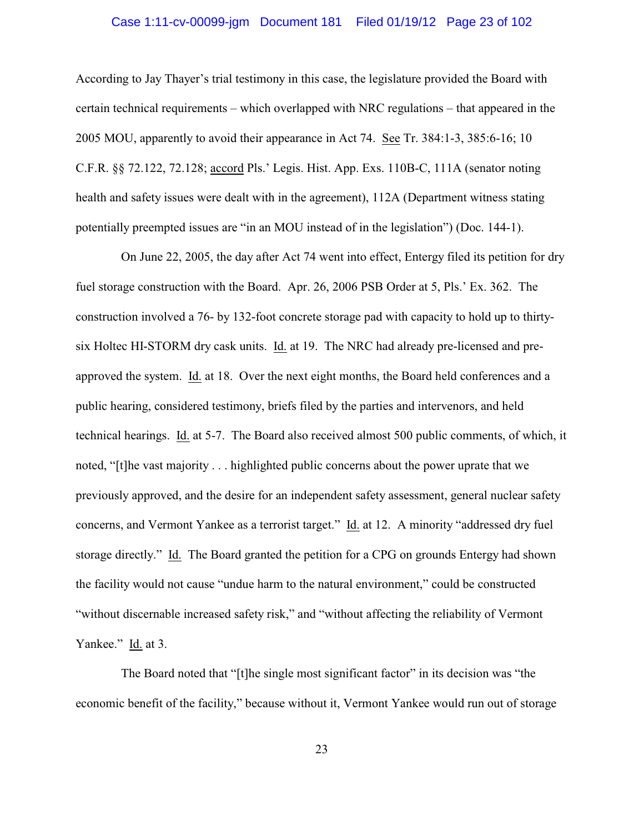# Case 1:11-cv-00099-jgm Document 181 Filed 01/19/12 Page 23 of 102

According to Jay Thayer's trial testimony in this case, the legislature provided the Board with certain technical requirements – which overlapped with NRC regulations – that appeared in the 2005 MOU, apparently to avoid their appearance in Act 74. See Tr. 384:1-3, 385:6-16; 10 C.F.R. §§ 72.122, 72.128; accord Pls.' Legis. Hist. App. Exs. 110B-C, 111A (senator noting health and safety issues were dealt with in the agreement), 112A (Department witness stating potentially preempted issues are "in an MOU instead of in the legislation") (Doc. 144-1).

On June 22, 2005, the day after Act 74 went into effect, Entergy filed its petition for dry fuel storage construction with the Board. Apr. 26, 2006 PSB Order at 5, Pls.' Ex. 362. The construction involved a 76- by 132-foot concrete storage pad with capacity to hold up to thirtysix Holtec HI-STORM dry cask units. Id. at 19. The NRC had already pre-licensed and preapproved the system. Id. at 18. Over the next eight months, the Board held conferences and a public hearing, considered testimony, briefs filed by the parties and intervenors, and held technical hearings. Id. at 5-7. The Board also received almost 500 public comments, of which, it noted, "[t]he vast majority . . . highlighted public concerns about the power uprate that we previously approved, and the desire for an independent safety assessment, general nuclear safety concerns, and Vermont Yankee as a terrorist target." Id. at 12. A minority "addressed dry fuel storage directly." Id. The Board granted the petition for a CPG on grounds Entergy had shown the facility would not cause "undue harm to the natural environment," could be constructed "without discernable increased safety risk," and "without affecting the reliability of Vermont Yankee." Id. at 3.

The Board noted that "[t]he single most significant factor" in its decision was "the economic benefit of the facility," because without it, Vermont Yankee would run out of storage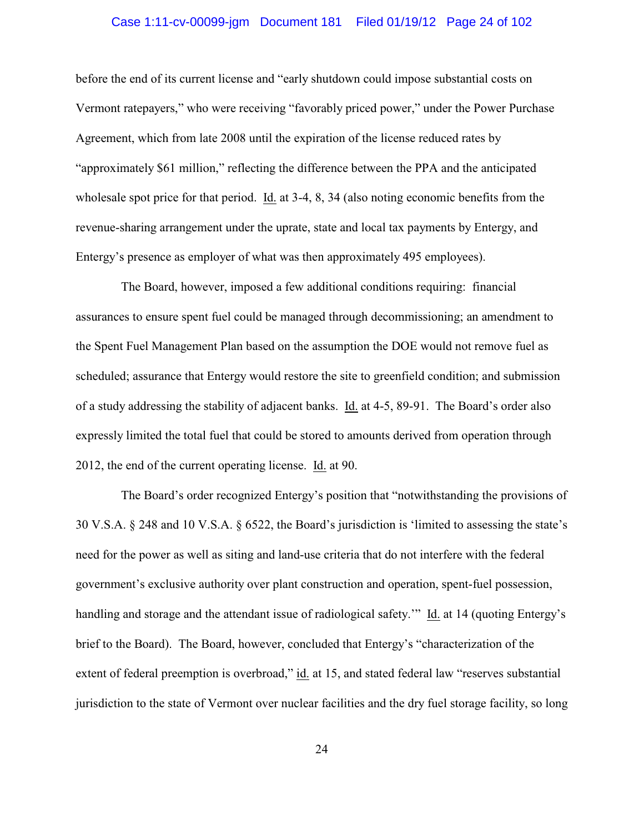# Case 1:11-cv-00099-jgm Document 181 Filed 01/19/12 Page 24 of 102

before the end of its current license and "early shutdown could impose substantial costs on Vermont ratepayers," who were receiving "favorably priced power," under the Power Purchase Agreement, which from late 2008 until the expiration of the license reduced rates by "approximately \$61 million," reflecting the difference between the PPA and the anticipated wholesale spot price for that period. Id. at 3-4, 8, 34 (also noting economic benefits from the revenue-sharing arrangement under the uprate, state and local tax payments by Entergy, and Entergy's presence as employer of what was then approximately 495 employees).

The Board, however, imposed a few additional conditions requiring: financial assurances to ensure spent fuel could be managed through decommissioning; an amendment to the Spent Fuel Management Plan based on the assumption the DOE would not remove fuel as scheduled; assurance that Entergy would restore the site to greenfield condition; and submission of a study addressing the stability of adjacent banks. Id. at 4-5, 89-91. The Board's order also expressly limited the total fuel that could be stored to amounts derived from operation through 2012, the end of the current operating license. Id. at 90.

The Board's order recognized Entergy's position that "notwithstanding the provisions of 30 V.S.A. § 248 and 10 V.S.A. § 6522, the Board's jurisdiction is 'limited to assessing the state's need for the power as well as siting and land-use criteria that do not interfere with the federal government's exclusive authority over plant construction and operation, spent-fuel possession, handling and storage and the attendant issue of radiological safety.'" Id. at 14 (quoting Entergy's brief to the Board). The Board, however, concluded that Entergy's "characterization of the extent of federal preemption is overbroad," id. at 15, and stated federal law "reserves substantial jurisdiction to the state of Vermont over nuclear facilities and the dry fuel storage facility, so long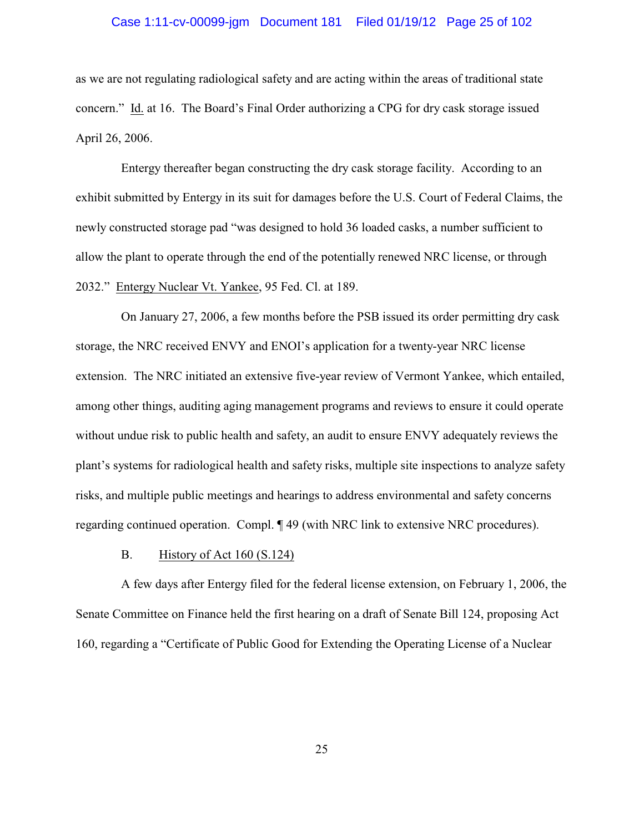# Case 1:11-cv-00099-jgm Document 181 Filed 01/19/12 Page 25 of 102

as we are not regulating radiological safety and are acting within the areas of traditional state concern." Id. at 16. The Board's Final Order authorizing a CPG for dry cask storage issued April 26, 2006.

Entergy thereafter began constructing the dry cask storage facility. According to an exhibit submitted by Entergy in its suit for damages before the U.S. Court of Federal Claims, the newly constructed storage pad "was designed to hold 36 loaded casks, a number sufficient to allow the plant to operate through the end of the potentially renewed NRC license, or through 2032." Entergy Nuclear Vt. Yankee, 95 Fed. Cl. at 189.

On January 27, 2006, a few months before the PSB issued its order permitting dry cask storage, the NRC received ENVY and ENOI's application for a twenty-year NRC license extension. The NRC initiated an extensive five-year review of Vermont Yankee, which entailed, among other things, auditing aging management programs and reviews to ensure it could operate without undue risk to public health and safety, an audit to ensure ENVY adequately reviews the plant's systems for radiological health and safety risks, multiple site inspections to analyze safety risks, and multiple public meetings and hearings to address environmental and safety concerns regarding continued operation. Compl. ¶ 49 (with NRC link to extensive NRC procedures).

#### B. History of Act 160 (S.124)

A few days after Entergy filed for the federal license extension, on February 1, 2006, the Senate Committee on Finance held the first hearing on a draft of Senate Bill 124, proposing Act 160, regarding a "Certificate of Public Good for Extending the Operating License of a Nuclear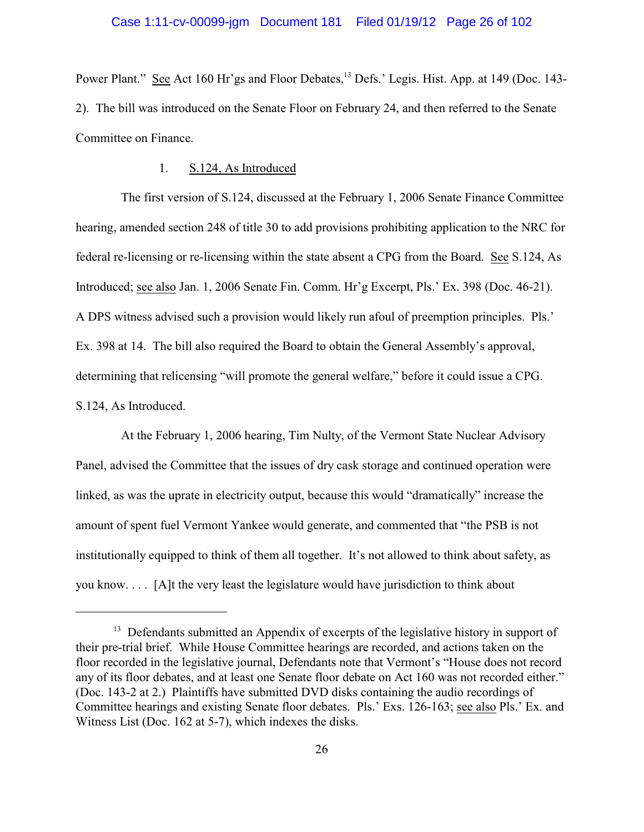Power Plant." See Act 160 Hr'gs and Floor Debates,<sup>13</sup> Defs.' Legis. Hist. App. at 149 (Doc. 143-2). The bill was introduced on the Senate Floor on February 24, and then referred to the Senate Committee on Finance.

#### 1. S.124, As Introduced

The first version of S.124, discussed at the February 1, 2006 Senate Finance Committee hearing, amended section 248 of title 30 to add provisions prohibiting application to the NRC for federal re-licensing or re-licensing within the state absent a CPG from the Board. See S.124, As Introduced; see also Jan. 1, 2006 Senate Fin. Comm. Hr'g Excerpt, Pls.' Ex. 398 (Doc. 46-21). A DPS witness advised such a provision would likely run afoul of preemption principles. Pls.' Ex. 398 at 14. The bill also required the Board to obtain the General Assembly's approval, determining that relicensing "will promote the general welfare," before it could issue a CPG. S.124, As Introduced.

At the February 1, 2006 hearing, Tim Nulty, of the Vermont State Nuclear Advisory Panel, advised the Committee that the issues of dry cask storage and continued operation were linked, as was the uprate in electricity output, because this would "dramatically" increase the amount of spent fuel Vermont Yankee would generate, and commented that "the PSB is not institutionally equipped to think of them all together. It's not allowed to think about safety, as you know. . . . [A]t the very least the legislature would have jurisdiction to think about

 $13$  Defendants submitted an Appendix of excerpts of the legislative history in support of their pre-trial brief. While House Committee hearings are recorded, and actions taken on the floor recorded in the legislative journal, Defendants note that Vermont's "House does not record any of its floor debates, and at least one Senate floor debate on Act 160 was not recorded either." (Doc. 143-2 at 2.) Plaintiffs have submitted DVD disks containing the audio recordings of Committee hearings and existing Senate floor debates. Pls.' Exs. 126-163; see also Pls.' Ex. and Witness List (Doc. 162 at 5-7), which indexes the disks.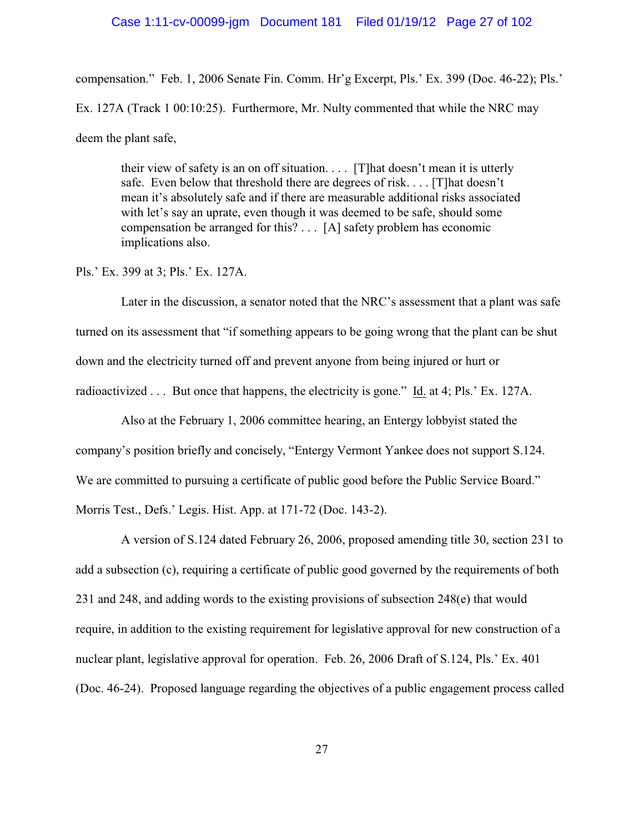#### Case 1:11-cv-00099-jgm Document 181 Filed 01/19/12 Page 27 of 102

compensation." Feb. 1, 2006 Senate Fin. Comm. Hr'g Excerpt, Pls.' Ex. 399 (Doc. 46-22); Pls.' Ex. 127A (Track 1 00:10:25). Furthermore, Mr. Nulty commented that while the NRC may deem the plant safe,

their view of safety is an on off situation. . . . [T]hat doesn't mean it is utterly safe. Even below that threshold there are degrees of risk. . . . [T]hat doesn't mean it's absolutely safe and if there are measurable additional risks associated with let's say an uprate, even though it was deemed to be safe, should some compensation be arranged for this? . . . [A] safety problem has economic implications also.

Pls.' Ex. 399 at 3; Pls.' Ex. 127A.

Later in the discussion, a senator noted that the NRC's assessment that a plant was safe turned on its assessment that "if something appears to be going wrong that the plant can be shut down and the electricity turned off and prevent anyone from being injured or hurt or radioactivized . . . But once that happens, the electricity is gone." Id. at 4; Pls.' Ex. 127A.

Also at the February 1, 2006 committee hearing, an Entergy lobbyist stated the company's position briefly and concisely, "Entergy Vermont Yankee does not support S.124. We are committed to pursuing a certificate of public good before the Public Service Board." Morris Test., Defs.' Legis. Hist. App. at 171-72 (Doc. 143-2).

A version of S.124 dated February 26, 2006, proposed amending title 30, section 231 to add a subsection (c), requiring a certificate of public good governed by the requirements of both 231 and 248, and adding words to the existing provisions of subsection 248(e) that would require, in addition to the existing requirement for legislative approval for new construction of a nuclear plant, legislative approval for operation. Feb. 26, 2006 Draft of S.124, Pls.' Ex. 401 (Doc. 46-24). Proposed language regarding the objectives of a public engagement process called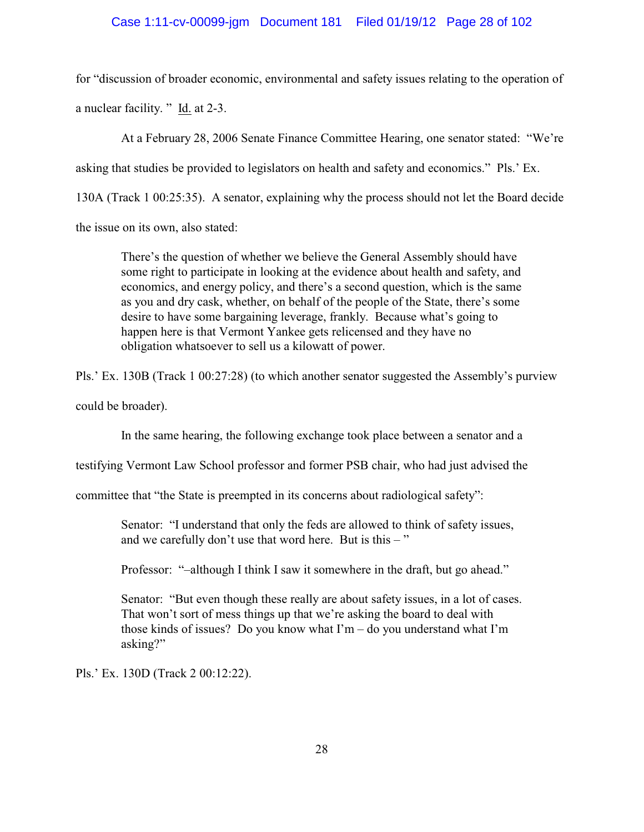# Case 1:11-cv-00099-jgm Document 181 Filed 01/19/12 Page 28 of 102

for "discussion of broader economic, environmental and safety issues relating to the operation of a nuclear facility. " Id. at 2-3.

At a February 28, 2006 Senate Finance Committee Hearing, one senator stated: "We're asking that studies be provided to legislators on health and safety and economics." Pls.' Ex. 130A (Track 1 00:25:35). A senator, explaining why the process should not let the Board decide the issue on its own, also stated:

There's the question of whether we believe the General Assembly should have some right to participate in looking at the evidence about health and safety, and economics, and energy policy, and there's a second question, which is the same as you and dry cask, whether, on behalf of the people of the State, there's some desire to have some bargaining leverage, frankly. Because what's going to happen here is that Vermont Yankee gets relicensed and they have no obligation whatsoever to sell us a kilowatt of power.

Pls.' Ex. 130B (Track 1 00:27:28) (to which another senator suggested the Assembly's purview

could be broader).

In the same hearing, the following exchange took place between a senator and a

testifying Vermont Law School professor and former PSB chair, who had just advised the

committee that "the State is preempted in its concerns about radiological safety":

Senator: "I understand that only the feds are allowed to think of safety issues, and we carefully don't use that word here. But is this  $-$ "

Professor: "–although I think I saw it somewhere in the draft, but go ahead."

Senator: "But even though these really are about safety issues, in a lot of cases. That won't sort of mess things up that we're asking the board to deal with those kinds of issues? Do you know what  $\Gamma m$  – do you understand what  $\Gamma m$ asking?"

Pls.' Ex. 130D (Track 2 00:12:22).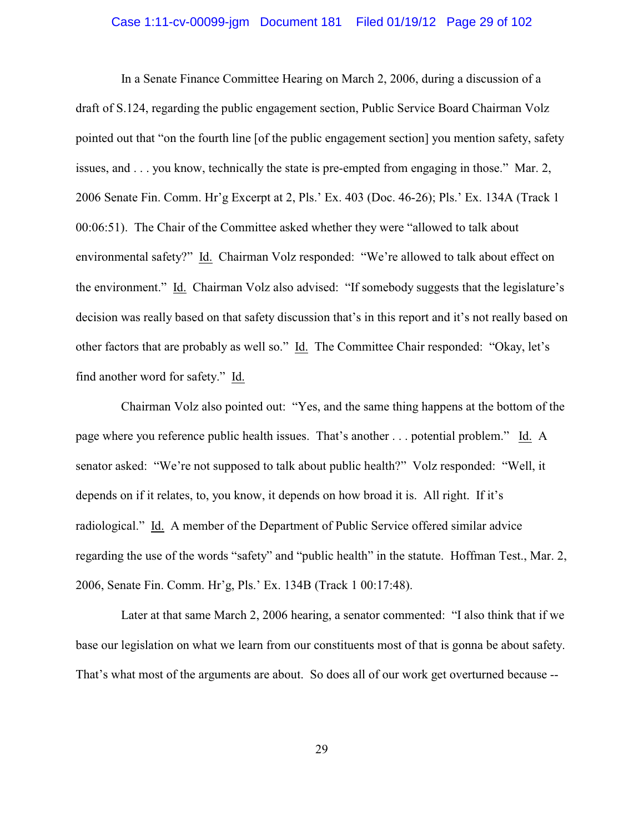# Case 1:11-cv-00099-jgm Document 181 Filed 01/19/12 Page 29 of 102

In a Senate Finance Committee Hearing on March 2, 2006, during a discussion of a draft of S.124, regarding the public engagement section, Public Service Board Chairman Volz pointed out that "on the fourth line [of the public engagement section] you mention safety, safety issues, and . . . you know, technically the state is pre-empted from engaging in those." Mar. 2, 2006 Senate Fin. Comm. Hr'g Excerpt at 2, Pls.' Ex. 403 (Doc. 46-26); Pls.' Ex. 134A (Track 1 00:06:51). The Chair of the Committee asked whether they were "allowed to talk about environmental safety?" Id. Chairman Volz responded: "We're allowed to talk about effect on the environment." Id. Chairman Volz also advised: "If somebody suggests that the legislature's decision was really based on that safety discussion that's in this report and it's not really based on other factors that are probably as well so." Id. The Committee Chair responded: "Okay, let's find another word for safety." Id.

Chairman Volz also pointed out: "Yes, and the same thing happens at the bottom of the page where you reference public health issues. That's another . . . potential problem." Id. A senator asked: "We're not supposed to talk about public health?" Volz responded: "Well, it depends on if it relates, to, you know, it depends on how broad it is. All right. If it's radiological." Id. A member of the Department of Public Service offered similar advice regarding the use of the words "safety" and "public health" in the statute. Hoffman Test., Mar. 2, 2006, Senate Fin. Comm. Hr'g, Pls.' Ex. 134B (Track 1 00:17:48).

Later at that same March 2, 2006 hearing, a senator commented: "I also think that if we base our legislation on what we learn from our constituents most of that is gonna be about safety. That's what most of the arguments are about. So does all of our work get overturned because --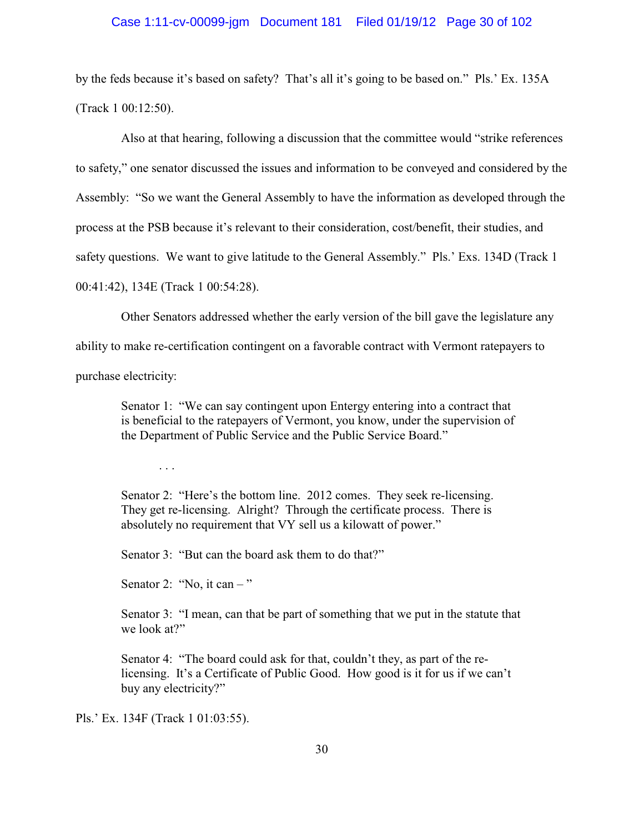#### Case 1:11-cv-00099-jgm Document 181 Filed 01/19/12 Page 30 of 102

by the feds because it's based on safety? That's all it's going to be based on." Pls.' Ex. 135A (Track 1 00:12:50).

Also at that hearing, following a discussion that the committee would "strike references to safety," one senator discussed the issues and information to be conveyed and considered by the Assembly: "So we want the General Assembly to have the information as developed through the process at the PSB because it's relevant to their consideration, cost/benefit, their studies, and safety questions. We want to give latitude to the General Assembly." Pls.' Exs. 134D (Track 1 00:41:42), 134E (Track 1 00:54:28).

Other Senators addressed whether the early version of the bill gave the legislature any

ability to make re-certification contingent on a favorable contract with Vermont ratepayers to

purchase electricity:

Senator 1: "We can say contingent upon Entergy entering into a contract that is beneficial to the ratepayers of Vermont, you know, under the supervision of the Department of Public Service and the Public Service Board."

. . .

Senator 2: "Here's the bottom line. 2012 comes. They seek re-licensing. They get re-licensing. Alright? Through the certificate process. There is absolutely no requirement that VY sell us a kilowatt of power."

Senator 3: "But can the board ask them to do that?"

Senator 2: "No, it can  $-$ "

Senator 3: "I mean, can that be part of something that we put in the statute that we look at?"

Senator 4: "The board could ask for that, couldn't they, as part of the relicensing. It's a Certificate of Public Good. How good is it for us if we can't buy any electricity?"

Pls.' Ex. 134F (Track 1 01:03:55).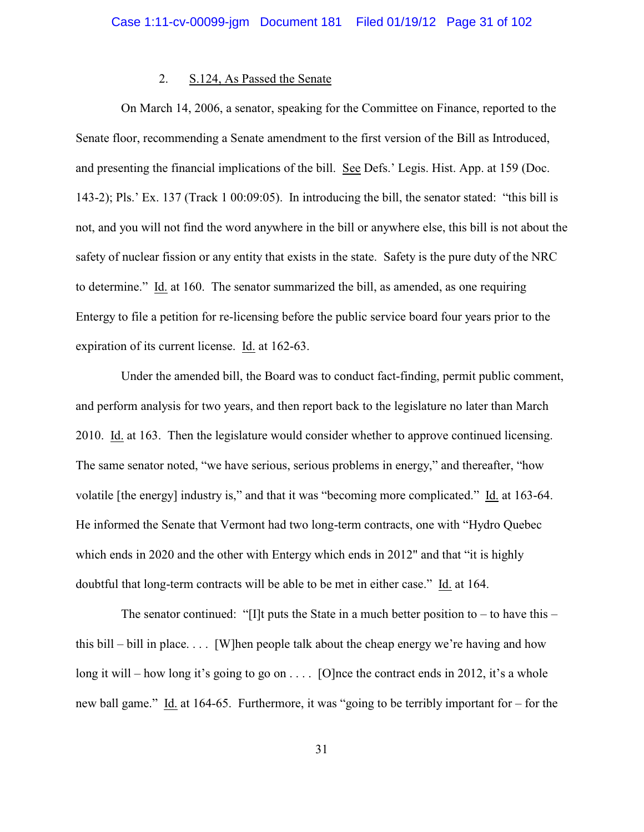#### 2. S.124, As Passed the Senate

On March 14, 2006, a senator, speaking for the Committee on Finance, reported to the Senate floor, recommending a Senate amendment to the first version of the Bill as Introduced, and presenting the financial implications of the bill. See Defs.' Legis. Hist. App. at 159 (Doc. 143-2); Pls.' Ex. 137 (Track 1 00:09:05). In introducing the bill, the senator stated: "this bill is not, and you will not find the word anywhere in the bill or anywhere else, this bill is not about the safety of nuclear fission or any entity that exists in the state. Safety is the pure duty of the NRC to determine." Id. at 160. The senator summarized the bill, as amended, as one requiring Entergy to file a petition for re-licensing before the public service board four years prior to the expiration of its current license. Id. at 162-63.

Under the amended bill, the Board was to conduct fact-finding, permit public comment, and perform analysis for two years, and then report back to the legislature no later than March 2010. Id. at 163. Then the legislature would consider whether to approve continued licensing. The same senator noted, "we have serious, serious problems in energy," and thereafter, "how volatile [the energy] industry is," and that it was "becoming more complicated." Id. at 163-64. He informed the Senate that Vermont had two long-term contracts, one with "Hydro Quebec which ends in 2020 and the other with Entergy which ends in 2012" and that "it is highly doubtful that long-term contracts will be able to be met in either case." Id. at 164.

The senator continued: "[I]t puts the State in a much better position to – to have this – this bill – bill in place.... [W]hen people talk about the cheap energy we're having and how long it will – how long it's going to go on  $\dots$  [O]nce the contract ends in 2012, it's a whole new ball game." Id. at 164-65. Furthermore, it was "going to be terribly important for – for the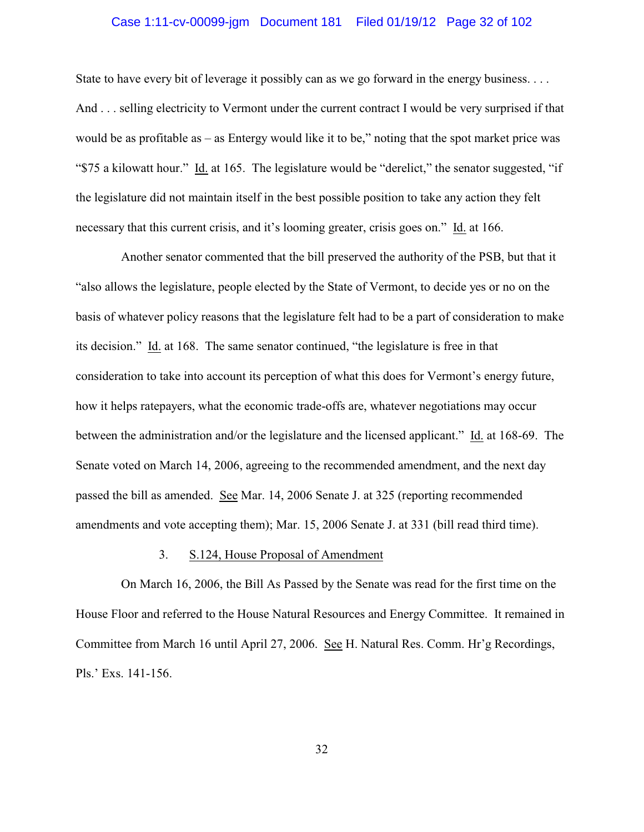# Case 1:11-cv-00099-jgm Document 181 Filed 01/19/12 Page 32 of 102

State to have every bit of leverage it possibly can as we go forward in the energy business.... And . . . selling electricity to Vermont under the current contract I would be very surprised if that would be as profitable as – as Entergy would like it to be," noting that the spot market price was "\$75 a kilowatt hour." Id. at 165. The legislature would be "derelict," the senator suggested, "if the legislature did not maintain itself in the best possible position to take any action they felt necessary that this current crisis, and it's looming greater, crisis goes on." Id. at 166.

Another senator commented that the bill preserved the authority of the PSB, but that it "also allows the legislature, people elected by the State of Vermont, to decide yes or no on the basis of whatever policy reasons that the legislature felt had to be a part of consideration to make its decision." Id. at 168. The same senator continued, "the legislature is free in that consideration to take into account its perception of what this does for Vermont's energy future, how it helps ratepayers, what the economic trade-offs are, whatever negotiations may occur between the administration and/or the legislature and the licensed applicant." Id. at 168-69. The Senate voted on March 14, 2006, agreeing to the recommended amendment, and the next day passed the bill as amended. See Mar. 14, 2006 Senate J. at 325 (reporting recommended amendments and vote accepting them); Mar. 15, 2006 Senate J. at 331 (bill read third time).

#### 3. S.124, House Proposal of Amendment

On March 16, 2006, the Bill As Passed by the Senate was read for the first time on the House Floor and referred to the House Natural Resources and Energy Committee. It remained in Committee from March 16 until April 27, 2006. See H. Natural Res. Comm. Hr'g Recordings, Pls.' Exs. 141-156.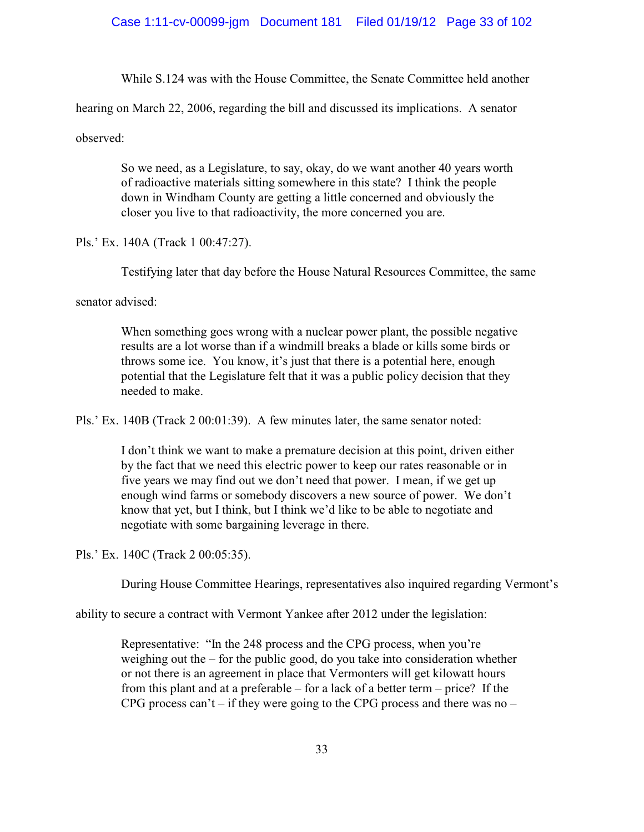While S.124 was with the House Committee, the Senate Committee held another

hearing on March 22, 2006, regarding the bill and discussed its implications. A senator

observed:

So we need, as a Legislature, to say, okay, do we want another 40 years worth of radioactive materials sitting somewhere in this state? I think the people down in Windham County are getting a little concerned and obviously the closer you live to that radioactivity, the more concerned you are.

Pls.' Ex. 140A (Track 1 00:47:27).

Testifying later that day before the House Natural Resources Committee, the same

senator advised:

When something goes wrong with a nuclear power plant, the possible negative results are a lot worse than if a windmill breaks a blade or kills some birds or throws some ice. You know, it's just that there is a potential here, enough potential that the Legislature felt that it was a public policy decision that they needed to make.

Pls.' Ex. 140B (Track 2 00:01:39). A few minutes later, the same senator noted:

I don't think we want to make a premature decision at this point, driven either by the fact that we need this electric power to keep our rates reasonable or in five years we may find out we don't need that power. I mean, if we get up enough wind farms or somebody discovers a new source of power. We don't know that yet, but I think, but I think we'd like to be able to negotiate and negotiate with some bargaining leverage in there.

Pls.' Ex. 140C (Track 2 00:05:35).

During House Committee Hearings, representatives also inquired regarding Vermont's

ability to secure a contract with Vermont Yankee after 2012 under the legislation:

Representative: "In the 248 process and the CPG process, when you're weighing out the – for the public good, do you take into consideration whether or not there is an agreement in place that Vermonters will get kilowatt hours from this plant and at a preferable – for a lack of a better term – price? If the CPG process can't – if they were going to the CPG process and there was no –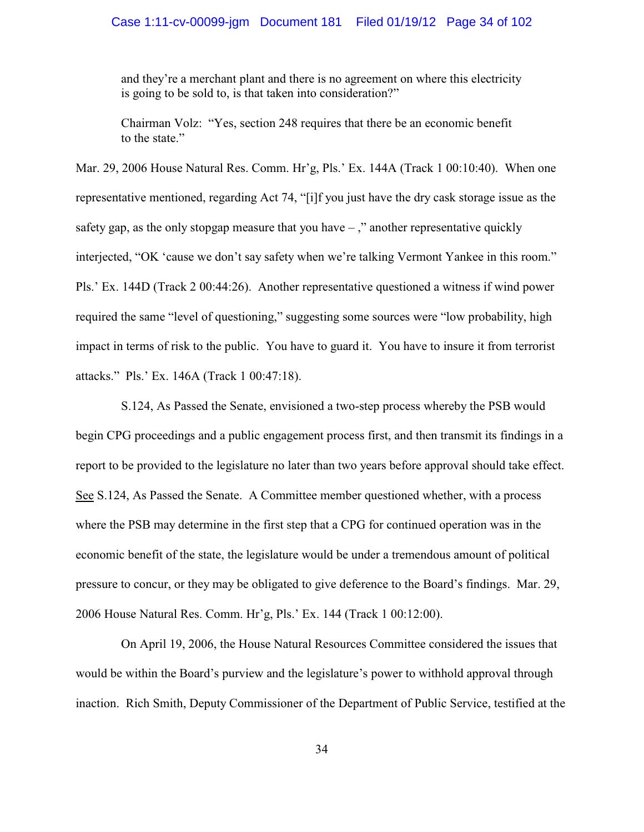# Case 1:11-cv-00099-jgm Document 181 Filed 01/19/12 Page 34 of 102

and they're a merchant plant and there is no agreement on where this electricity is going to be sold to, is that taken into consideration?"

Chairman Volz: "Yes, section 248 requires that there be an economic benefit to the state."

Mar. 29, 2006 House Natural Res. Comm. Hr'g, Pls.' Ex. 144A (Track 1 00:10:40). When one representative mentioned, regarding Act 74, "[i]f you just have the dry cask storage issue as the safety gap, as the only stopgap measure that you have  $-$ ," another representative quickly interjected, "OK 'cause we don't say safety when we're talking Vermont Yankee in this room." Pls.' Ex. 144D (Track 2 00:44:26). Another representative questioned a witness if wind power required the same "level of questioning," suggesting some sources were "low probability, high impact in terms of risk to the public. You have to guard it. You have to insure it from terrorist attacks." Pls.' Ex. 146A (Track 1 00:47:18).

S.124, As Passed the Senate, envisioned a two-step process whereby the PSB would begin CPG proceedings and a public engagement process first, and then transmit its findings in a report to be provided to the legislature no later than two years before approval should take effect. See S.124, As Passed the Senate. A Committee member questioned whether, with a process where the PSB may determine in the first step that a CPG for continued operation was in the economic benefit of the state, the legislature would be under a tremendous amount of political pressure to concur, or they may be obligated to give deference to the Board's findings. Mar. 29, 2006 House Natural Res. Comm. Hr'g, Pls.' Ex. 144 (Track 1 00:12:00).

On April 19, 2006, the House Natural Resources Committee considered the issues that would be within the Board's purview and the legislature's power to withhold approval through inaction. Rich Smith, Deputy Commissioner of the Department of Public Service, testified at the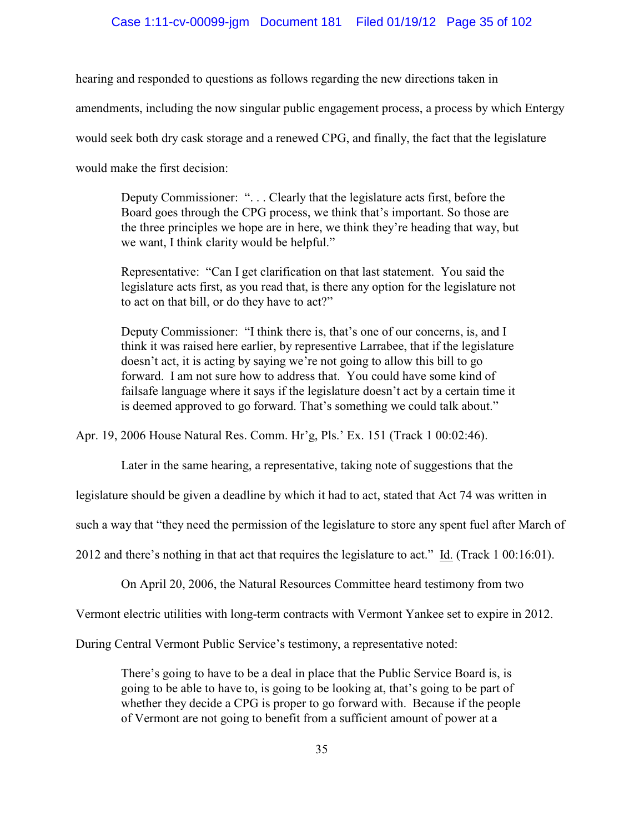#### Case 1:11-cv-00099-jgm Document 181 Filed 01/19/12 Page 35 of 102

hearing and responded to questions as follows regarding the new directions taken in

amendments, including the now singular public engagement process, a process by which Entergy

would seek both dry cask storage and a renewed CPG, and finally, the fact that the legislature

would make the first decision:

Deputy Commissioner: ". . . Clearly that the legislature acts first, before the Board goes through the CPG process, we think that's important. So those are the three principles we hope are in here, we think they're heading that way, but we want, I think clarity would be helpful."

Representative: "Can I get clarification on that last statement. You said the legislature acts first, as you read that, is there any option for the legislature not to act on that bill, or do they have to act?"

Deputy Commissioner: "I think there is, that's one of our concerns, is, and I think it was raised here earlier, by representive Larrabee, that if the legislature doesn't act, it is acting by saying we're not going to allow this bill to go forward. I am not sure how to address that. You could have some kind of failsafe language where it says if the legislature doesn't act by a certain time it is deemed approved to go forward. That's something we could talk about."

Apr. 19, 2006 House Natural Res. Comm. Hr'g, Pls.' Ex. 151 (Track 1 00:02:46).

Later in the same hearing, a representative, taking note of suggestions that the

legislature should be given a deadline by which it had to act, stated that Act 74 was written in

such a way that "they need the permission of the legislature to store any spent fuel after March of

2012 and there's nothing in that act that requires the legislature to act." Id. (Track 1 00:16:01).

On April 20, 2006, the Natural Resources Committee heard testimony from two

Vermont electric utilities with long-term contracts with Vermont Yankee set to expire in 2012.

During Central Vermont Public Service's testimony, a representative noted:

There's going to have to be a deal in place that the Public Service Board is, is going to be able to have to, is going to be looking at, that's going to be part of whether they decide a CPG is proper to go forward with. Because if the people of Vermont are not going to benefit from a sufficient amount of power at a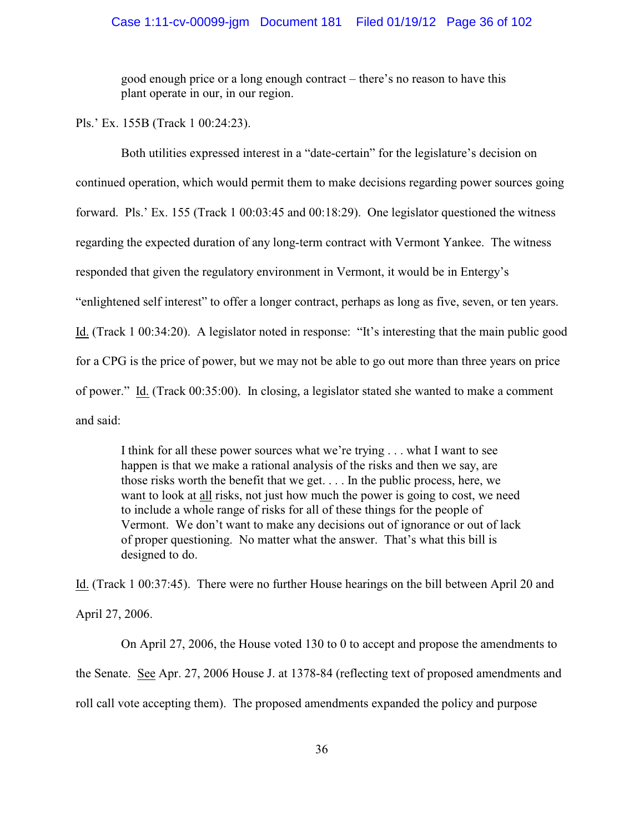#### Case 1:11-cv-00099-jgm Document 181 Filed 01/19/12 Page 36 of 102

good enough price or a long enough contract – there's no reason to have this plant operate in our, in our region.

Pls.' Ex. 155B (Track 1 00:24:23).

Both utilities expressed interest in a "date-certain" for the legislature's decision on continued operation, which would permit them to make decisions regarding power sources going forward. Pls.' Ex. 155 (Track 1 00:03:45 and 00:18:29). One legislator questioned the witness regarding the expected duration of any long-term contract with Vermont Yankee. The witness responded that given the regulatory environment in Vermont, it would be in Entergy's "enlightened self interest" to offer a longer contract, perhaps as long as five, seven, or ten years. Id. (Track 1 00:34:20). A legislator noted in response: "It's interesting that the main public good for a CPG is the price of power, but we may not be able to go out more than three years on price of power." Id. (Track 00:35:00). In closing, a legislator stated she wanted to make a comment and said:

I think for all these power sources what we're trying . . . what I want to see happen is that we make a rational analysis of the risks and then we say, are those risks worth the benefit that we get. . . . In the public process, here, we want to look at all risks, not just how much the power is going to cost, we need to include a whole range of risks for all of these things for the people of Vermont. We don't want to make any decisions out of ignorance or out of lack of proper questioning. No matter what the answer. That's what this bill is designed to do.

Id. (Track 1 00:37:45). There were no further House hearings on the bill between April 20 and April 27, 2006.

On April 27, 2006, the House voted 130 to 0 to accept and propose the amendments to the Senate. See Apr. 27, 2006 House J. at 1378-84 (reflecting text of proposed amendments and roll call vote accepting them). The proposed amendments expanded the policy and purpose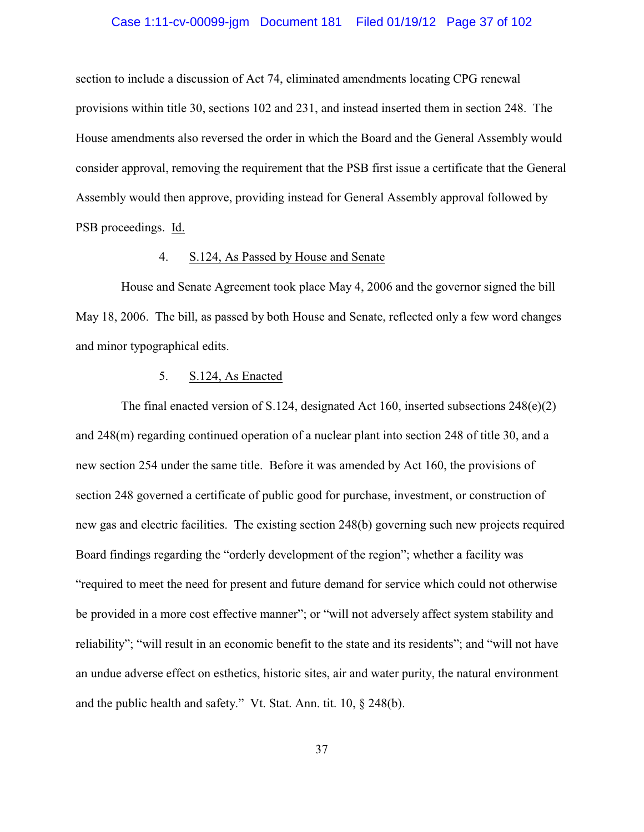## Case 1:11-cv-00099-jgm Document 181 Filed 01/19/12 Page 37 of 102

section to include a discussion of Act 74, eliminated amendments locating CPG renewal provisions within title 30, sections 102 and 231, and instead inserted them in section 248. The House amendments also reversed the order in which the Board and the General Assembly would consider approval, removing the requirement that the PSB first issue a certificate that the General Assembly would then approve, providing instead for General Assembly approval followed by PSB proceedings. Id.

### 4. S.124, As Passed by House and Senate

House and Senate Agreement took place May 4, 2006 and the governor signed the bill May 18, 2006. The bill, as passed by both House and Senate, reflected only a few word changes and minor typographical edits.

### 5. S.124, As Enacted

The final enacted version of S.124, designated Act 160, inserted subsections 248(e)(2) and 248(m) regarding continued operation of a nuclear plant into section 248 of title 30, and a new section 254 under the same title. Before it was amended by Act 160, the provisions of section 248 governed a certificate of public good for purchase, investment, or construction of new gas and electric facilities. The existing section 248(b) governing such new projects required Board findings regarding the "orderly development of the region"; whether a facility was "required to meet the need for present and future demand for service which could not otherwise be provided in a more cost effective manner"; or "will not adversely affect system stability and reliability"; "will result in an economic benefit to the state and its residents"; and "will not have an undue adverse effect on esthetics, historic sites, air and water purity, the natural environment and the public health and safety."Vt. Stat. Ann. tit. 10, § 248(b).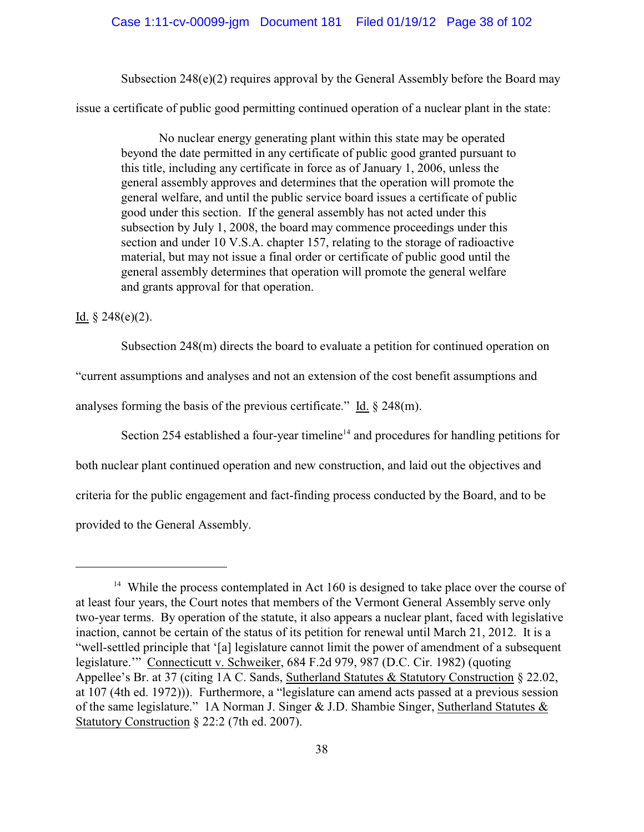Subsection 248(e)(2) requires approval by the General Assembly before the Board may

issue a certificate of public good permitting continued operation of a nuclear plant in the state:

No nuclear energy generating plant within this state may be operated beyond the date permitted in any certificate of public good granted pursuant to this title, including any certificate in force as of January 1, 2006, unless the general assembly approves and determines that the operation will promote the general welfare, and until the public service board issues a certificate of public good under this section. If the general assembly has not acted under this subsection by July 1, 2008, the board may commence proceedings under this section and under 10 V.S.A. chapter 157, relating to the storage of radioactive material, but may not issue a final order or certificate of public good until the general assembly determines that operation will promote the general welfare and grants approval for that operation.

### Id.  $§ 248(e)(2)$ .

Subsection 248(m) directs the board to evaluate a petition for continued operation on

"current assumptions and analyses and not an extension of the cost benefit assumptions and

analyses forming the basis of the previous certificate." Id. § 248(m).

Section 254 established a four-year timeline<sup> $14$ </sup> and procedures for handling petitions for

both nuclear plant continued operation and new construction, and laid out the objectives and

criteria for the public engagement and fact-finding process conducted by the Board, and to be

provided to the General Assembly.

<sup>&</sup>lt;sup>14</sup> While the process contemplated in Act 160 is designed to take place over the course of at least four years, the Court notes that members of the Vermont General Assembly serve only two-year terms. By operation of the statute, it also appears a nuclear plant, faced with legislative inaction, cannot be certain of the status of its petition for renewal until March 21, 2012. It is a "well-settled principle that '[a] legislature cannot limit the power of amendment of a subsequent legislature.'" Connecticutt v. Schweiker, 684 F.2d 979, 987 (D.C. Cir. 1982) (quoting Appellee's Br. at 37 (citing 1A C. Sands, Sutherland Statutes & Statutory Construction § 22.02, at 107 (4th ed. 1972))). Furthermore, a "legislature can amend acts passed at a previous session of the same legislature." 1A Norman J. Singer & J.D. Shambie Singer, Sutherland Statutes & Statutory Construction § 22:2 (7th ed. 2007).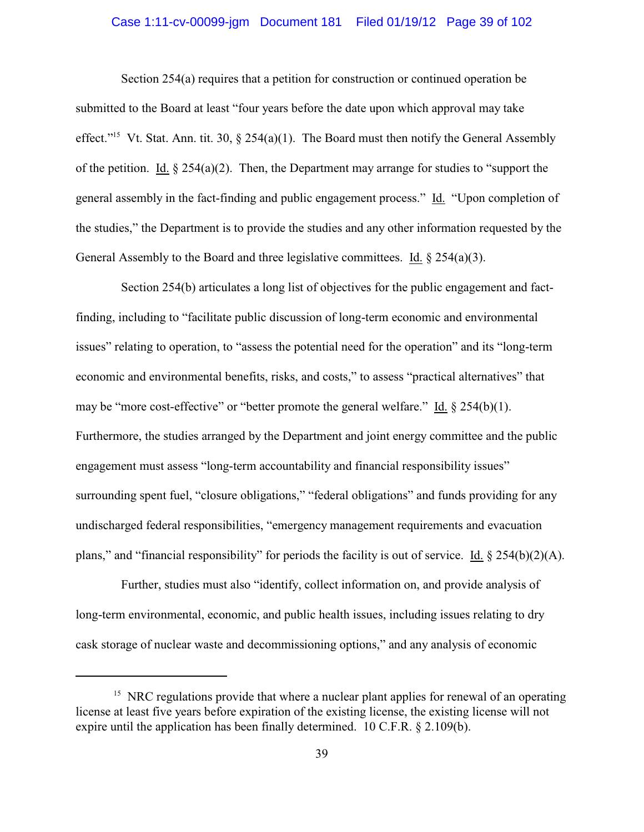## Case 1:11-cv-00099-jgm Document 181 Filed 01/19/12 Page 39 of 102

Section 254(a) requires that a petition for construction or continued operation be submitted to the Board at least "four years before the date upon which approval may take effect."<sup>15</sup> Vt. Stat. Ann. tit. 30,  $\S$  254(a)(1). The Board must then notify the General Assembly of the petition. Id.  $\S 254(a)(2)$ . Then, the Department may arrange for studies to "support the general assembly in the fact-finding and public engagement process." Id."Upon completion of the studies," the Department is to provide the studies and any other information requested by the General Assembly to the Board and three legislative committees. Id.  $\S 254(a)(3)$ .

Section 254(b) articulates a long list of objectives for the public engagement and factfinding, including to "facilitate public discussion of long-term economic and environmental issues" relating to operation, to "assess the potential need for the operation" and its "long-term economic and environmental benefits, risks, and costs," to assess "practical alternatives" that may be "more cost-effective" or "better promote the general welfare." Id. § 254(b)(1). Furthermore, the studies arranged by the Department and joint energy committee and the public engagement must assess "long-term accountability and financial responsibility issues" surrounding spent fuel, "closure obligations," "federal obligations" and funds providing for any undischarged federal responsibilities, "emergency management requirements and evacuation plans," and "financial responsibility" for periods the facility is out of service. Id. § 254(b)(2)(A).

Further, studies must also "identify, collect information on, and provide analysis of long-term environmental, economic, and public health issues, including issues relating to dry cask storage of nuclear waste and decommissioning options," and any analysis of economic

 $<sup>15</sup>$  NRC regulations provide that where a nuclear plant applies for renewal of an operating</sup> license at least five years before expiration of the existing license, the existing license will not expire until the application has been finally determined. 10 C.F.R. § 2.109(b).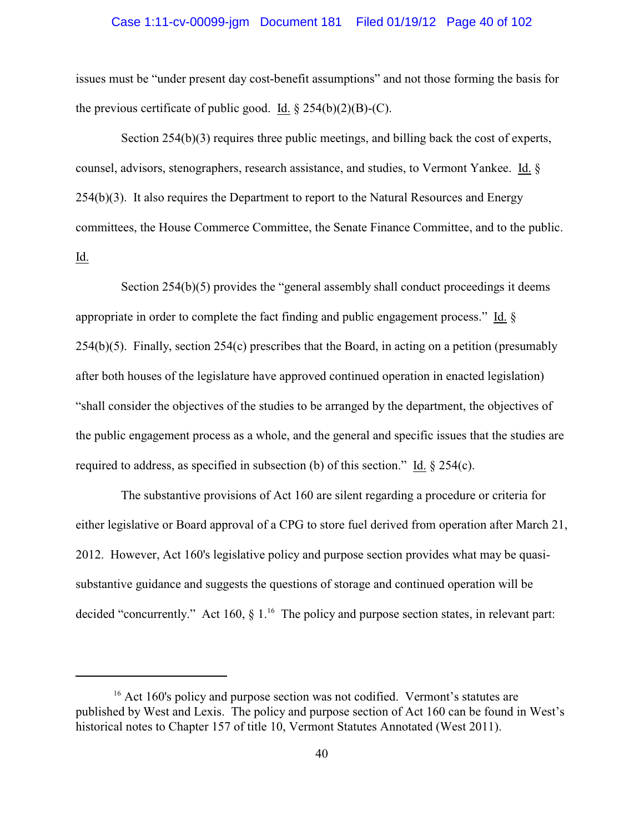## Case 1:11-cv-00099-jgm Document 181 Filed 01/19/12 Page 40 of 102

issues must be "under present day cost-benefit assumptions" and not those forming the basis for the previous certificate of public good. Id.  $\S 254(b)(2)(B)-(C)$ .

Section 254(b)(3) requires three public meetings, and billing back the cost of experts, counsel, advisors, stenographers, research assistance, and studies, to Vermont Yankee. Id. §  $254(b)(3)$ . It also requires the Department to report to the Natural Resources and Energy committees, the House Commerce Committee, the Senate Finance Committee, and to the public. Id.

Section  $254(b)(5)$  provides the "general assembly shall conduct proceedings it deems appropriate in order to complete the fact finding and public engagement process." Id. §  $254(b)(5)$ . Finally, section  $254(c)$  prescribes that the Board, in acting on a petition (presumably after both houses of the legislature have approved continued operation in enacted legislation) "shall consider the objectives of the studies to be arranged by the department, the objectives of the public engagement process as a whole, and the general and specific issues that the studies are required to address, as specified in subsection (b) of this section." Id. § 254(c).

The substantive provisions of Act 160 are silent regarding a procedure or criteria for either legislative or Board approval of a CPG to store fuel derived from operation after March 21, 2012. However, Act 160's legislative policy and purpose section provides what may be quasisubstantive guidance and suggests the questions of storage and continued operation will be decided "concurrently." Act 160,  $\S$  1.<sup>16</sup> The policy and purpose section states, in relevant part:

 $16$ <sup>16</sup> Act 160's policy and purpose section was not codified. Vermont's statutes are published by West and Lexis. The policy and purpose section of Act 160 can be found in West's historical notes to Chapter 157 of title 10, Vermont Statutes Annotated (West 2011).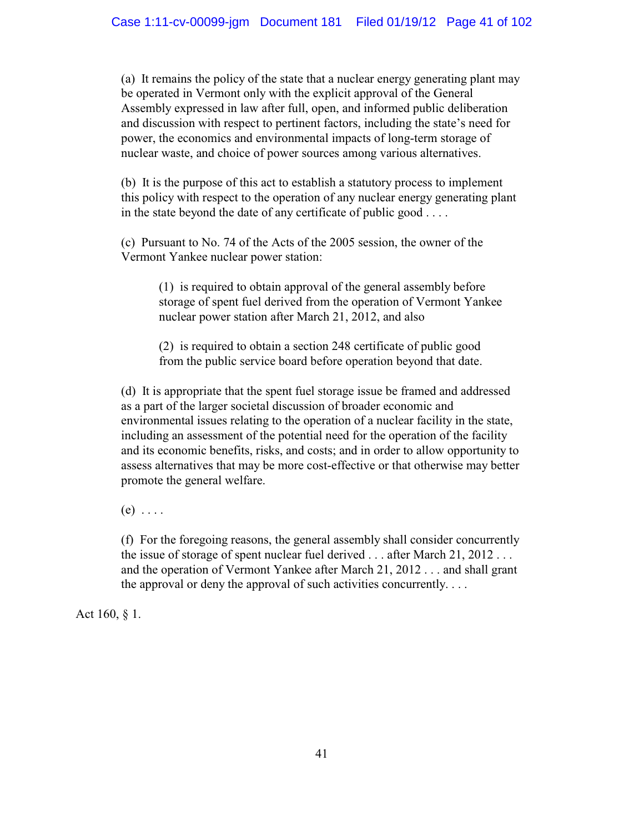(a) It remains the policy of the state that a nuclear energy generating plant may be operated in Vermont only with the explicit approval of the General Assembly expressed in law after full, open, and informed public deliberation and discussion with respect to pertinent factors, including the state's need for power, the economics and environmental impacts of long-term storage of nuclear waste, and choice of power sources among various alternatives.

(b) It is the purpose of this act to establish a statutory process to implement this policy with respect to the operation of any nuclear energy generating plant in the state beyond the date of any certificate of public good . . . .

(c) Pursuant to No. 74 of the Acts of the 2005 session, the owner of the Vermont Yankee nuclear power station:

> (1) is required to obtain approval of the general assembly before storage of spent fuel derived from the operation of Vermont Yankee nuclear power station after March 21, 2012, and also

(2) is required to obtain a section 248 certificate of public good from the public service board before operation beyond that date.

(d) It is appropriate that the spent fuel storage issue be framed and addressed as a part of the larger societal discussion of broader economic and environmental issues relating to the operation of a nuclear facility in the state, including an assessment of the potential need for the operation of the facility and its economic benefits, risks, and costs; and in order to allow opportunity to assess alternatives that may be more cost-effective or that otherwise may better promote the general welfare.

 $(e)$  . . . .

(f) For the foregoing reasons, the general assembly shall consider concurrently the issue of storage of spent nuclear fuel derived . . . after March 21, 2012 . . . and the operation of Vermont Yankee after March 21, 2012 . . . and shall grant the approval or deny the approval of such activities concurrently.  $\dots$ 

Act 160, § 1.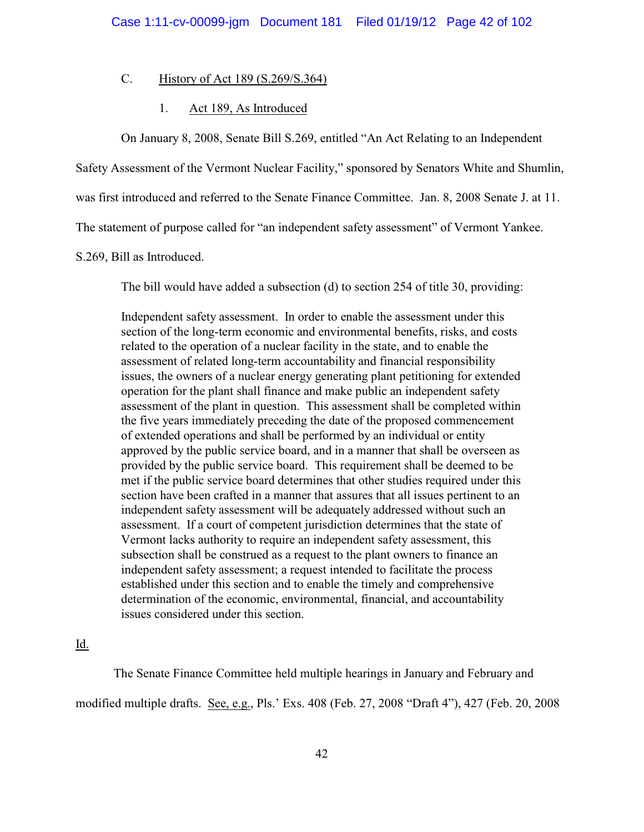## C. History of Act 189 (S.269/S.364)

## 1. Act 189, As Introduced

On January 8, 2008, Senate Bill S.269, entitled "An Act Relating to an Independent

Safety Assessment of the Vermont Nuclear Facility," sponsored by Senators White and Shumlin,

was first introduced and referred to the Senate Finance Committee. Jan. 8, 2008 Senate J. at 11.

The statement of purpose called for "an independent safety assessment" of Vermont Yankee.

### S.269, Bill as Introduced.

The bill would have added a subsection (d) to section 254 of title 30, providing:

Independent safety assessment. In order to enable the assessment under this section of the long-term economic and environmental benefits, risks, and costs related to the operation of a nuclear facility in the state, and to enable the assessment of related long-term accountability and financial responsibility issues, the owners of a nuclear energy generating plant petitioning for extended operation for the plant shall finance and make public an independent safety assessment of the plant in question. This assessment shall be completed within the five years immediately preceding the date of the proposed commencement of extended operations and shall be performed by an individual or entity approved by the public service board, and in a manner that shall be overseen as provided by the public service board. This requirement shall be deemed to be met if the public service board determines that other studies required under this section have been crafted in a manner that assures that all issues pertinent to an independent safety assessment will be adequately addressed without such an assessment. If a court of competent jurisdiction determines that the state of Vermont lacks authority to require an independent safety assessment, this subsection shall be construed as a request to the plant owners to finance an independent safety assessment; a request intended to facilitate the process established under this section and to enable the timely and comprehensive determination of the economic, environmental, financial, and accountability issues considered under this section.

### Id.

The Senate Finance Committee held multiple hearings in January and February and modified multiple drafts. See, e.g., Pls.' Exs. 408 (Feb. 27, 2008 "Draft 4"), 427 (Feb. 20, 2008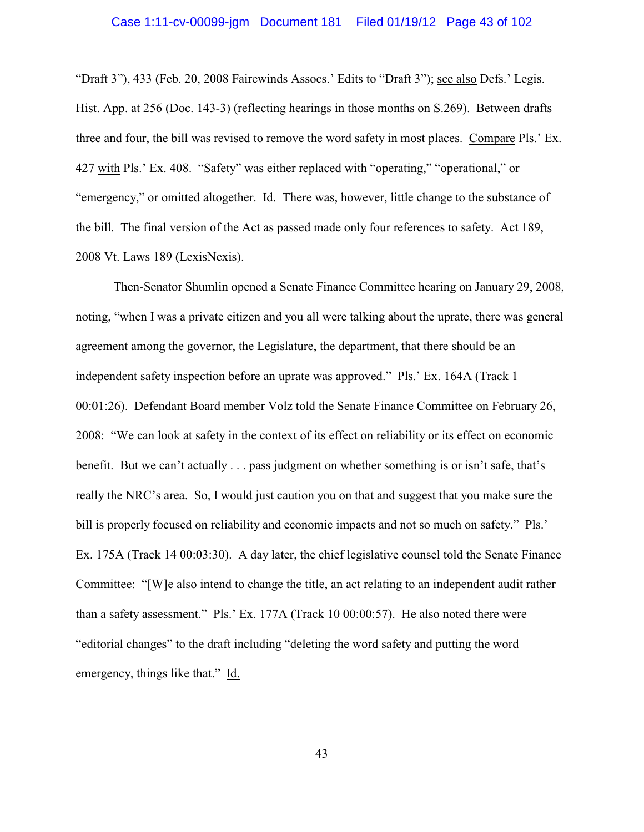## Case 1:11-cv-00099-jgm Document 181 Filed 01/19/12 Page 43 of 102

"Draft 3"), 433 (Feb. 20, 2008 Fairewinds Assocs.' Edits to "Draft 3"); see also Defs.' Legis. Hist. App. at 256 (Doc. 143-3) (reflecting hearings in those months on S.269). Between drafts three and four, the bill was revised to remove the word safety in most places. Compare Pls.' Ex. 427 with Pls.' Ex. 408. "Safety" was either replaced with "operating," "operational," or "emergency," or omitted altogether. Id. There was, however, little change to the substance of the bill. The final version of the Act as passed made only four references to safety. Act 189, 2008 Vt. Laws 189 (LexisNexis).

Then-Senator Shumlin opened a Senate Finance Committee hearing on January 29, 2008, noting, "when I was a private citizen and you all were talking about the uprate, there was general agreement among the governor, the Legislature, the department, that there should be an independent safety inspection before an uprate was approved." Pls.' Ex. 164A (Track 1 00:01:26). Defendant Board member Volz told the Senate Finance Committee on February 26, 2008: "We can look at safety in the context of its effect on reliability or its effect on economic benefit. But we can't actually . . . pass judgment on whether something is or isn't safe, that's really the NRC's area. So, I would just caution you on that and suggest that you make sure the bill is properly focused on reliability and economic impacts and not so much on safety." Pls.' Ex. 175A (Track 14 00:03:30). A day later, the chief legislative counsel told the Senate Finance Committee: "[W]e also intend to change the title, an act relating to an independent audit rather than a safety assessment." Pls.' Ex. 177A (Track 10 00:00:57). He also noted there were "editorial changes" to the draft including "deleting the word safety and putting the word emergency, things like that." Id.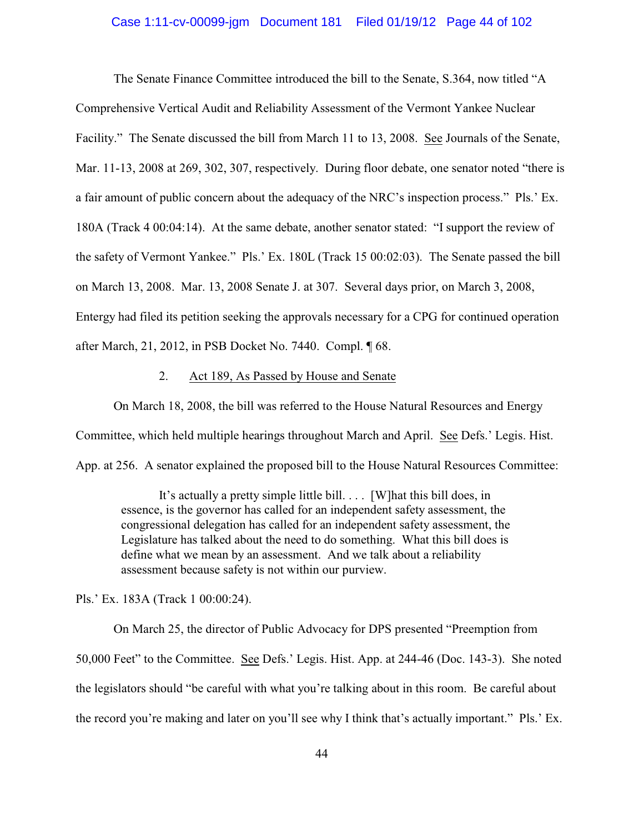### Case 1:11-cv-00099-jgm Document 181 Filed 01/19/12 Page 44 of 102

The Senate Finance Committee introduced the bill to the Senate, S.364, now titled "A Comprehensive Vertical Audit and Reliability Assessment of the Vermont Yankee Nuclear Facility." The Senate discussed the bill from March 11 to 13, 2008. See Journals of the Senate, Mar. 11-13, 2008 at 269, 302, 307, respectively. During floor debate, one senator noted "there is a fair amount of public concern about the adequacy of the NRC's inspection process." Pls.' Ex. 180A (Track 4 00:04:14). At the same debate, another senator stated: "I support the review of the safety of Vermont Yankee." Pls.' Ex. 180L (Track 15 00:02:03). The Senate passed the bill on March 13, 2008. Mar. 13, 2008 Senate J. at 307. Several days prior, on March 3, 2008, Entergy had filed its petition seeking the approvals necessary for a CPG for continued operation after March, 21, 2012, in PSB Docket No. 7440. Compl. ¶ 68.

## 2. Act 189, As Passed by House and Senate

On March 18, 2008, the bill was referred to the House Natural Resources and Energy Committee, which held multiple hearings throughout March and April. See Defs.' Legis. Hist. App. at 256. A senator explained the proposed bill to the House Natural Resources Committee:

It's actually a pretty simple little bill. . . . [W]hat this bill does, in essence, is the governor has called for an independent safety assessment, the congressional delegation has called for an independent safety assessment, the Legislature has talked about the need to do something. What this bill does is define what we mean by an assessment. And we talk about a reliability assessment because safety is not within our purview.

Pls.' Ex. 183A (Track 1 00:00:24).

On March 25, the director of Public Advocacy for DPS presented "Preemption from 50,000 Feet" to the Committee. See Defs.' Legis. Hist. App. at 244-46 (Doc. 143-3). She noted the legislators should "be careful with what you're talking about in this room. Be careful about the record you're making and later on you'll see why I think that's actually important." Pls.' Ex.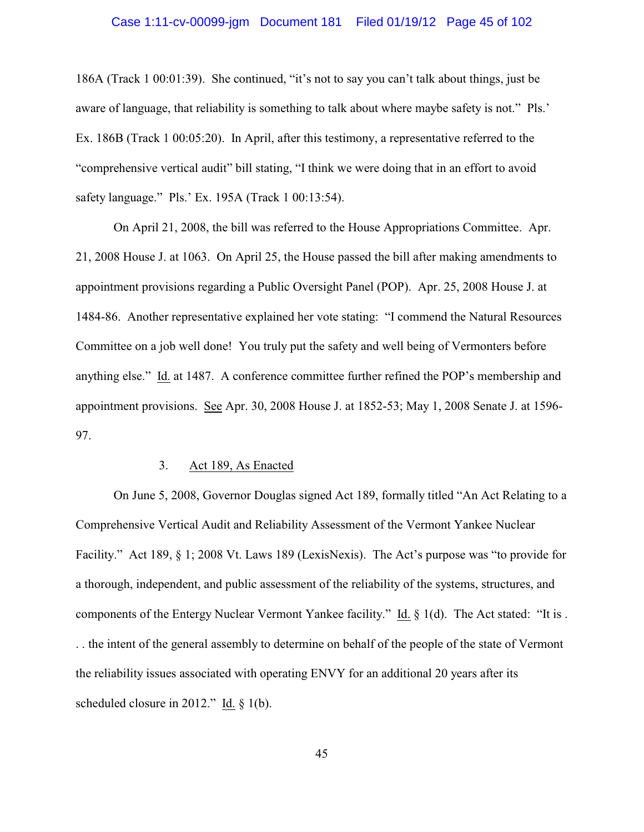## Case 1:11-cv-00099-jgm Document 181 Filed 01/19/12 Page 45 of 102

186A (Track 1 00:01:39). She continued, "it's not to say you can't talk about things, just be aware of language, that reliability is something to talk about where maybe safety is not." Pls.' Ex. 186B (Track 1 00:05:20). In April, after this testimony, a representative referred to the "comprehensive vertical audit" bill stating, "I think we were doing that in an effort to avoid safety language." Pls.' Ex. 195A (Track 1 00:13:54).

On April 21, 2008, the bill was referred to the House Appropriations Committee. Apr. 21, 2008 House J. at 1063. On April 25, the House passed the bill after making amendments to appointment provisions regarding a Public Oversight Panel (POP). Apr. 25, 2008 House J. at 1484-86. Another representative explained her vote stating: "I commend the Natural Resources Committee on a job well done! You truly put the safety and well being of Vermonters before anything else." Id. at 1487. A conference committee further refined the POP's membership and appointment provisions. See Apr. 30, 2008 House J. at 1852-53; May 1, 2008 Senate J. at 1596- 97.

### 3. Act 189, As Enacted

On June 5, 2008, Governor Douglas signed Act 189, formally titled "An Act Relating to a Comprehensive Vertical Audit and Reliability Assessment of the Vermont Yankee Nuclear Facility." Act 189, § 1; 2008 Vt. Laws 189 (LexisNexis). The Act's purpose was "to provide for a thorough, independent, and public assessment of the reliability of the systems, structures, and components of the Entergy Nuclear Vermont Yankee facility." Id. § 1(d). The Act stated: "It is . . . the intent of the general assembly to determine on behalf of the people of the state of Vermont the reliability issues associated with operating ENVY for an additional 20 years after its scheduled closure in 2012." Id. § 1(b).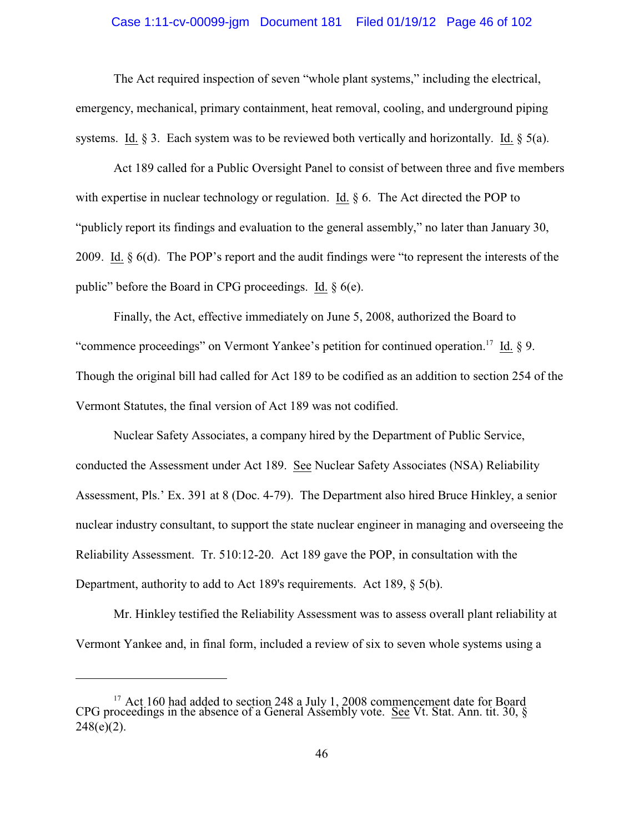## Case 1:11-cv-00099-jgm Document 181 Filed 01/19/12 Page 46 of 102

The Act required inspection of seven "whole plant systems," including the electrical, emergency, mechanical, primary containment, heat removal, cooling, and underground piping systems. Id. § 3. Each system was to be reviewed both vertically and horizontally. Id. § 5(a).

Act 189 called for a Public Oversight Panel to consist of between three and five members with expertise in nuclear technology or regulation. Id.  $\S 6$ . The Act directed the POP to "publicly report its findings and evaluation to the general assembly," no later than January 30, 2009. Id. § 6(d). The POP's report and the audit findings were "to represent the interests of the public" before the Board in CPG proceedings. Id. § 6(e).

Finally, the Act, effective immediately on June 5, 2008, authorized the Board to "commence proceedings" on Vermont Yankee's petition for continued operation.<sup>17</sup> Id.  $\S$  9. Though the original bill had called for Act 189 to be codified as an addition to section 254 of the Vermont Statutes, the final version of Act 189 was not codified.

Nuclear Safety Associates, a company hired by the Department of Public Service, conducted the Assessment under Act 189. See Nuclear Safety Associates (NSA) Reliability Assessment, Pls.' Ex. 391 at 8 (Doc. 4-79). The Department also hired Bruce Hinkley, a senior nuclear industry consultant, to support the state nuclear engineer in managing and overseeing the Reliability Assessment. Tr. 510:12-20. Act 189 gave the POP, in consultation with the Department, authority to add to Act 189's requirements. Act 189, § 5(b).

Mr. Hinkley testified the Reliability Assessment was to assess overall plant reliability at Vermont Yankee and, in final form, included a review of six to seven whole systems using a

 $17$  Act 160 had added to section 248 a July 1, 2008 commencement date for Board CPG proceedings in the absence of a General Assembly vote. See Vt. Stat. Ann. tit. 30,  $\S$  $248(e)(2)$ .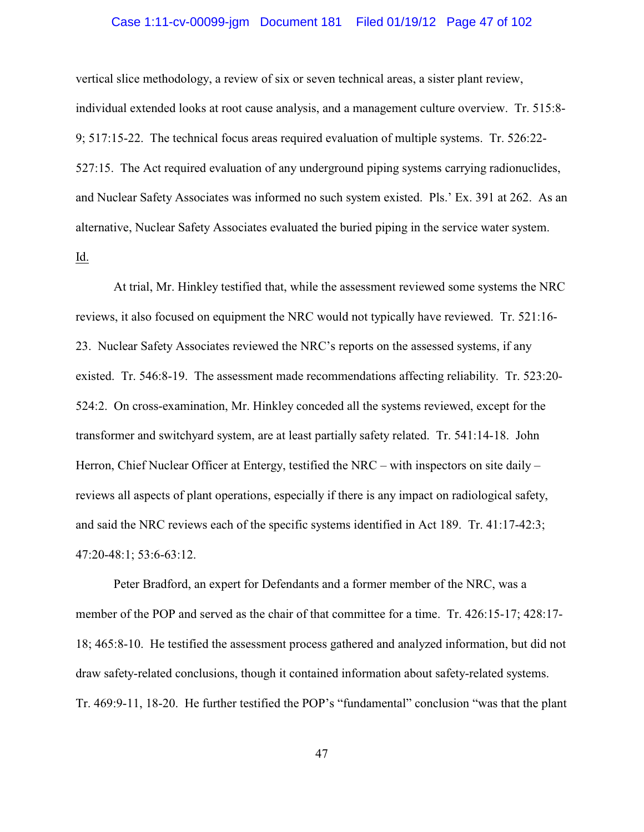## Case 1:11-cv-00099-jgm Document 181 Filed 01/19/12 Page 47 of 102

vertical slice methodology, a review of six or seven technical areas, a sister plant review, individual extended looks at root cause analysis, and a management culture overview. Tr. 515:8- 9; 517:15-22. The technical focus areas required evaluation of multiple systems. Tr. 526:22- 527:15. The Act required evaluation of any underground piping systems carrying radionuclides, and Nuclear Safety Associates was informed no such system existed. Pls.' Ex. 391 at 262. As an alternative, Nuclear Safety Associates evaluated the buried piping in the service water system. Id.

At trial, Mr. Hinkley testified that, while the assessment reviewed some systems the NRC reviews, it also focused on equipment the NRC would not typically have reviewed. Tr. 521:16- 23. Nuclear Safety Associates reviewed the NRC's reports on the assessed systems, if any existed. Tr. 546:8-19. The assessment made recommendations affecting reliability. Tr. 523:20- 524:2. On cross-examination, Mr. Hinkley conceded all the systems reviewed, except for the transformer and switchyard system, are at least partially safety related. Tr. 541:14-18. John Herron, Chief Nuclear Officer at Entergy, testified the NRC – with inspectors on site daily – reviews all aspects of plant operations, especially if there is any impact on radiological safety, and said the NRC reviews each of the specific systems identified in Act 189. Tr. 41:17-42:3; 47:20-48:1; 53:6-63:12.

Peter Bradford, an expert for Defendants and a former member of the NRC, was a member of the POP and served as the chair of that committee for a time. Tr. 426:15-17; 428:17- 18; 465:8-10. He testified the assessment process gathered and analyzed information, but did not draw safety-related conclusions, though it contained information about safety-related systems. Tr. 469:9-11, 18-20. He further testified the POP's "fundamental" conclusion "was that the plant

47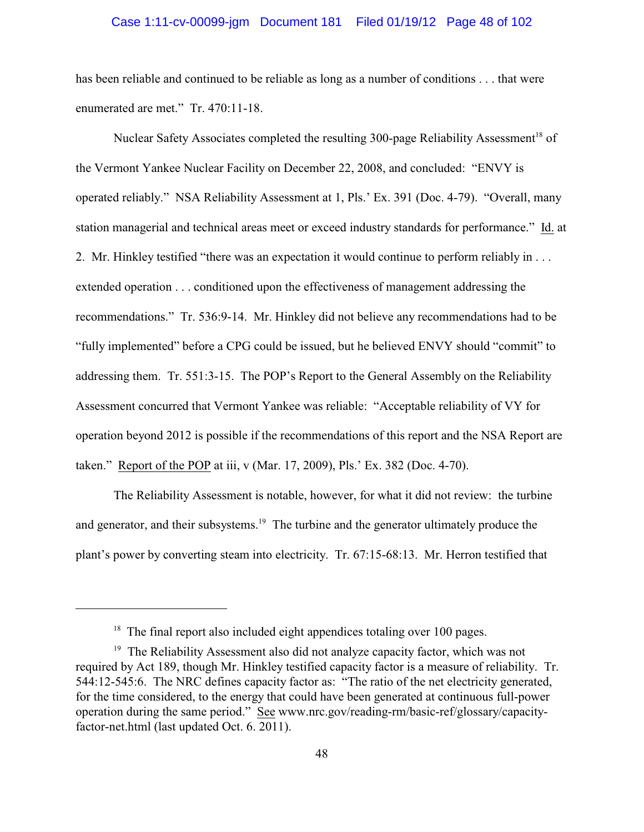### Case 1:11-cv-00099-jgm Document 181 Filed 01/19/12 Page 48 of 102

has been reliable and continued to be reliable as long as a number of conditions . . . that were enumerated are met." Tr. 470:11-18.

Nuclear Safety Associates completed the resulting 300-page Reliability Assessment<sup>18</sup> of the Vermont Yankee Nuclear Facility on December 22, 2008, and concluded: "ENVY is operated reliably." NSA Reliability Assessment at 1, Pls.' Ex. 391 (Doc. 4-79). "Overall, many station managerial and technical areas meet or exceed industry standards for performance." Id. at 2. Mr. Hinkley testified "there was an expectation it would continue to perform reliably in . . . extended operation . . . conditioned upon the effectiveness of management addressing the recommendations." Tr. 536:9-14. Mr. Hinkley did not believe any recommendations had to be "fully implemented" before a CPG could be issued, but he believed ENVY should "commit" to addressing them. Tr. 551:3-15. The POP's Report to the General Assembly on the Reliability Assessment concurred that Vermont Yankee was reliable: "Acceptable reliability of VY for operation beyond 2012 is possible if the recommendations of this report and the NSA Report are taken." Report of the POP at iii, v (Mar. 17, 2009), Pls.' Ex. 382 (Doc. 4-70).

The Reliability Assessment is notable, however, for what it did not review: the turbine and generator, and their subsystems.<sup>19</sup> The turbine and the generator ultimately produce the plant's power by converting steam into electricity. Tr. 67:15-68:13. Mr. Herron testified that

 $18$  The final report also included eight appendices totaling over 100 pages.

 $19$  The Reliability Assessment also did not analyze capacity factor, which was not required by Act 189, though Mr. Hinkley testified capacity factor is a measure of reliability. Tr. 544:12-545:6. The NRC defines capacity factor as: "The ratio of the net electricity generated, for the time considered, to the energy that could have been generated at continuous full-power operation during the same period." See www.nrc.gov/reading-rm/basic-ref/glossary/capacityfactor-net.html (last updated Oct. 6. 2011).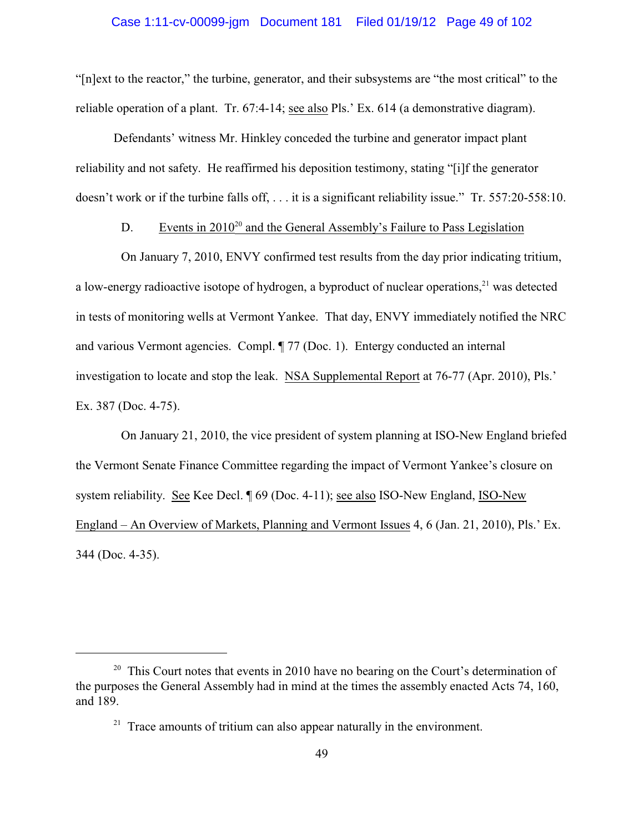"[n]ext to the reactor," the turbine, generator, and their subsystems are "the most critical" to the reliable operation of a plant. Tr. 67:4-14; see also Pls.' Ex. 614 (a demonstrative diagram).

Defendants' witness Mr. Hinkley conceded the turbine and generator impact plant reliability and not safety. He reaffirmed his deposition testimony, stating "[i]f the generator doesn't work or if the turbine falls off, . . . it is a significant reliability issue." Tr. 557:20-558:10.

# D. Events in  $2010^{20}$  and the General Assembly's Failure to Pass Legislation

On January 7, 2010, ENVY confirmed test results from the day prior indicating tritium, a low-energy radioactive isotope of hydrogen, a byproduct of nuclear operations, $^{21}$  was detected in tests of monitoring wells at Vermont Yankee. That day, ENVY immediately notified the NRC and various Vermont agencies. Compl. ¶ 77 (Doc. 1). Entergy conducted an internal investigation to locate and stop the leak. NSA Supplemental Report at 76-77 (Apr. 2010), Pls.' Ex. 387 (Doc. 4-75).

On January 21, 2010, the vice president of system planning at ISO-New England briefed the Vermont Senate Finance Committee regarding the impact of Vermont Yankee's closure on system reliability. See Kee Decl. ¶ 69 (Doc. 4-11); see also ISO-New England, ISO-New England – An Overview of Markets, Planning and Vermont Issues 4, 6 (Jan. 21, 2010), Pls.' Ex. 344 (Doc. 4-35).

 $20$  This Court notes that events in 2010 have no bearing on the Court's determination of the purposes the General Assembly had in mind at the times the assembly enacted Acts 74, 160, and 189.

 $21$  Trace amounts of tritium can also appear naturally in the environment.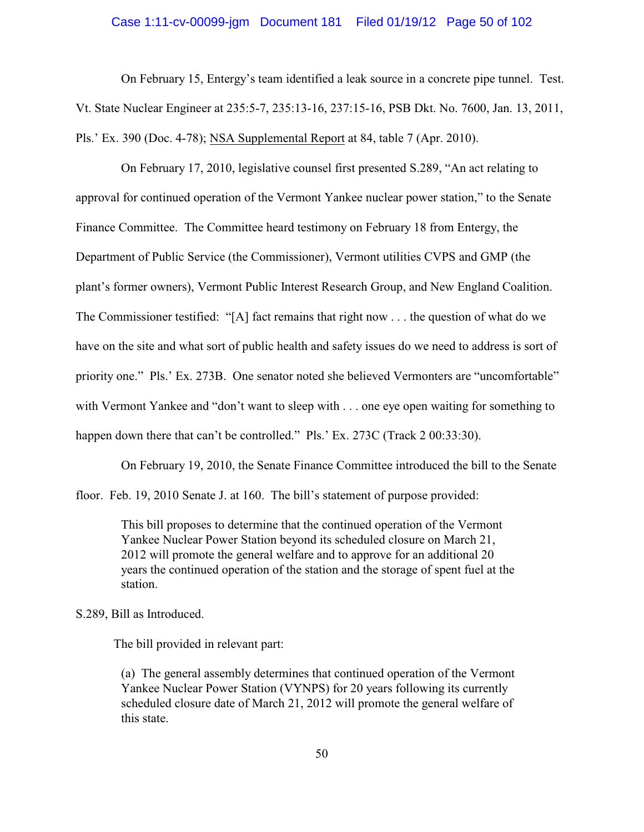### Case 1:11-cv-00099-jgm Document 181 Filed 01/19/12 Page 50 of 102

On February 15, Entergy's team identified a leak source in a concrete pipe tunnel. Test. Vt. State Nuclear Engineer at 235:5-7, 235:13-16, 237:15-16, PSB Dkt. No. 7600, Jan. 13, 2011, Pls.' Ex. 390 (Doc. 4-78); NSA Supplemental Report at 84, table 7 (Apr. 2010).

On February 17, 2010, legislative counsel first presented S.289, "An act relating to approval for continued operation of the Vermont Yankee nuclear power station," to the Senate Finance Committee. The Committee heard testimony on February 18 from Entergy, the Department of Public Service (the Commissioner), Vermont utilities CVPS and GMP (the plant's former owners), Vermont Public Interest Research Group, and New England Coalition. The Commissioner testified: "[A] fact remains that right now . . . the question of what do we have on the site and what sort of public health and safety issues do we need to address is sort of priority one." Pls.' Ex. 273B. One senator noted she believed Vermonters are "uncomfortable" with Vermont Yankee and "don't want to sleep with . . . one eye open waiting for something to happen down there that can't be controlled." Pls.' Ex. 273C (Track 2 00:33:30).

On February 19, 2010, the Senate Finance Committee introduced the bill to the Senate floor. Feb. 19, 2010 Senate J. at 160. The bill's statement of purpose provided:

This bill proposes to determine that the continued operation of the Vermont Yankee Nuclear Power Station beyond its scheduled closure on March 21, 2012 will promote the general welfare and to approve for an additional 20 years the continued operation of the station and the storage of spent fuel at the station.

S.289, Bill as Introduced.

The bill provided in relevant part:

(a) The general assembly determines that continued operation of the Vermont Yankee Nuclear Power Station (VYNPS) for 20 years following its currently scheduled closure date of March 21, 2012 will promote the general welfare of this state.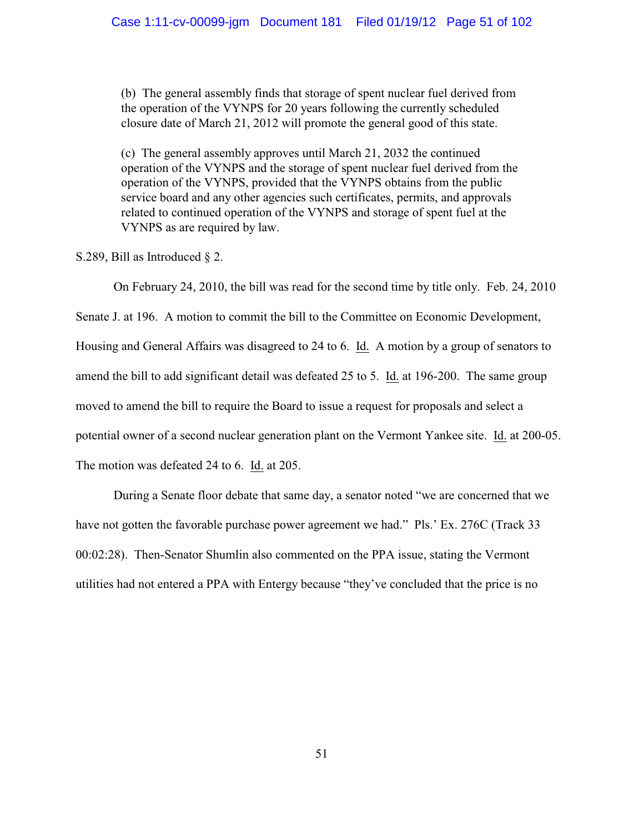(b) The general assembly finds that storage of spent nuclear fuel derived from the operation of the VYNPS for 20 years following the currently scheduled closure date of March 21, 2012 will promote the general good of this state.

(c) The general assembly approves until March 21, 2032 the continued operation of the VYNPS and the storage of spent nuclear fuel derived from the operation of the VYNPS, provided that the VYNPS obtains from the public service board and any other agencies such certificates, permits, and approvals related to continued operation of the VYNPS and storage of spent fuel at the VYNPS as are required by law.

S.289, Bill as Introduced § 2.

On February 24, 2010, the bill was read for the second time by title only. Feb. 24, 2010 Senate J. at 196. A motion to commit the bill to the Committee on Economic Development, Housing and General Affairs was disagreed to 24 to 6. Id. A motion by a group of senators to amend the bill to add significant detail was defeated 25 to 5. Id. at 196-200. The same group moved to amend the bill to require the Board to issue a request for proposals and select a potential owner of a second nuclear generation plant on the Vermont Yankee site. Id. at 200-05. The motion was defeated 24 to 6. Id. at 205.

During a Senate floor debate that same day, a senator noted "we are concerned that we have not gotten the favorable purchase power agreement we had." Pls.' Ex. 276C (Track 33 00:02:28). Then-Senator Shumlin also commented on the PPA issue, stating the Vermont utilities had not entered a PPA with Entergy because "they've concluded that the price is no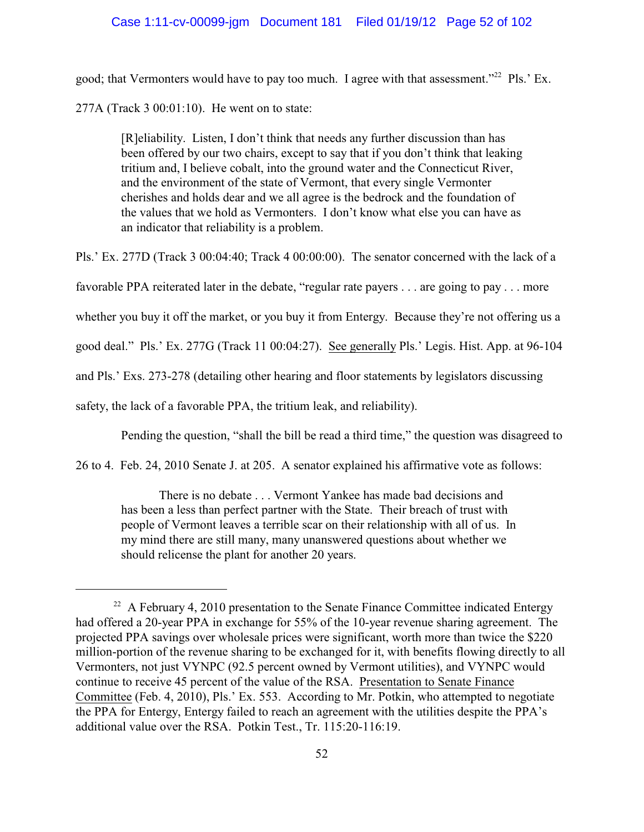good; that Vermonters would have to pay too much. I agree with that assessment."<sup>22</sup> Pls.' Ex.

277A (Track 3 00:01:10). He went on to state:

[R]eliability. Listen, I don't think that needs any further discussion than has been offered by our two chairs, except to say that if you don't think that leaking tritium and, I believe cobalt, into the ground water and the Connecticut River, and the environment of the state of Vermont, that every single Vermonter cherishes and holds dear and we all agree is the bedrock and the foundation of the values that we hold as Vermonters. I don't know what else you can have as an indicator that reliability is a problem.

Pls.' Ex. 277D (Track 3 00:04:40; Track 4 00:00:00). The senator concerned with the lack of a favorable PPA reiterated later in the debate, "regular rate payers . . . are going to pay . . . more whether you buy it off the market, or you buy it from Entergy. Because they're not offering us a good deal." Pls.' Ex. 277G (Track 11 00:04:27). See generally Pls.' Legis. Hist. App. at 96-104 and Pls.' Exs. 273-278 (detailing other hearing and floor statements by legislators discussing safety, the lack of a favorable PPA, the tritium leak, and reliability).

Pending the question, "shall the bill be read a third time," the question was disagreed to

26 to 4. Feb. 24, 2010 Senate J. at 205. A senator explained his affirmative vote as follows:

There is no debate . . . Vermont Yankee has made bad decisions and has been a less than perfect partner with the State. Their breach of trust with people of Vermont leaves a terrible scar on their relationship with all of us. In my mind there are still many, many unanswered questions about whether we should relicense the plant for another 20 years.

 $22$  A February 4, 2010 presentation to the Senate Finance Committee indicated Entergy had offered a 20-year PPA in exchange for 55% of the 10-year revenue sharing agreement. The projected PPA savings over wholesale prices were significant, worth more than twice the \$220 million-portion of the revenue sharing to be exchanged for it, with benefits flowing directly to all Vermonters, not just VYNPC (92.5 percent owned by Vermont utilities), and VYNPC would continue to receive 45 percent of the value of the RSA. Presentation to Senate Finance Committee (Feb. 4, 2010), Pls.' Ex. 553. According to Mr. Potkin, who attempted to negotiate the PPA for Entergy, Entergy failed to reach an agreement with the utilities despite the PPA's additional value over the RSA. Potkin Test., Tr. 115:20-116:19.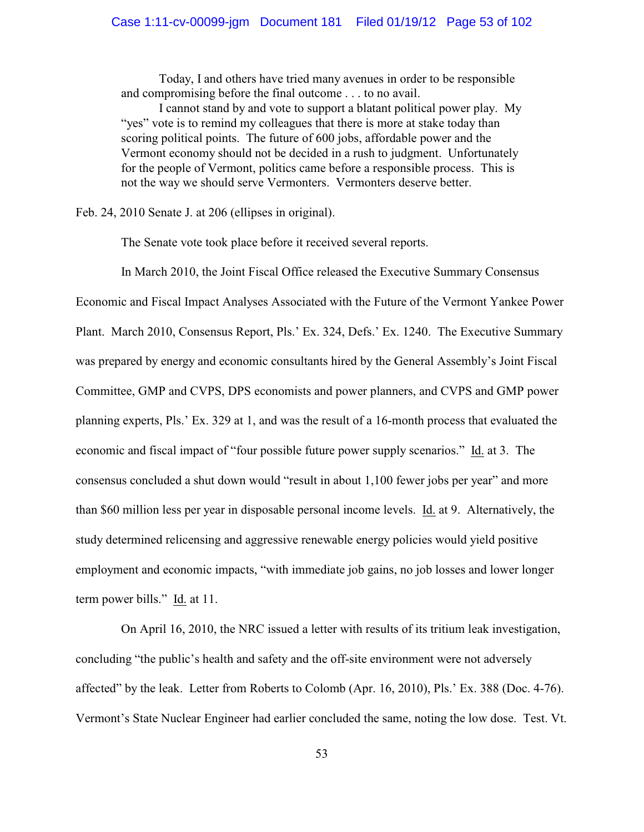Today, I and others have tried many avenues in order to be responsible and compromising before the final outcome . . . to no avail.

I cannot stand by and vote to support a blatant political power play. My "yes" vote is to remind my colleagues that there is more at stake today than scoring political points. The future of 600 jobs, affordable power and the Vermont economy should not be decided in a rush to judgment. Unfortunately for the people of Vermont, politics came before a responsible process. This is not the way we should serve Vermonters. Vermonters deserve better.

Feb. 24, 2010 Senate J. at 206 (ellipses in original).

The Senate vote took place before it received several reports.

In March 2010, the Joint Fiscal Office released the Executive Summary Consensus

Economic and Fiscal Impact Analyses Associated with the Future of the Vermont Yankee Power Plant. March 2010, Consensus Report, Pls.' Ex. 324, Defs.' Ex. 1240. The Executive Summary was prepared by energy and economic consultants hired by the General Assembly's Joint Fiscal Committee, GMP and CVPS, DPS economists and power planners, and CVPS and GMP power planning experts, Pls.' Ex. 329 at 1, and was the result of a 16-month process that evaluated the economic and fiscal impact of "four possible future power supply scenarios." Id. at 3. The consensus concluded a shut down would "result in about 1,100 fewer jobs per year" and more than \$60 million less per year in disposable personal income levels. Id. at 9. Alternatively, the study determined relicensing and aggressive renewable energy policies would yield positive employment and economic impacts, "with immediate job gains, no job losses and lower longer term power bills." Id. at 11.

On April 16, 2010, the NRC issued a letter with results of its tritium leak investigation, concluding "the public's health and safety and the off-site environment were not adversely affected" by the leak. Letter from Roberts to Colomb (Apr. 16, 2010), Pls.' Ex. 388 (Doc. 4-76). Vermont's State Nuclear Engineer had earlier concluded the same, noting the low dose. Test. Vt.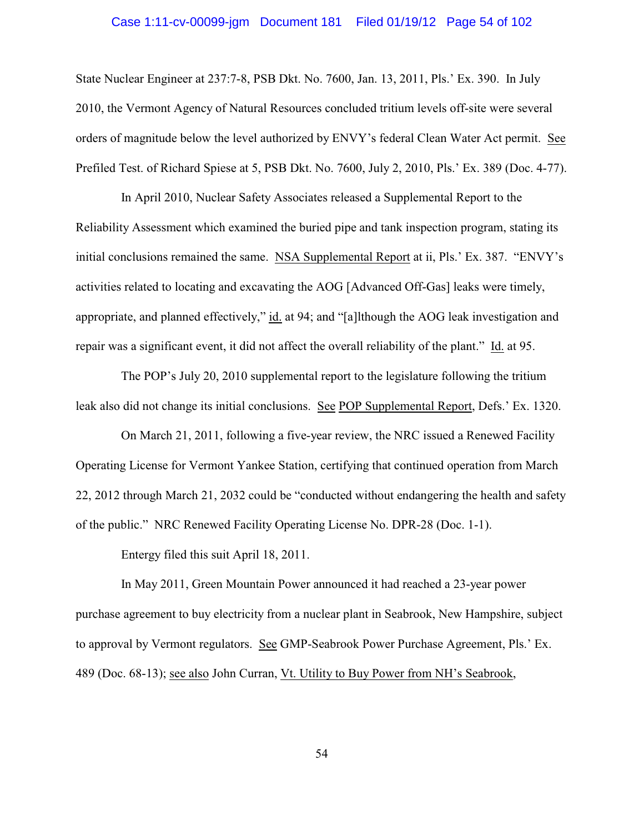## Case 1:11-cv-00099-jgm Document 181 Filed 01/19/12 Page 54 of 102

State Nuclear Engineer at 237:7-8, PSB Dkt. No. 7600, Jan. 13, 2011, Pls.' Ex. 390. In July 2010, the Vermont Agency of Natural Resources concluded tritium levels off-site were several orders of magnitude below the level authorized by ENVY's federal Clean Water Act permit. See Prefiled Test. of Richard Spiese at 5, PSB Dkt. No. 7600, July 2, 2010, Pls.' Ex. 389 (Doc. 4-77).

In April 2010, Nuclear Safety Associates released a Supplemental Report to the Reliability Assessment which examined the buried pipe and tank inspection program, stating its initial conclusions remained the same. NSA Supplemental Report at ii, Pls.' Ex. 387. "ENVY's activities related to locating and excavating the AOG [Advanced Off-Gas] leaks were timely, appropriate, and planned effectively," id. at 94; and "[a]lthough the AOG leak investigation and repair was a significant event, it did not affect the overall reliability of the plant." Id. at 95.

The POP's July 20, 2010 supplemental report to the legislature following the tritium leak also did not change its initial conclusions. See POP Supplemental Report, Defs.' Ex. 1320.

On March 21, 2011, following a five-year review, the NRC issued a Renewed Facility Operating License for Vermont Yankee Station, certifying that continued operation from March 22, 2012 through March 21, 2032 could be "conducted without endangering the health and safety of the public." NRC Renewed Facility Operating License No. DPR-28 (Doc. 1-1).

Entergy filed this suit April 18, 2011.

In May 2011, Green Mountain Power announced it had reached a 23-year power purchase agreement to buy electricity from a nuclear plant in Seabrook, New Hampshire, subject to approval by Vermont regulators. See GMP-Seabrook Power Purchase Agreement, Pls.' Ex. 489 (Doc. 68-13); see also John Curran, Vt. Utility to Buy Power from NH's Seabrook,

54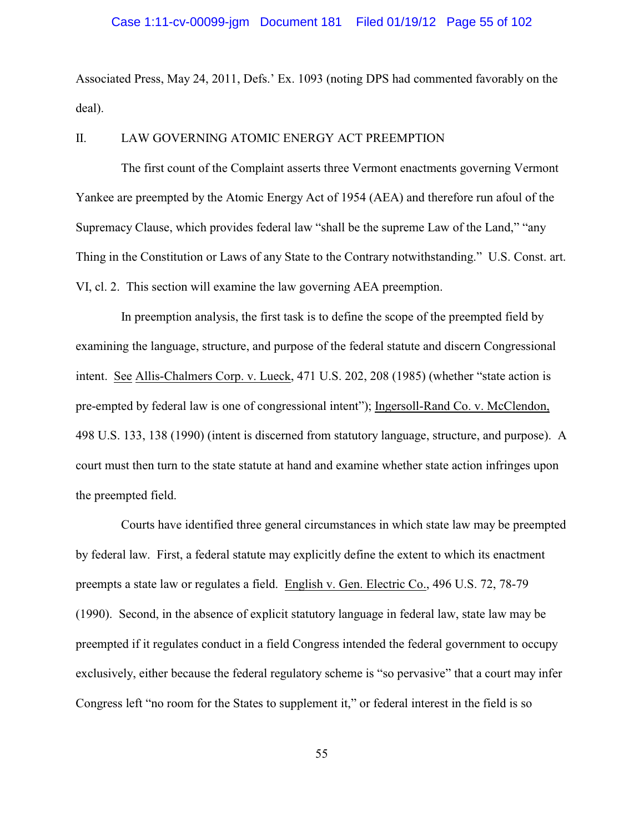Associated Press, May 24, 2011, Defs.' Ex. 1093 (noting DPS had commented favorably on the deal).

### II. LAW GOVERNING ATOMIC ENERGY ACT PREEMPTION

The first count of the Complaint asserts three Vermont enactments governing Vermont Yankee are preempted by the Atomic Energy Act of 1954 (AEA) and therefore run afoul of the Supremacy Clause, which provides federal law "shall be the supreme Law of the Land," "any Thing in the Constitution or Laws of any State to the Contrary notwithstanding." U.S. Const. art. VI, cl. 2. This section will examine the law governing AEA preemption.

In preemption analysis, the first task is to define the scope of the preempted field by examining the language, structure, and purpose of the federal statute and discern Congressional intent. See Allis-Chalmers Corp. v. Lueck, 471 U.S. 202, 208 (1985) (whether "state action is pre-empted by federal law is one of congressional intent"); Ingersoll-Rand Co. v. McClendon, 498 U.S. 133, 138 (1990) (intent is discerned from statutory language, structure, and purpose). A court must then turn to the state statute at hand and examine whether state action infringes upon the preempted field.

Courts have identified three general circumstances in which state law may be preempted by federal law. First, a federal statute may explicitly define the extent to which its enactment preempts a state law or regulates a field. English v. Gen. Electric Co., 496 U.S. 72, 78-79 (1990). Second, in the absence of explicit statutory language in federal law, state law may be preempted if it regulates conduct in a field Congress intended the federal government to occupy exclusively, either because the federal regulatory scheme is "so pervasive" that a court may infer Congress left "no room for the States to supplement it," or federal interest in the field is so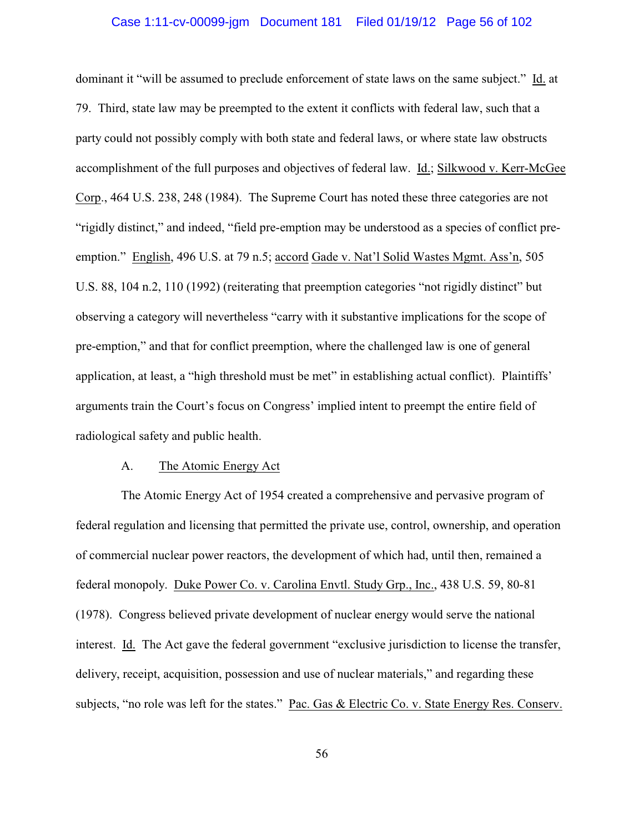### Case 1:11-cv-00099-jgm Document 181 Filed 01/19/12 Page 56 of 102

dominant it "will be assumed to preclude enforcement of state laws on the same subject." Id. at 79. Third, state law may be preempted to the extent it conflicts with federal law, such that a party could not possibly comply with both state and federal laws, or where state law obstructs accomplishment of the full purposes and objectives of federal law. Id.; Silkwood v. Kerr-McGee Corp., 464 U.S. 238, 248 (1984). The Supreme Court has noted these three categories are not "rigidly distinct," and indeed, "field pre-emption may be understood as a species of conflict preemption." English, 496 U.S. at 79 n.5; accord Gade v. Nat'l Solid Wastes Mgmt. Ass'n, 505 U.S. 88, 104 n.2, 110 (1992) (reiterating that preemption categories "not rigidly distinct" but observing a category will nevertheless "carry with it substantive implications for the scope of pre-emption," and that for conflict preemption, where the challenged law is one of general application, at least, a "high threshold must be met" in establishing actual conflict). Plaintiffs' arguments train the Court's focus on Congress' implied intent to preempt the entire field of radiological safety and public health.

#### A. The Atomic Energy Act

The Atomic Energy Act of 1954 created a comprehensive and pervasive program of federal regulation and licensing that permitted the private use, control, ownership, and operation of commercial nuclear power reactors, the development of which had, until then, remained a federal monopoly. Duke Power Co. v. Carolina Envtl. Study Grp., Inc., 438 U.S. 59, 80-81 (1978). Congress believed private development of nuclear energy would serve the national interest. Id. The Act gave the federal government "exclusive jurisdiction to license the transfer, delivery, receipt, acquisition, possession and use of nuclear materials," and regarding these subjects, "no role was left for the states." Pac. Gas & Electric Co. v. State Energy Res. Conserv.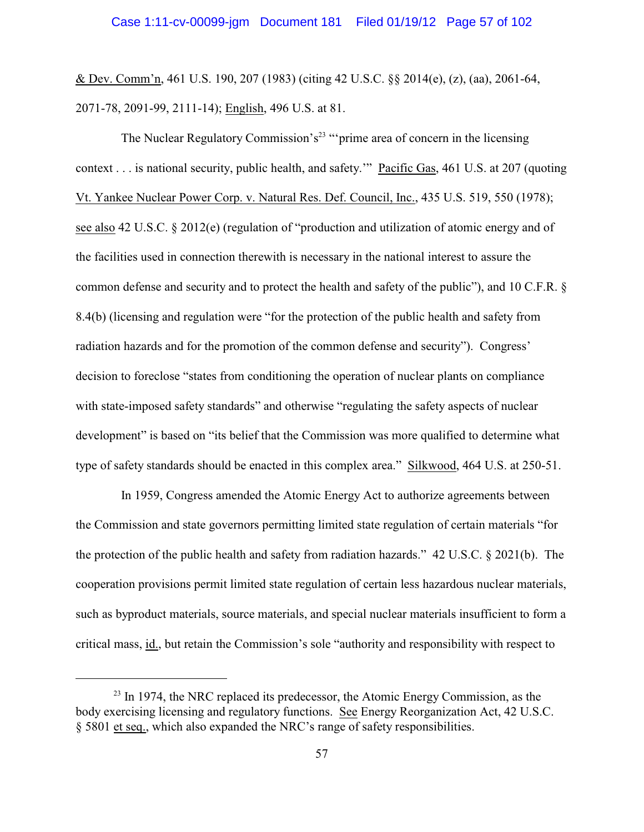& Dev. Comm'n, 461 U.S. 190, 207 (1983) (citing 42 U.S.C. §§ 2014(e), (z), (aa), 2061-64, 2071-78, 2091-99, 2111-14); English, 496 U.S. at 81.

The Nuclear Regulatory Commission's<sup>23</sup> "'prime area of concern in the licensing context . . . is national security, public health, and safety.'" Pacific Gas, 461 U.S. at 207 (quoting Vt. Yankee Nuclear Power Corp. v. Natural Res. Def. Council, Inc., 435 U.S. 519, 550 (1978); see also 42 U.S.C. § 2012(e) (regulation of "production and utilization of atomic energy and of the facilities used in connection therewith is necessary in the national interest to assure the common defense and security and to protect the health and safety of the public"), and 10 C.F.R. § 8.4(b) (licensing and regulation were "for the protection of the public health and safety from radiation hazards and for the promotion of the common defense and security"). Congress' decision to foreclose "states from conditioning the operation of nuclear plants on compliance with state-imposed safety standards" and otherwise "regulating the safety aspects of nuclear development" is based on "its belief that the Commission was more qualified to determine what type of safety standards should be enacted in this complex area." Silkwood, 464 U.S. at 250-51.

In 1959, Congress amended the Atomic Energy Act to authorize agreements between the Commission and state governors permitting limited state regulation of certain materials "for the protection of the public health and safety from radiation hazards." 42 U.S.C. § 2021(b). The cooperation provisions permit limited state regulation of certain less hazardous nuclear materials, such as byproduct materials, source materials, and special nuclear materials insufficient to form a critical mass, id., but retain the Commission's sole "authority and responsibility with respect to

 $23$  In 1974, the NRC replaced its predecessor, the Atomic Energy Commission, as the body exercising licensing and regulatory functions. See Energy Reorganization Act, 42 U.S.C. § 5801 et seq., which also expanded the NRC's range of safety responsibilities.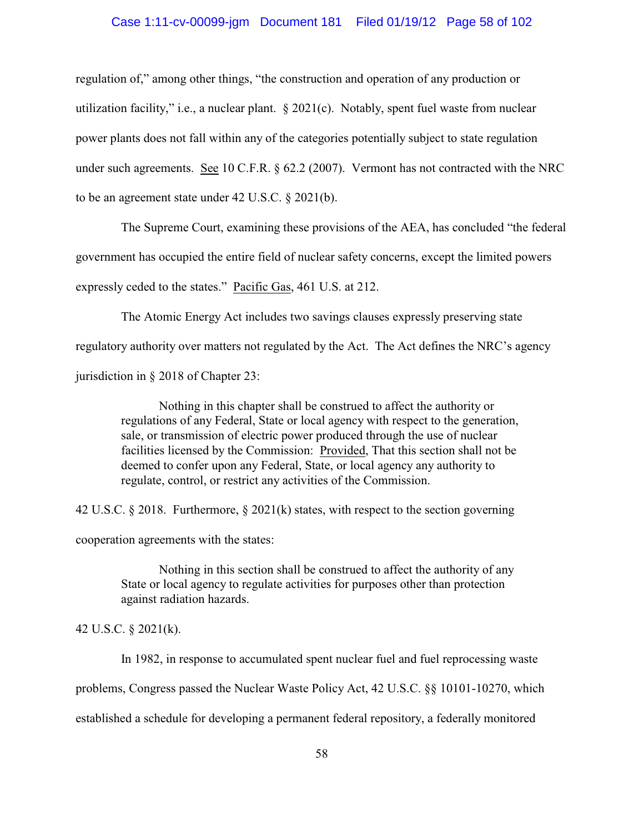## Case 1:11-cv-00099-jgm Document 181 Filed 01/19/12 Page 58 of 102

regulation of," among other things, "the construction and operation of any production or utilization facility," i.e., a nuclear plant. § 2021(c). Notably, spent fuel waste from nuclear power plants does not fall within any of the categories potentially subject to state regulation under such agreements. See 10 C.F.R. § 62.2 (2007). Vermont has not contracted with the NRC to be an agreement state under 42 U.S.C. § 2021(b).

The Supreme Court, examining these provisions of the AEA, has concluded "the federal government has occupied the entire field of nuclear safety concerns, except the limited powers expressly ceded to the states." Pacific Gas, 461 U.S. at 212.

The Atomic Energy Act includes two savings clauses expressly preserving state regulatory authority over matters not regulated by the Act. The Act defines the NRC's agency jurisdiction in § 2018 of Chapter 23:

Nothing in this chapter shall be construed to affect the authority or regulations of any Federal, State or local agency with respect to the generation, sale, or transmission of electric power produced through the use of nuclear facilities licensed by the Commission: Provided, That this section shall not be deemed to confer upon any Federal, State, or local agency any authority to regulate, control, or restrict any activities of the Commission.

42 U.S.C. § 2018. Furthermore, § 2021(k) states, with respect to the section governing

cooperation agreements with the states:

Nothing in this section shall be construed to affect the authority of any State or local agency to regulate activities for purposes other than protection against radiation hazards.

42 U.S.C. § 2021(k).

In 1982, in response to accumulated spent nuclear fuel and fuel reprocessing waste problems, Congress passed the Nuclear Waste Policy Act, 42 U.S.C. §§ 10101-10270, which established a schedule for developing a permanent federal repository, a federally monitored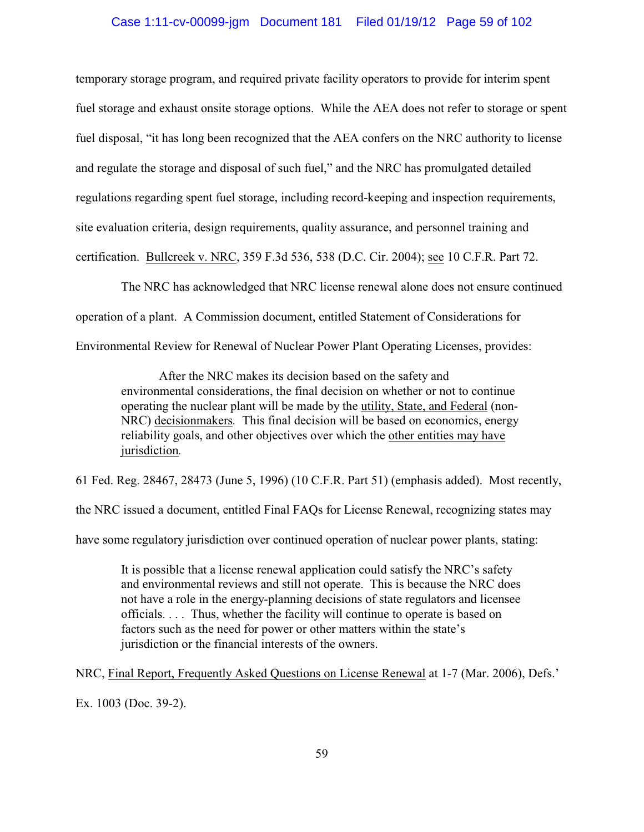### Case 1:11-cv-00099-jgm Document 181 Filed 01/19/12 Page 59 of 102

temporary storage program, and required private facility operators to provide for interim spent fuel storage and exhaust onsite storage options. While the AEA does not refer to storage or spent fuel disposal, "it has long been recognized that the AEA confers on the NRC authority to license and regulate the storage and disposal of such fuel," and the NRC has promulgated detailed regulations regarding spent fuel storage, including record-keeping and inspection requirements, site evaluation criteria, design requirements, quality assurance, and personnel training and certification. Bullcreek v. NRC, 359 F.3d 536, 538 (D.C. Cir. 2004); see 10 C.F.R. Part 72.

The NRC has acknowledged that NRC license renewal alone does not ensure continued operation of a plant. A Commission document, entitled Statement of Considerations for Environmental Review for Renewal of Nuclear Power Plant Operating Licenses, provides:

After the NRC makes its decision based on the safety and environmental considerations, the final decision on whether or not to continue operating the nuclear plant will be made by the utility, State, and Federal (non-NRC) decisionmakers*.* This final decision will be based on economics, energy reliability goals, and other objectives over which the other entities may have jurisdiction*.* 

61 Fed. Reg. 28467, 28473 (June 5, 1996) (10 C.F.R. Part 51) (emphasis added). Most recently,

the NRC issued a document, entitled Final FAQs for License Renewal, recognizing states may

have some regulatory jurisdiction over continued operation of nuclear power plants, stating:

It is possible that a license renewal application could satisfy the NRC's safety and environmental reviews and still not operate. This is because the NRC does not have a role in the energy-planning decisions of state regulators and licensee officials. . . . Thus, whether the facility will continue to operate is based on factors such as the need for power or other matters within the state's jurisdiction or the financial interests of the owners.

NRC, Final Report, Frequently Asked Questions on License Renewal at 1-7 (Mar. 2006), Defs.' Ex. 1003 (Doc. 39-2).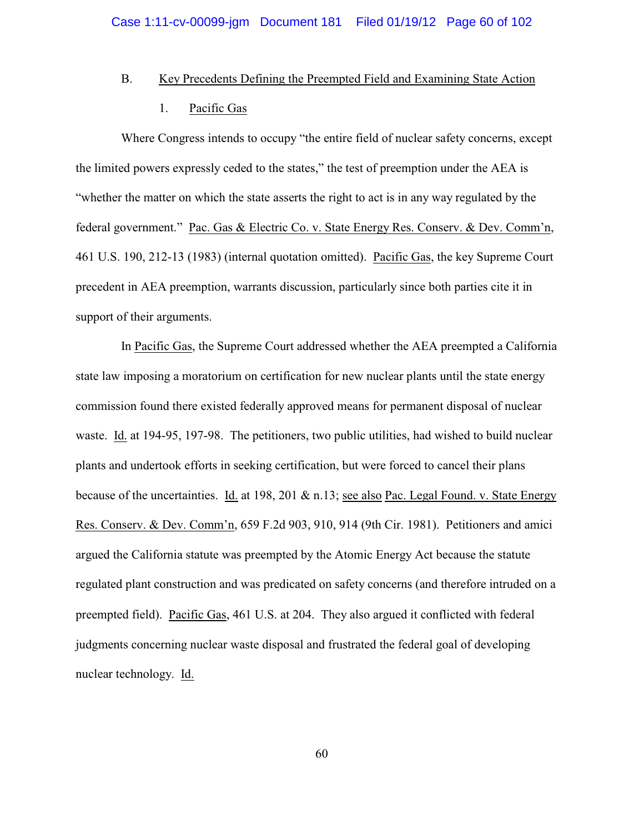### B. Key Precedents Defining the Preempted Field and Examining State Action

### 1. Pacific Gas

Where Congress intends to occupy "the entire field of nuclear safety concerns, except the limited powers expressly ceded to the states," the test of preemption under the AEA is "whether the matter on which the state asserts the right to act is in any way regulated by the federal government." Pac. Gas & Electric Co. v. State Energy Res. Conserv. & Dev. Comm'n, 461 U.S. 190, 212-13 (1983) (internal quotation omitted). Pacific Gas, the key Supreme Court precedent in AEA preemption, warrants discussion, particularly since both parties cite it in support of their arguments.

In Pacific Gas, the Supreme Court addressed whether the AEA preempted a California state law imposing a moratorium on certification for new nuclear plants until the state energy commission found there existed federally approved means for permanent disposal of nuclear waste. Id. at 194-95, 197-98. The petitioners, two public utilities, had wished to build nuclear plants and undertook efforts in seeking certification, but were forced to cancel their plans because of the uncertainties. Id. at 198, 201 & n.13; see also Pac. Legal Found. v. State Energy Res. Conserv. & Dev. Comm'n, 659 F.2d 903, 910, 914 (9th Cir. 1981). Petitioners and amici argued the California statute was preempted by the Atomic Energy Act because the statute regulated plant construction and was predicated on safety concerns (and therefore intruded on a preempted field). Pacific Gas, 461 U.S. at 204.They also argued it conflicted with federal judgments concerning nuclear waste disposal and frustrated the federal goal of developing nuclear technology. Id.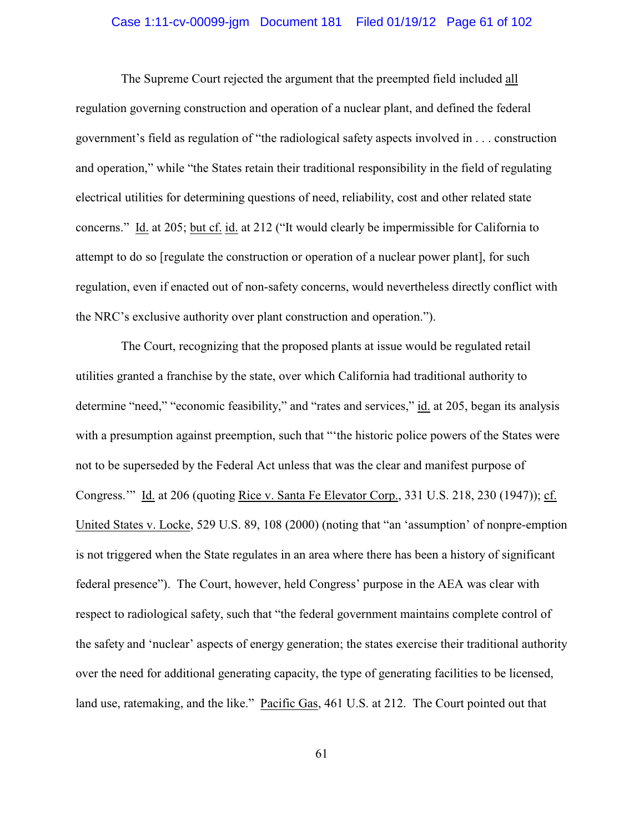## Case 1:11-cv-00099-jgm Document 181 Filed 01/19/12 Page 61 of 102

The Supreme Court rejected the argument that the preempted field included all regulation governing construction and operation of a nuclear plant, and defined the federal government's field as regulation of "the radiological safety aspects involved in . . . construction and operation," while "the States retain their traditional responsibility in the field of regulating electrical utilities for determining questions of need, reliability, cost and other related state concerns." Id. at 205; but cf. id. at 212 ("It would clearly be impermissible for California to attempt to do so [regulate the construction or operation of a nuclear power plant], for such regulation, even if enacted out of non-safety concerns, would nevertheless directly conflict with the NRC's exclusive authority over plant construction and operation.").

The Court, recognizing that the proposed plants at issue would be regulated retail utilities granted a franchise by the state, over which California had traditional authority to determine "need," "economic feasibility," and "rates and services," id. at 205, began its analysis with a presumption against preemption, such that "the historic police powers of the States were not to be superseded by the Federal Act unless that was the clear and manifest purpose of Congress.'" Id. at 206 (quoting Rice v. Santa Fe Elevator Corp., 331 U.S. 218, 230 (1947)); cf. United States v. Locke, 529 U.S. 89, 108 (2000) (noting that "an 'assumption' of nonpre-emption is not triggered when the State regulates in an area where there has been a history of significant federal presence"). The Court, however, held Congress' purpose in the AEA was clear with respect to radiological safety, such that "the federal government maintains complete control of the safety and 'nuclear' aspects of energy generation; the states exercise their traditional authority over the need for additional generating capacity, the type of generating facilities to be licensed, land use, ratemaking, and the like." Pacific Gas, 461 U.S. at 212. The Court pointed out that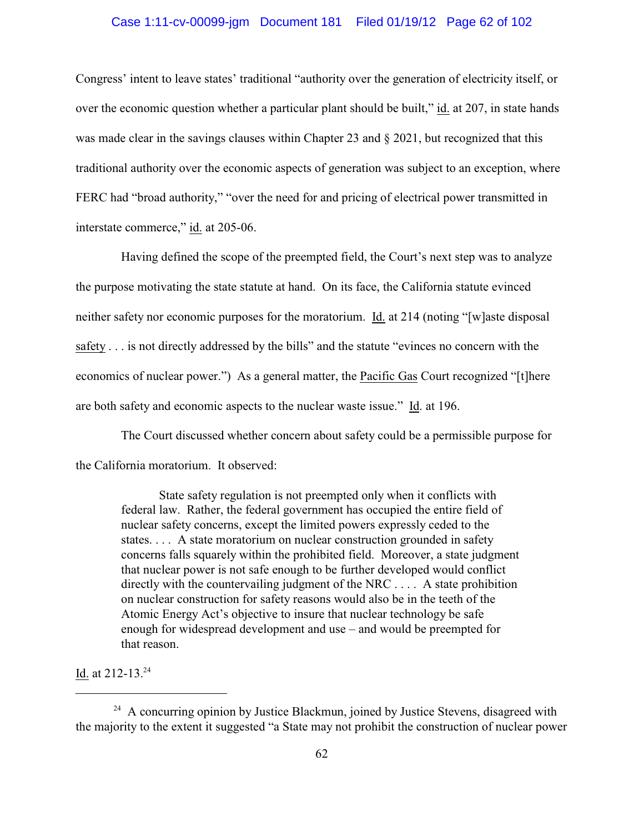### Case 1:11-cv-00099-jgm Document 181 Filed 01/19/12 Page 62 of 102

Congress' intent to leave states' traditional "authority over the generation of electricity itself, or over the economic question whether a particular plant should be built," id. at 207, in state hands was made clear in the savings clauses within Chapter 23 and § 2021, but recognized that this traditional authority over the economic aspects of generation was subject to an exception, where FERC had "broad authority," "over the need for and pricing of electrical power transmitted in interstate commerce," id. at 205-06.

Having defined the scope of the preempted field, the Court's next step was to analyze the purpose motivating the state statute at hand. On its face, the California statute evinced neither safety nor economic purposes for the moratorium. Id. at 214 (noting "[w]aste disposal safety . . . is not directly addressed by the bills" and the statute "evinces no concern with the economics of nuclear power.") As a general matter, the Pacific Gas Court recognized "[t]here are both safety and economic aspects to the nuclear waste issue." Id. at 196.

The Court discussed whether concern about safety could be a permissible purpose for the California moratorium. It observed:

State safety regulation is not preempted only when it conflicts with federal law. Rather, the federal government has occupied the entire field of nuclear safety concerns, except the limited powers expressly ceded to the states. . . . A state moratorium on nuclear construction grounded in safety concerns falls squarely within the prohibited field. Moreover, a state judgment that nuclear power is not safe enough to be further developed would conflict directly with the countervailing judgment of the NRC . . . . A state prohibition on nuclear construction for safety reasons would also be in the teeth of the Atomic Energy Act's objective to insure that nuclear technology be safe enough for widespread development and use – and would be preempted for that reason.

Id. at 212-13.<sup>24</sup>

 $^{24}$  A concurring opinion by Justice Blackmun, joined by Justice Stevens, disagreed with the majority to the extent it suggested "a State may not prohibit the construction of nuclear power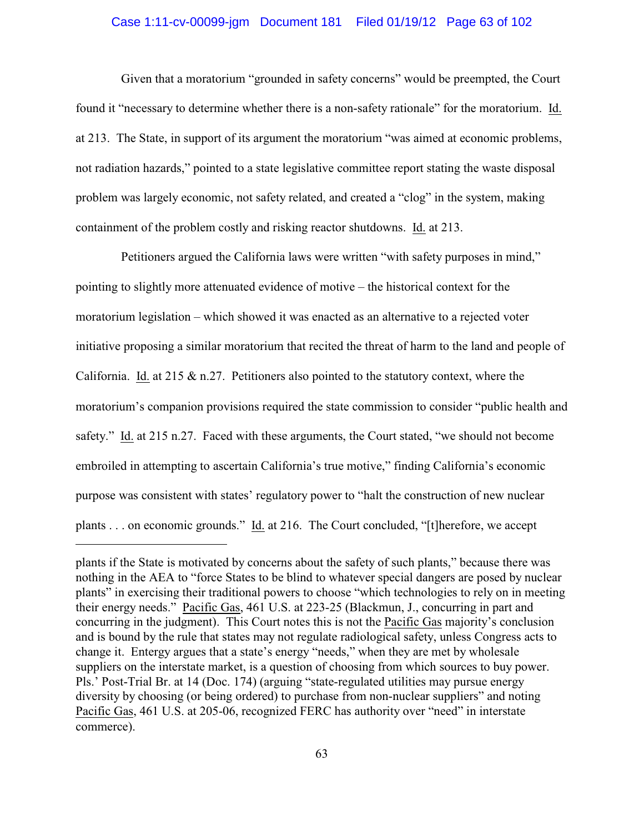### Case 1:11-cv-00099-jgm Document 181 Filed 01/19/12 Page 63 of 102

Given that a moratorium "grounded in safety concerns" would be preempted, the Court found it "necessary to determine whether there is a non-safety rationale" for the moratorium. Id. at 213. The State, in support of its argument the moratorium "was aimed at economic problems, not radiation hazards," pointed to a state legislative committee report stating the waste disposal problem was largely economic, not safety related, and created a "clog" in the system, making containment of the problem costly and risking reactor shutdowns. Id. at 213.

Petitioners argued the California laws were written "with safety purposes in mind," pointing to slightly more attenuated evidence of motive – the historical context for the moratorium legislation – which showed it was enacted as an alternative to a rejected voter initiative proposing a similar moratorium that recited the threat of harm to the land and people of California. Id. at 215 & n.27.Petitioners also pointed to the statutory context, where the moratorium's companion provisions required the state commission to consider "public health and safety." Id. at 215 n.27. Faced with these arguments, the Court stated, "we should not become embroiled in attempting to ascertain California's true motive," finding California's economic purpose was consistent with states' regulatory power to "halt the construction of new nuclear plants . . . on economic grounds." Id. at 216. The Court concluded, "[t]herefore, we accept

plants if the State is motivated by concerns about the safety of such plants," because there was nothing in the AEA to "force States to be blind to whatever special dangers are posed by nuclear plants" in exercising their traditional powers to choose "which technologies to rely on in meeting their energy needs." Pacific Gas, 461 U.S. at 223-25 (Blackmun, J., concurring in part and concurring in the judgment). This Court notes this is not the Pacific Gas majority's conclusion and is bound by the rule that states may not regulate radiological safety, unless Congress acts to change it. Entergy argues that a state's energy "needs," when they are met by wholesale suppliers on the interstate market, is a question of choosing from which sources to buy power. Pls.' Post-Trial Br. at 14 (Doc. 174) (arguing "state-regulated utilities may pursue energy diversity by choosing (or being ordered) to purchase from non-nuclear suppliers" and noting Pacific Gas, 461 U.S. at 205-06, recognized FERC has authority over "need" in interstate commerce).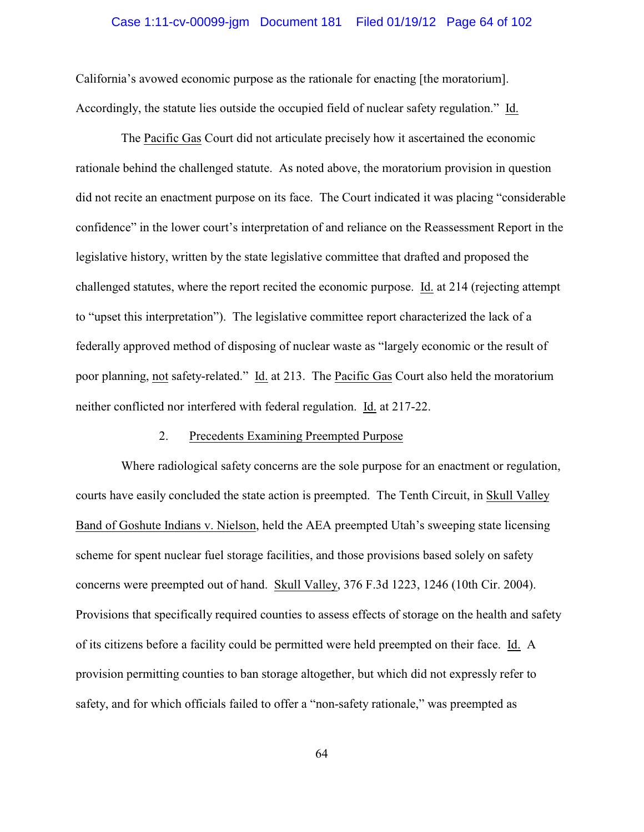## Case 1:11-cv-00099-jgm Document 181 Filed 01/19/12 Page 64 of 102

California's avowed economic purpose as the rationale for enacting [the moratorium]. Accordingly, the statute lies outside the occupied field of nuclear safety regulation." Id.

The Pacific Gas Court did not articulate precisely how it ascertained the economic rationale behind the challenged statute. As noted above, the moratorium provision in question did not recite an enactment purpose on its face. The Court indicated it was placing "considerable confidence" in the lower court's interpretation of and reliance on the Reassessment Report in the legislative history, written by the state legislative committee that drafted and proposed the challenged statutes, where the report recited the economic purpose. Id. at 214 (rejecting attempt to "upset this interpretation"). The legislative committee report characterized the lack of a federally approved method of disposing of nuclear waste as "largely economic or the result of poor planning, not safety-related." Id. at 213.The Pacific Gas Court also held the moratorium neither conflicted nor interfered with federal regulation. Id. at 217-22.

### 2. Precedents Examining Preempted Purpose

Where radiological safety concerns are the sole purpose for an enactment or regulation, courts have easily concluded the state action is preempted. The Tenth Circuit, in Skull Valley Band of Goshute Indians v. Nielson, held the AEA preempted Utah's sweeping state licensing scheme for spent nuclear fuel storage facilities, and those provisions based solely on safety concerns were preempted out of hand. Skull Valley, 376 F.3d 1223, 1246 (10th Cir. 2004). Provisions that specifically required counties to assess effects of storage on the health and safety of its citizens before a facility could be permitted were held preempted on their face. Id. A provision permitting counties to ban storage altogether, but which did not expressly refer to safety, and for which officials failed to offer a "non-safety rationale," was preempted as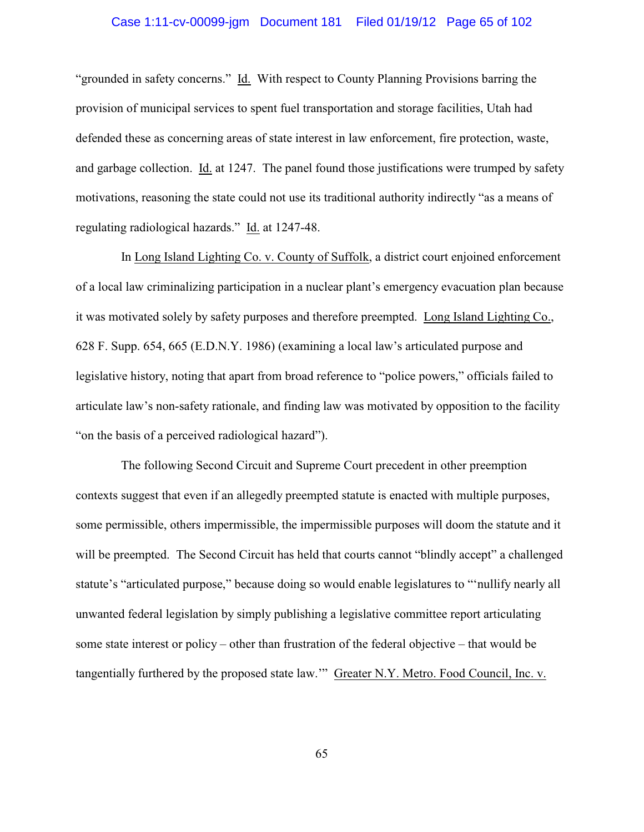## Case 1:11-cv-00099-jgm Document 181 Filed 01/19/12 Page 65 of 102

"grounded in safety concerns." Id. With respect to County Planning Provisions barring the provision of municipal services to spent fuel transportation and storage facilities, Utah had defended these as concerning areas of state interest in law enforcement, fire protection, waste, and garbage collection. Id. at 1247. The panel found those justifications were trumped by safety motivations, reasoning the state could not use its traditional authority indirectly "as a means of regulating radiological hazards." Id. at 1247-48.

In Long Island Lighting Co. v. County of Suffolk, a district court enjoined enforcement of a local law criminalizing participation in a nuclear plant's emergency evacuation plan because it was motivated solely by safety purposes and therefore preempted. Long Island Lighting Co., 628 F. Supp. 654, 665 (E.D.N.Y. 1986) (examining a local law's articulated purpose and legislative history, noting that apart from broad reference to "police powers," officials failed to articulate law's non-safety rationale, and finding law was motivated by opposition to the facility "on the basis of a perceived radiological hazard").

The following Second Circuit and Supreme Court precedent in other preemption contexts suggest that even if an allegedly preempted statute is enacted with multiple purposes, some permissible, others impermissible, the impermissible purposes will doom the statute and it will be preempted. The Second Circuit has held that courts cannot "blindly accept" a challenged statute's "articulated purpose," because doing so would enable legislatures to "'nullify nearly all unwanted federal legislation by simply publishing a legislative committee report articulating some state interest or policy – other than frustration of the federal objective – that would be tangentially furthered by the proposed state law.'" Greater N.Y. Metro. Food Council, Inc. v.

65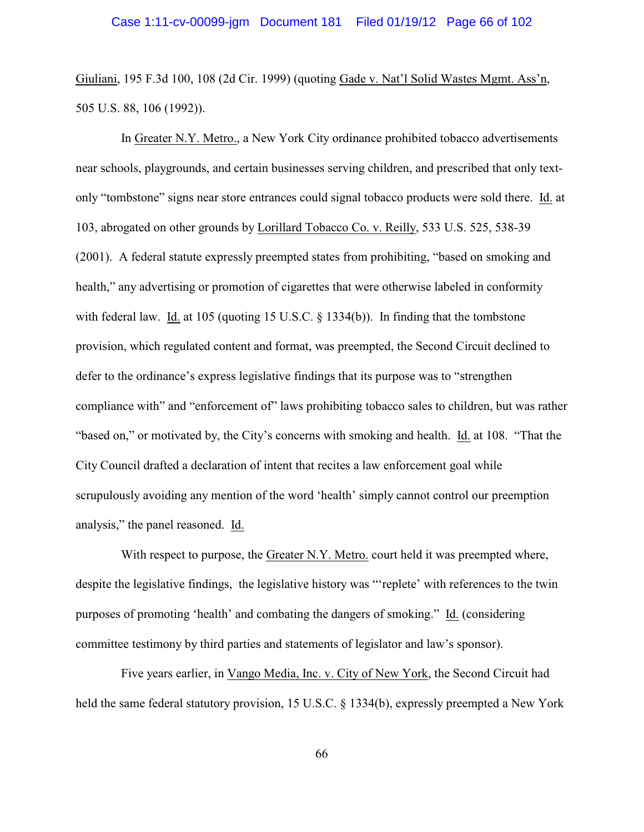Giuliani, 195 F.3d 100, 108 (2d Cir. 1999) (quoting Gade v. Nat'l Solid Wastes Mgmt. Ass'n, 505 U.S. 88, 106 (1992)).

In Greater N.Y. Metro., a New York City ordinance prohibited tobacco advertisements near schools, playgrounds, and certain businesses serving children, and prescribed that only textonly "tombstone" signs near store entrances could signal tobacco products were sold there. Id. at 103, abrogated on other grounds by Lorillard Tobacco Co. v. Reilly, 533 U.S. 525, 538-39 (2001). A federal statute expressly preempted states from prohibiting, "based on smoking and health," any advertising or promotion of cigarettes that were otherwise labeled in conformity with federal law. Id. at 105 (quoting 15 U.S.C. § 1334(b)). In finding that the tombstone provision, which regulated content and format, was preempted, the Second Circuit declined to defer to the ordinance's express legislative findings that its purpose was to "strengthen compliance with" and "enforcement of" laws prohibiting tobacco sales to children, but was rather "based on," or motivated by, the City's concerns with smoking and health. Id. at 108. "That the City Council drafted a declaration of intent that recites a law enforcement goal while scrupulously avoiding any mention of the word 'health' simply cannot control our preemption analysis," the panel reasoned. Id.

With respect to purpose, the Greater N.Y. Metro. court held it was preempted where, despite the legislative findings, the legislative history was "'replete' with references to the twin purposes of promoting 'health' and combating the dangers of smoking." Id. (considering committee testimony by third parties and statements of legislator and law's sponsor).

Five years earlier, in Vango Media, Inc. v. City of New York, the Second Circuit had held the same federal statutory provision, 15 U.S.C. § 1334(b), expressly preempted a New York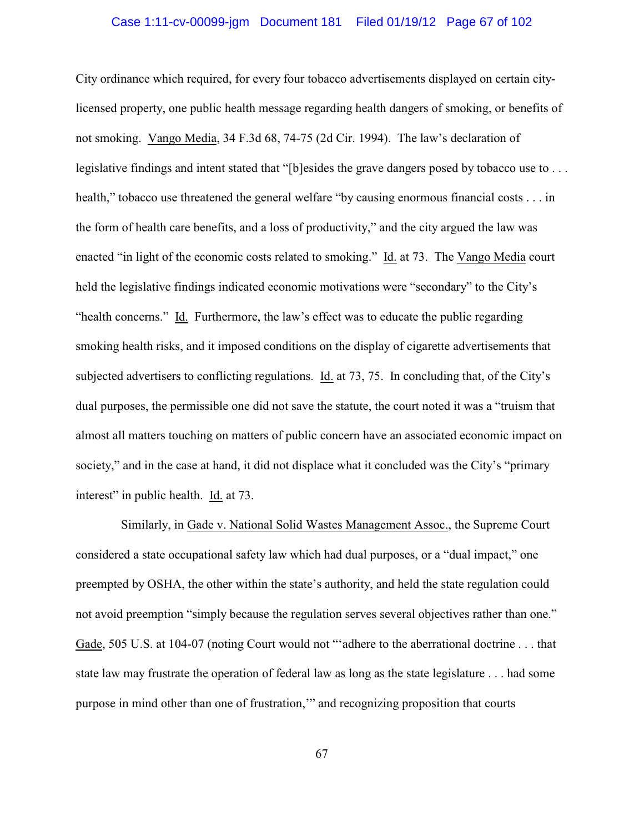## Case 1:11-cv-00099-jgm Document 181 Filed 01/19/12 Page 67 of 102

City ordinance which required, for every four tobacco advertisements displayed on certain citylicensed property, one public health message regarding health dangers of smoking, or benefits of not smoking. Vango Media, 34 F.3d 68, 74-75 (2d Cir. 1994). The law's declaration of legislative findings and intent stated that "[b]esides the grave dangers posed by tobacco use to . . . health," tobacco use threatened the general welfare "by causing enormous financial costs . . . in the form of health care benefits, and a loss of productivity," and the city argued the law was enacted "in light of the economic costs related to smoking." Id. at 73. The Vango Media court held the legislative findings indicated economic motivations were "secondary" to the City's "health concerns." Id. Furthermore, the law's effect was to educate the public regarding smoking health risks, and it imposed conditions on the display of cigarette advertisements that subjected advertisers to conflicting regulations. Id. at 73, 75. In concluding that, of the City's dual purposes, the permissible one did not save the statute, the court noted it was a "truism that almost all matters touching on matters of public concern have an associated economic impact on society," and in the case at hand, it did not displace what it concluded was the City's "primary interest" in public health. Id. at 73.

Similarly, in Gade v. National Solid Wastes Management Assoc., the Supreme Court considered a state occupational safety law which had dual purposes, or a "dual impact," one preempted by OSHA, the other within the state's authority, and held the state regulation could not avoid preemption "simply because the regulation serves several objectives rather than one." Gade, 505 U.S. at 104-07 (noting Court would not "'adhere to the aberrational doctrine . . . that state law may frustrate the operation of federal law as long as the state legislature . . . had some purpose in mind other than one of frustration,'" and recognizing proposition that courts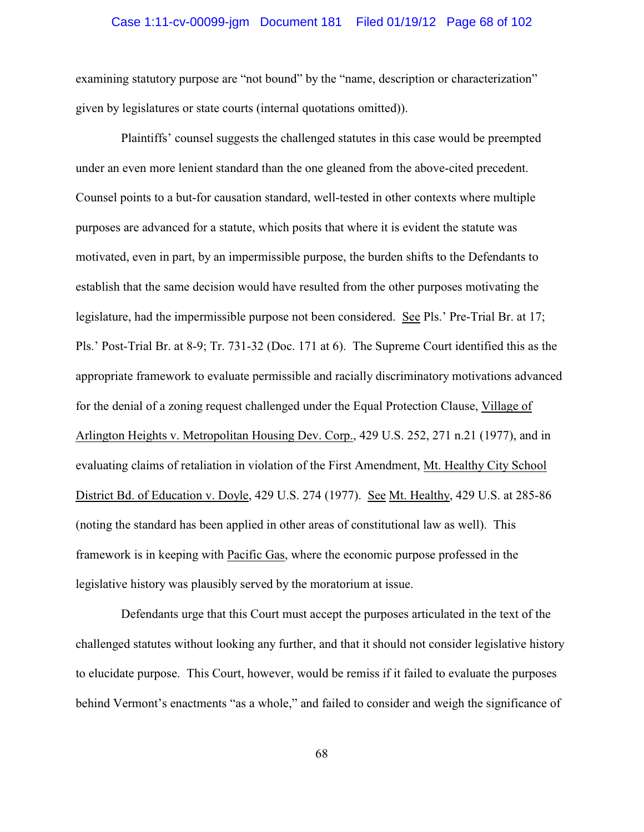## Case 1:11-cv-00099-jgm Document 181 Filed 01/19/12 Page 68 of 102

examining statutory purpose are "not bound" by the "name, description or characterization" given by legislatures or state courts (internal quotations omitted)).

Plaintiffs' counsel suggests the challenged statutes in this case would be preempted under an even more lenient standard than the one gleaned from the above-cited precedent. Counsel points to a but-for causation standard, well-tested in other contexts where multiple purposes are advanced for a statute, which posits that where it is evident the statute was motivated, even in part, by an impermissible purpose, the burden shifts to the Defendants to establish that the same decision would have resulted from the other purposes motivating the legislature, had the impermissible purpose not been considered. See Pls.' Pre-Trial Br. at 17; Pls.' Post-Trial Br. at 8-9; Tr. 731-32 (Doc. 171 at 6). The Supreme Court identified this as the appropriate framework to evaluate permissible and racially discriminatory motivations advanced for the denial of a zoning request challenged under the Equal Protection Clause, Village of Arlington Heights v. Metropolitan Housing Dev. Corp., 429 U.S. 252, 271 n.21 (1977), and in evaluating claims of retaliation in violation of the First Amendment, Mt. Healthy City School District Bd. of Education v. Doyle, 429 U.S. 274 (1977). See Mt. Healthy, 429 U.S. at 285-86 (noting the standard has been applied in other areas of constitutional law as well). This framework is in keeping with Pacific Gas, where the economic purpose professed in the legislative history was plausibly served by the moratorium at issue.

Defendants urge that this Court must accept the purposes articulated in the text of the challenged statutes without looking any further, and that it should not consider legislative history to elucidate purpose. This Court, however, would be remiss if it failed to evaluate the purposes behind Vermont's enactments "as a whole," and failed to consider and weigh the significance of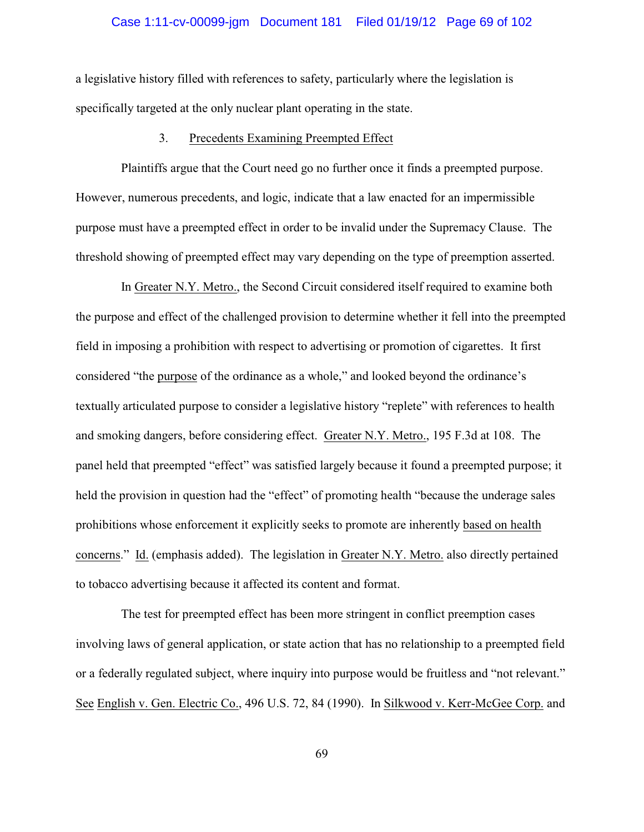## Case 1:11-cv-00099-jgm Document 181 Filed 01/19/12 Page 69 of 102

a legislative history filled with references to safety, particularly where the legislation is specifically targeted at the only nuclear plant operating in the state.

### 3. Precedents Examining Preempted Effect

Plaintiffs argue that the Court need go no further once it finds a preempted purpose. However, numerous precedents, and logic, indicate that a law enacted for an impermissible purpose must have a preempted effect in order to be invalid under the Supremacy Clause. The threshold showing of preempted effect may vary depending on the type of preemption asserted.

In Greater N.Y. Metro., the Second Circuit considered itself required to examine both the purpose and effect of the challenged provision to determine whether it fell into the preempted field in imposing a prohibition with respect to advertising or promotion of cigarettes. It first considered "the purpose of the ordinance as a whole," and looked beyond the ordinance's textually articulated purpose to consider a legislative history "replete" with references to health and smoking dangers, before considering effect. Greater N.Y. Metro., 195 F.3d at 108. The panel held that preempted "effect" was satisfied largely because it found a preempted purpose; it held the provision in question had the "effect" of promoting health "because the underage sales prohibitions whose enforcement it explicitly seeks to promote are inherently based on health concerns."Id. (emphasis added). The legislation in Greater N.Y. Metro. also directly pertained to tobacco advertising because it affected its content and format.

The test for preempted effect has been more stringent in conflict preemption cases involving laws of general application, or state action that has no relationship to a preempted field or a federally regulated subject, where inquiry into purpose would be fruitless and "not relevant." See English v. Gen. Electric Co., 496 U.S. 72, 84 (1990). In Silkwood v. Kerr-McGee Corp. and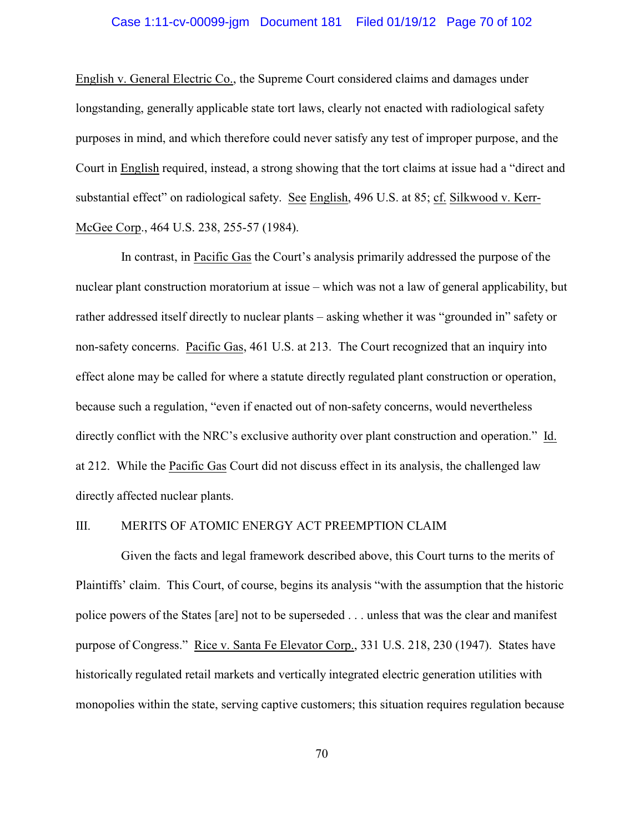English v. General Electric Co., the Supreme Court considered claims and damages under longstanding, generally applicable state tort laws, clearly not enacted with radiological safety purposes in mind, and which therefore could never satisfy any test of improper purpose, and the Court in English required, instead, a strong showing that the tort claims at issue had a "direct and substantial effect" on radiological safety. See English, 496 U.S. at 85; cf. Silkwood v. Kerr-McGee Corp., 464 U.S. 238, 255-57 (1984).

In contrast, in Pacific Gas the Court's analysis primarily addressed the purpose of the nuclear plant construction moratorium at issue – which was not a law of general applicability, but rather addressed itself directly to nuclear plants – asking whether it was "grounded in" safety or non-safety concerns. Pacific Gas, 461 U.S. at 213.The Court recognized that an inquiry into effect alone may be called for where a statute directly regulated plant construction or operation, because such a regulation, "even if enacted out of non-safety concerns, would nevertheless directly conflict with the NRC's exclusive authority over plant construction and operation." Id. at 212. While the Pacific Gas Court did not discuss effect in its analysis, the challenged law directly affected nuclear plants.

### III. MERITS OF ATOMIC ENERGY ACT PREEMPTION CLAIM

Given the facts and legal framework described above, this Court turns to the merits of Plaintiffs' claim. This Court, of course, begins its analysis "with the assumption that the historic police powers of the States [are] not to be superseded . . . unless that was the clear and manifest purpose of Congress." Rice v. Santa Fe Elevator Corp., 331 U.S. 218, 230 (1947). States have historically regulated retail markets and vertically integrated electric generation utilities with monopolies within the state, serving captive customers; this situation requires regulation because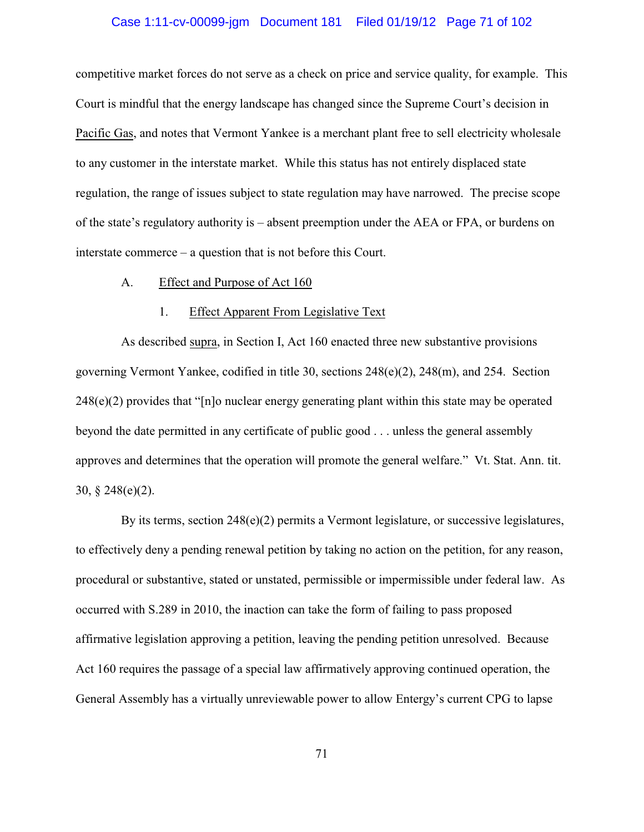## Case 1:11-cv-00099-jgm Document 181 Filed 01/19/12 Page 71 of 102

competitive market forces do not serve as a check on price and service quality, for example. This Court is mindful that the energy landscape has changed since the Supreme Court's decision in Pacific Gas, and notes that Vermont Yankee is a merchant plant free to sell electricity wholesale to any customer in the interstate market. While this status has not entirely displaced state regulation, the range of issues subject to state regulation may have narrowed. The precise scope of the state's regulatory authority is – absent preemption under the AEA or FPA, or burdens on interstate commerce – a question that is not before this Court.

#### A. Effect and Purpose of Act 160

### 1. Effect Apparent From Legislative Text

As described supra, in Section I, Act 160 enacted three new substantive provisions governing Vermont Yankee, codified in title 30, sections 248(e)(2), 248(m), and 254. Section 248(e)(2) provides that "[n]o nuclear energy generating plant within this state may be operated beyond the date permitted in any certificate of public good . . . unless the general assembly approves and determines that the operation will promote the general welfare." Vt. Stat. Ann. tit. 30, § 248(e)(2).

By its terms, section 248(e)(2) permits a Vermont legislature, or successive legislatures, to effectively deny a pending renewal petition by taking no action on the petition, for any reason, procedural or substantive, stated or unstated, permissible or impermissible under federal law. As occurred with S.289 in 2010, the inaction can take the form of failing to pass proposed affirmative legislation approving a petition, leaving the pending petition unresolved. Because Act 160 requires the passage of a special law affirmatively approving continued operation, the General Assembly has a virtually unreviewable power to allow Entergy's current CPG to lapse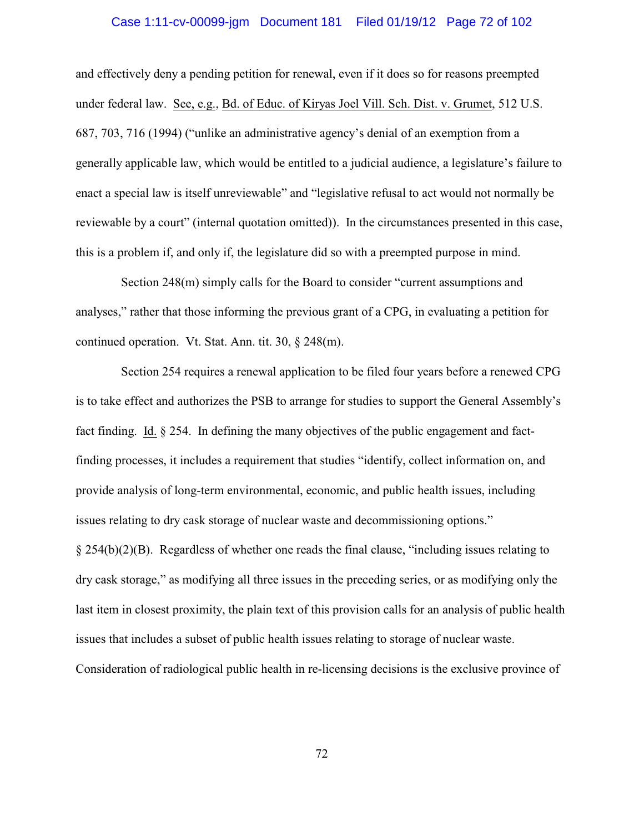## Case 1:11-cv-00099-jgm Document 181 Filed 01/19/12 Page 72 of 102

and effectively deny a pending petition for renewal, even if it does so for reasons preempted under federal law. See, e.g., Bd. of Educ. of Kiryas Joel Vill. Sch. Dist. v. Grumet, 512 U.S. 687, 703, 716 (1994) ("unlike an administrative agency's denial of an exemption from a generally applicable law, which would be entitled to a judicial audience, a legislature's failure to enact a special law is itself unreviewable" and "legislative refusal to act would not normally be reviewable by a court" (internal quotation omitted)). In the circumstances presented in this case, this is a problem if, and only if, the legislature did so with a preempted purpose in mind.

Section 248(m) simply calls for the Board to consider "current assumptions and analyses," rather that those informing the previous grant of a CPG, in evaluating a petition for continued operation. Vt. Stat. Ann. tit. 30, § 248(m).

Section 254 requires a renewal application to be filed four years before a renewed CPG is to take effect and authorizes the PSB to arrange for studies to support the General Assembly's fact finding. Id. § 254. In defining the many objectives of the public engagement and factfinding processes, it includes a requirement that studies "identify, collect information on, and provide analysis of long-term environmental, economic, and public health issues, including issues relating to dry cask storage of nuclear waste and decommissioning options." § 254(b)(2)(B). Regardless of whether one reads the final clause, "including issues relating to dry cask storage," as modifying all three issues in the preceding series, or as modifying only the last item in closest proximity, the plain text of this provision calls for an analysis of public health issues that includes a subset of public health issues relating to storage of nuclear waste. Consideration of radiological public health in re-licensing decisions is the exclusive province of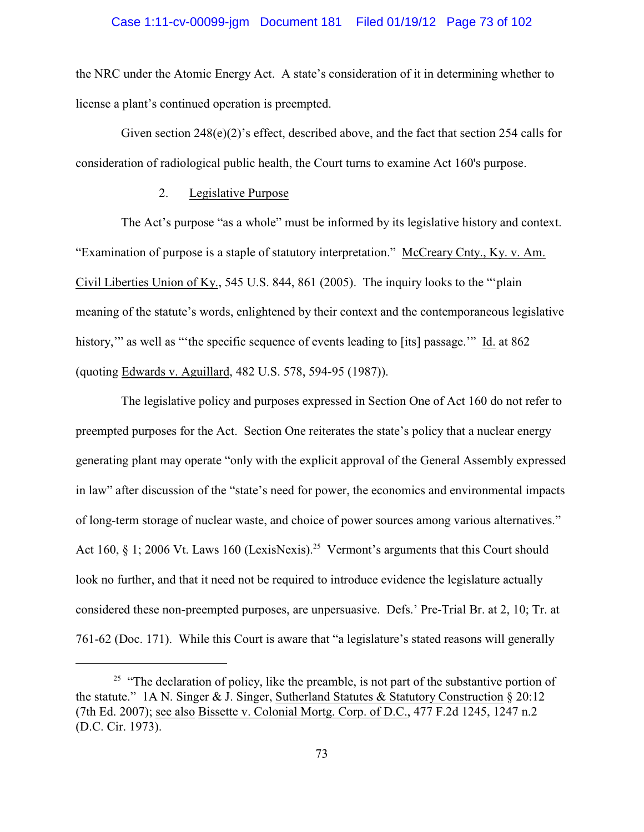# Case 1:11-cv-00099-jgm Document 181 Filed 01/19/12 Page 73 of 102

the NRC under the Atomic Energy Act. A state's consideration of it in determining whether to license a plant's continued operation is preempted.

Given section 248(e)(2)'s effect, described above, and the fact that section 254 calls for consideration of radiological public health, the Court turns to examine Act 160's purpose.

#### 2. Legislative Purpose

The Act's purpose "as a whole" must be informed by its legislative history and context. "Examination of purpose is a staple of statutory interpretation." McCreary Cnty., Ky. v. Am. Civil Liberties Union of Ky., 545 U.S. 844, 861 (2005). The inquiry looks to the "'plain meaning of the statute's words, enlightened by their context and the contemporaneous legislative history," as well as "the specific sequence of events leading to [its] passage." Id. at 862 (quoting Edwards v. Aguillard, 482 U.S. 578, 594-95 (1987)).

The legislative policy and purposes expressed in Section One of Act 160 do not refer to preempted purposes for the Act. Section One reiterates the state's policy that a nuclear energy generating plant may operate "only with the explicit approval of the General Assembly expressed in law" after discussion of the "state's need for power, the economics and environmental impacts of long-term storage of nuclear waste, and choice of power sources among various alternatives." Act 160,  $\S$  1; 2006 Vt. Laws 160 (LexisNexis).<sup>25</sup> Vermont's arguments that this Court should look no further, and that it need not be required to introduce evidence the legislature actually considered these non-preempted purposes, are unpersuasive. Defs.' Pre-Trial Br. at 2, 10; Tr. at 761-62 (Doc. 171). While this Court is aware that "a legislature's stated reasons will generally

 $25$  "The declaration of policy, like the preamble, is not part of the substantive portion of the statute." 1A N. Singer & J. Singer, Sutherland Statutes & Statutory Construction  $\S 20:12$ (7th Ed. 2007); see also Bissette v. Colonial Mortg. Corp. of D.C., 477 F.2d 1245, 1247 n.2 (D.C. Cir. 1973).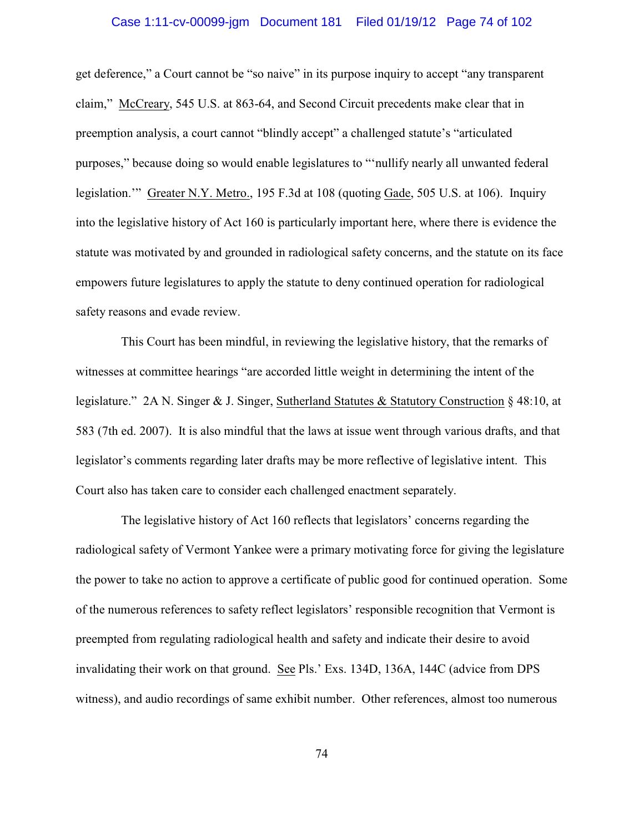# Case 1:11-cv-00099-jgm Document 181 Filed 01/19/12 Page 74 of 102

get deference," a Court cannot be "so naive" in its purpose inquiry to accept "any transparent claim," McCreary, 545 U.S. at 863-64, and Second Circuit precedents make clear that in preemption analysis, a court cannot "blindly accept" a challenged statute's "articulated purposes," because doing so would enable legislatures to "'nullify nearly all unwanted federal legislation.'" Greater N.Y. Metro., 195 F.3d at 108 (quoting Gade, 505 U.S. at 106). Inquiry into the legislative history of Act 160 is particularly important here, where there is evidence the statute was motivated by and grounded in radiological safety concerns, and the statute on its face empowers future legislatures to apply the statute to deny continued operation for radiological safety reasons and evade review.

This Court has been mindful, in reviewing the legislative history, that the remarks of witnesses at committee hearings "are accorded little weight in determining the intent of the legislature." 2A N. Singer & J. Singer, Sutherland Statutes & Statutory Construction § 48:10, at 583 (7th ed. 2007). It is also mindful that the laws at issue went through various drafts, and that legislator's comments regarding later drafts may be more reflective of legislative intent. This Court also has taken care to consider each challenged enactment separately.

The legislative history of Act 160 reflects that legislators' concerns regarding the radiological safety of Vermont Yankee were a primary motivating force for giving the legislature the power to take no action to approve a certificate of public good for continued operation. Some of the numerous references to safety reflect legislators' responsible recognition that Vermont is preempted from regulating radiological health and safety and indicate their desire to avoid invalidating their work on that ground. See Pls.' Exs. 134D, 136A, 144C (advice from DPS witness), and audio recordings of same exhibit number.Other references, almost too numerous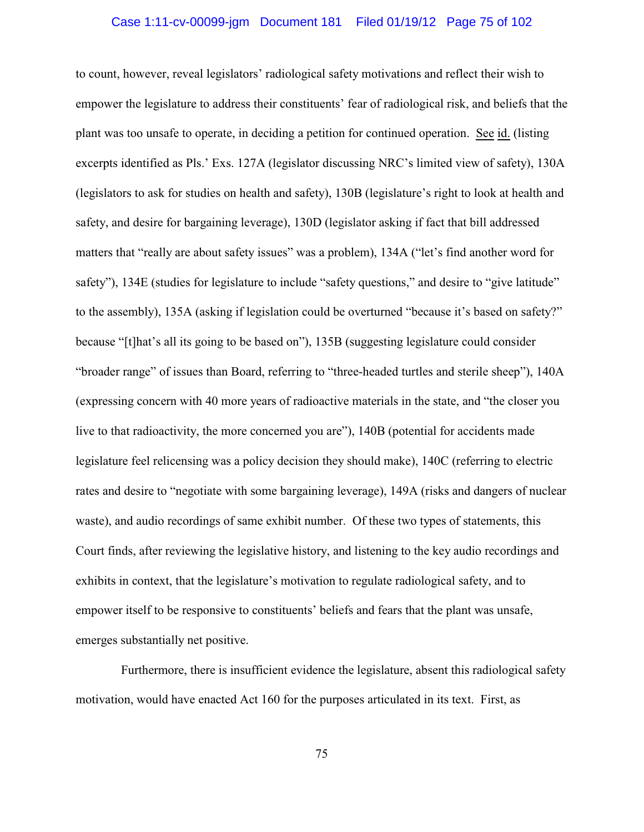# Case 1:11-cv-00099-jgm Document 181 Filed 01/19/12 Page 75 of 102

to count, however, reveal legislators' radiological safety motivations and reflect their wish to empower the legislature to address their constituents' fear of radiological risk, and beliefs that the plant was too unsafe to operate, in deciding a petition for continued operation. See id. (listing excerpts identified as Pls.' Exs. 127A (legislator discussing NRC's limited view of safety), 130A (legislators to ask for studies on health and safety), 130B (legislature's right to look at health and safety, and desire for bargaining leverage), 130D (legislator asking if fact that bill addressed matters that "really are about safety issues" was a problem), 134A ("let's find another word for safety"), 134E (studies for legislature to include "safety questions," and desire to "give latitude" to the assembly), 135A (asking if legislation could be overturned "because it's based on safety?" because "[t]hat's all its going to be based on"), 135B (suggesting legislature could consider "broader range" of issues than Board, referring to "three-headed turtles and sterile sheep"), 140A (expressing concern with 40 more years of radioactive materials in the state, and "the closer you live to that radioactivity, the more concerned you are"), 140B (potential for accidents made legislature feel relicensing was a policy decision they should make), 140C (referring to electric rates and desire to "negotiate with some bargaining leverage), 149A (risks and dangers of nuclear waste), and audio recordings of same exhibit number. Of these two types of statements, this Court finds, after reviewing the legislative history, and listening to the key audio recordings and exhibits in context, that the legislature's motivation to regulate radiological safety, and to empower itself to be responsive to constituents' beliefs and fears that the plant was unsafe, emerges substantially net positive.

Furthermore, there is insufficient evidence the legislature, absent this radiological safety motivation, would have enacted Act 160 for the purposes articulated in its text. First, as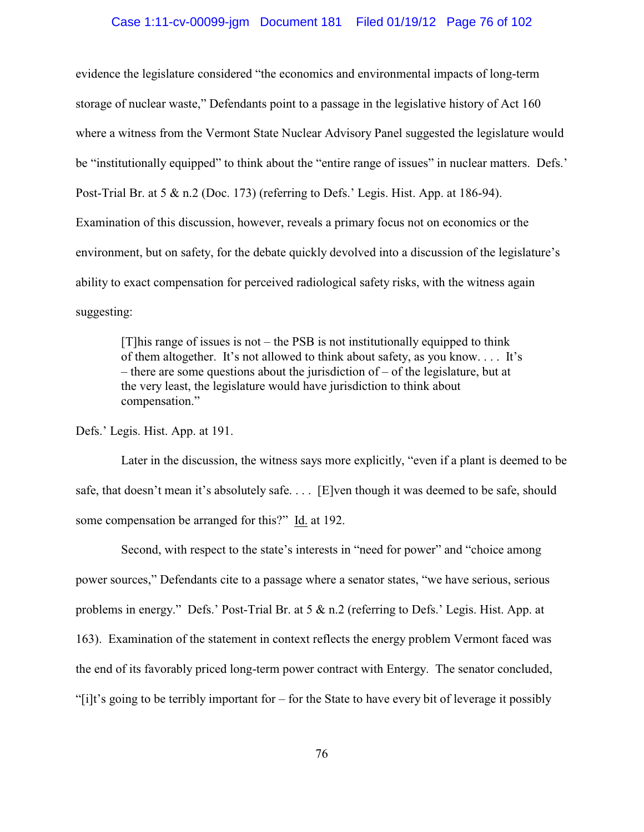#### Case 1:11-cv-00099-jgm Document 181 Filed 01/19/12 Page 76 of 102

evidence the legislature considered "the economics and environmental impacts of long-term storage of nuclear waste," Defendants point to a passage in the legislative history of Act 160 where a witness from the Vermont State Nuclear Advisory Panel suggested the legislature would be "institutionally equipped" to think about the "entire range of issues" in nuclear matters. Defs.' Post-Trial Br. at 5 & n.2 (Doc. 173) (referring to Defs.' Legis. Hist. App. at 186-94). Examination of this discussion, however, reveals a primary focus not on economics or the environment, but on safety, for the debate quickly devolved into a discussion of the legislature's ability to exact compensation for perceived radiological safety risks, with the witness again suggesting:

 $[T]$ his range of issues is not – the PSB is not institutionally equipped to think of them altogether. It's not allowed to think about safety, as you know. . . . It's – there are some questions about the jurisdiction of – of the legislature, but at the very least, the legislature would have jurisdiction to think about compensation."

Defs.' Legis. Hist. App. at 191.

Later in the discussion, the witness says more explicitly, "even if a plant is deemed to be safe, that doesn't mean it's absolutely safe. . . . [E]ven though it was deemed to be safe, should some compensation be arranged for this?" Id. at 192.

Second, with respect to the state's interests in "need for power" and "choice among power sources," Defendants cite to a passage where a senator states, "we have serious, serious problems in energy." Defs.' Post-Trial Br. at 5 & n.2 (referring to Defs.' Legis. Hist. App. at 163). Examination of the statement in context reflects the energy problem Vermont faced was the end of its favorably priced long-term power contract with Entergy. The senator concluded, "[i]t's going to be terribly important for – for the State to have every bit of leverage it possibly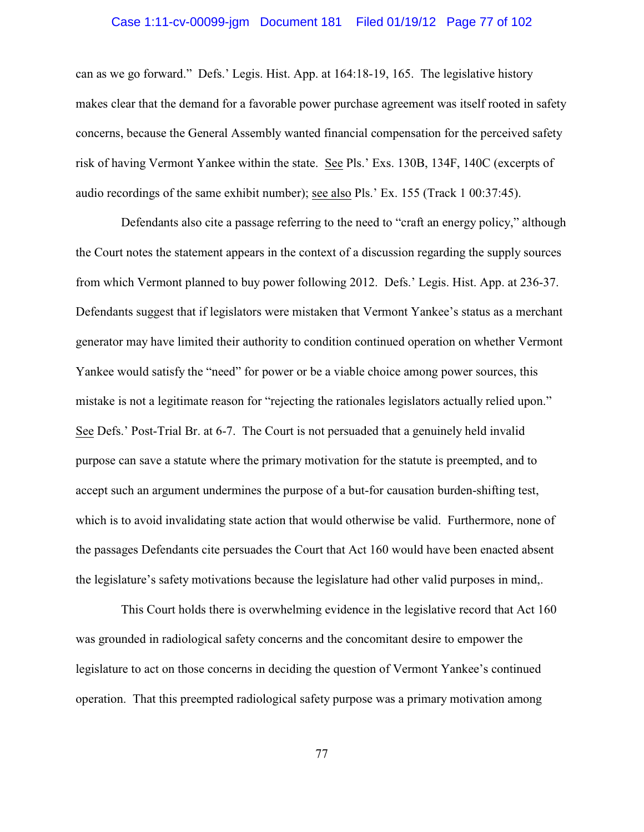# Case 1:11-cv-00099-jgm Document 181 Filed 01/19/12 Page 77 of 102

can as we go forward." Defs.' Legis. Hist. App. at 164:18-19, 165. The legislative history makes clear that the demand for a favorable power purchase agreement was itself rooted in safety concerns, because the General Assembly wanted financial compensation for the perceived safety risk of having Vermont Yankee within the state. See Pls.' Exs. 130B, 134F, 140C (excerpts of audio recordings of the same exhibit number); see also Pls.' Ex. 155 (Track 1 00:37:45).

Defendants also cite a passage referring to the need to "craft an energy policy," although the Court notes the statement appears in the context of a discussion regarding the supply sources from which Vermont planned to buy power following 2012. Defs.' Legis. Hist. App. at 236-37. Defendants suggest that if legislators were mistaken that Vermont Yankee's status as a merchant generator may have limited their authority to condition continued operation on whether Vermont Yankee would satisfy the "need" for power or be a viable choice among power sources, this mistake is not a legitimate reason for "rejecting the rationales legislators actually relied upon." See Defs.' Post-Trial Br. at 6-7. The Court is not persuaded that a genuinely held invalid purpose can save a statute where the primary motivation for the statute is preempted, and to accept such an argument undermines the purpose of a but-for causation burden-shifting test, which is to avoid invalidating state action that would otherwise be valid. Furthermore, none of the passages Defendants cite persuades the Court that Act 160 would have been enacted absent the legislature's safety motivations because the legislature had other valid purposes in mind,.

This Court holds there is overwhelming evidence in the legislative record that Act 160 was grounded in radiological safety concerns and the concomitant desire to empower the legislature to act on those concerns in deciding the question of Vermont Yankee's continued operation. That this preempted radiological safety purpose was a primary motivation among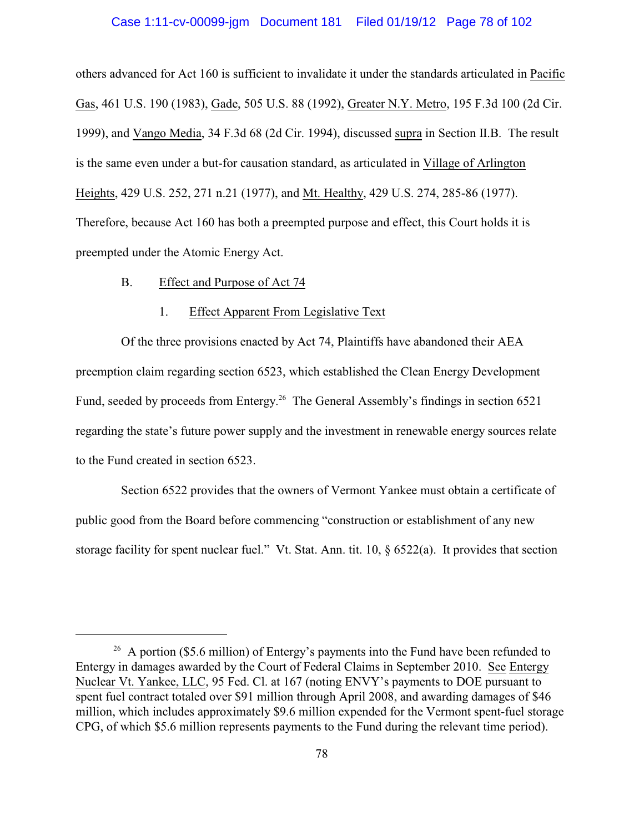#### Case 1:11-cv-00099-jgm Document 181 Filed 01/19/12 Page 78 of 102

others advanced for Act 160 is sufficient to invalidate it under the standards articulated in Pacific Gas, 461 U.S. 190 (1983), Gade, 505 U.S. 88 (1992), Greater N.Y. Metro, 195 F.3d 100 (2d Cir. 1999), and Vango Media, 34 F.3d 68 (2d Cir. 1994), discussed supra in Section II.B. The result is the same even under a but-for causation standard, as articulated in Village of Arlington Heights, 429 U.S. 252, 271 n.21 (1977), and Mt. Healthy, 429 U.S. 274, 285-86 (1977). Therefore, because Act 160 has both a preempted purpose and effect, this Court holds it is preempted under the Atomic Energy Act.

#### B. Effect and Purpose of Act 74

#### 1. Effect Apparent From Legislative Text

Of the three provisions enacted by Act 74, Plaintiffs have abandoned their AEA preemption claim regarding section 6523, which established the Clean Energy Development Fund, seeded by proceeds from Entergy.<sup>26</sup> The General Assembly's findings in section 6521 regarding the state's future power supply and the investment in renewable energy sources relate to the Fund created in section 6523.

Section 6522 provides that the owners of Vermont Yankee must obtain a certificate of public good from the Board before commencing "construction or establishment of any new storage facility for spent nuclear fuel." Vt. Stat. Ann. tit. 10, § 6522(a). It provides that section

<sup>&</sup>lt;sup>26</sup> A portion (\$5.6 million) of Entergy's payments into the Fund have been refunded to Entergy in damages awarded by the Court of Federal Claims in September 2010. See Entergy Nuclear Vt. Yankee, LLC, 95 Fed. Cl. at 167 (noting ENVY's payments to DOE pursuant to spent fuel contract totaled over \$91 million through April 2008, and awarding damages of \$46 million, which includes approximately \$9.6 million expended for the Vermont spent-fuel storage CPG, of which \$5.6 million represents payments to the Fund during the relevant time period).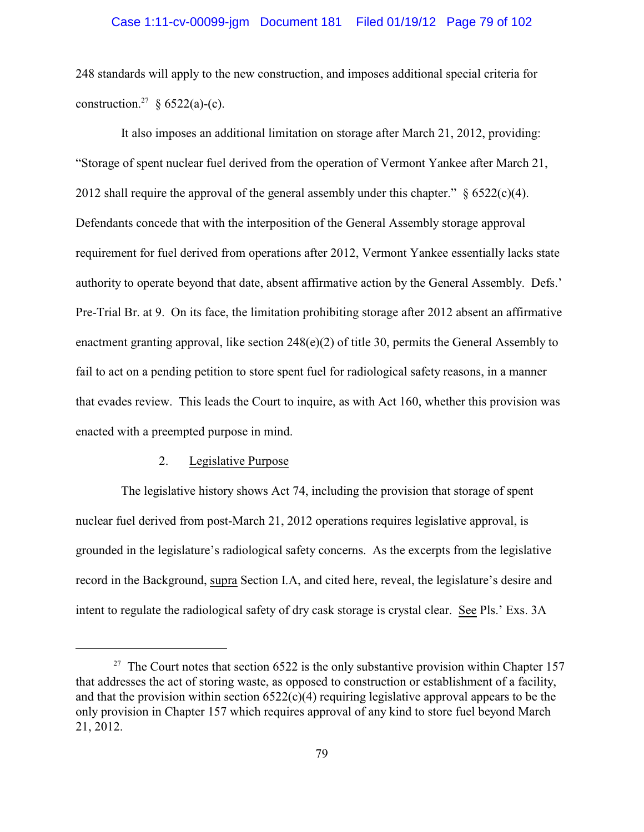248 standards will apply to the new construction, and imposes additional special criteria for construction.<sup>27</sup> § 6522(a)-(c).

It also imposes an additional limitation on storage after March 21, 2012, providing: "Storage of spent nuclear fuel derived from the operation of Vermont Yankee after March 21, 2012 shall require the approval of the general assembly under this chapter."  $\frac{6522(c)(4)}{2}$ . Defendants concede that with the interposition of the General Assembly storage approval requirement for fuel derived from operations after 2012, Vermont Yankee essentially lacks state authority to operate beyond that date, absent affirmative action by the General Assembly. Defs.' Pre-Trial Br. at 9. On its face, the limitation prohibiting storage after 2012 absent an affirmative enactment granting approval, like section 248(e)(2) of title 30, permits the General Assembly to fail to act on a pending petition to store spent fuel for radiological safety reasons, in a manner that evades review. This leads the Court to inquire, as with Act 160, whether this provision was enacted with a preempted purpose in mind.

#### 2. Legislative Purpose

The legislative history shows Act 74, including the provision that storage of spent nuclear fuel derived from post-March 21, 2012 operations requires legislative approval, is grounded in the legislature's radiological safety concerns. As the excerpts from the legislative record in the Background, supra Section I.A, and cited here, reveal, the legislature's desire and intent to regulate the radiological safety of dry cask storage is crystal clear. See Pls.' Exs. 3A

<sup>&</sup>lt;sup>27</sup> The Court notes that section 6522 is the only substantive provision within Chapter 157 that addresses the act of storing waste, as opposed to construction or establishment of a facility, and that the provision within section  $6522(c)(4)$  requiring legislative approval appears to be the only provision in Chapter 157 which requires approval of any kind to store fuel beyond March 21, 2012.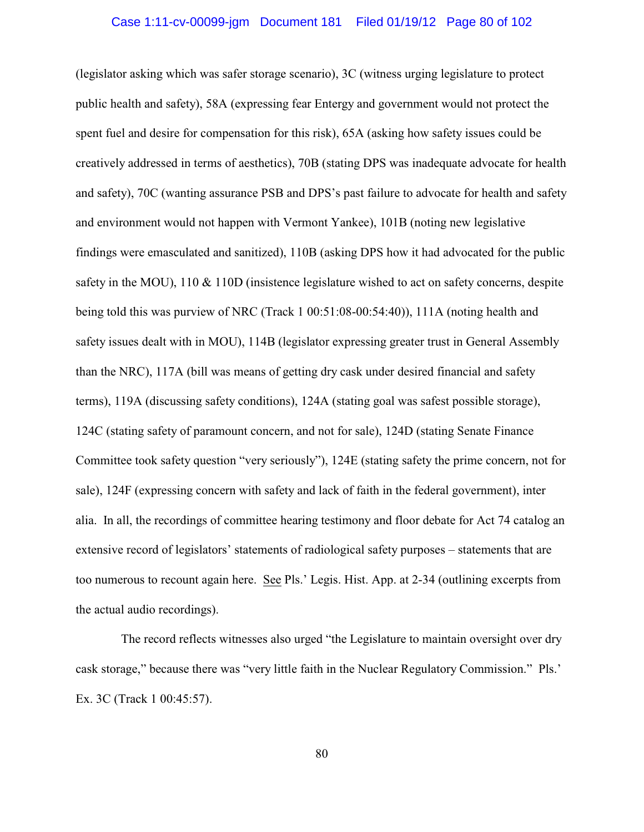(legislator asking which was safer storage scenario), 3C (witness urging legislature to protect public health and safety), 58A (expressing fear Entergy and government would not protect the spent fuel and desire for compensation for this risk), 65A (asking how safety issues could be creatively addressed in terms of aesthetics), 70B (stating DPS was inadequate advocate for health and safety), 70C (wanting assurance PSB and DPS's past failure to advocate for health and safety and environment would not happen with Vermont Yankee), 101B (noting new legislative findings were emasculated and sanitized), 110B (asking DPS how it had advocated for the public safety in the MOU), 110 & 110D (insistence legislature wished to act on safety concerns, despite being told this was purview of NRC (Track 1 00:51:08-00:54:40)), 111A (noting health and safety issues dealt with in MOU), 114B (legislator expressing greater trust in General Assembly than the NRC), 117A (bill was means of getting dry cask under desired financial and safety terms), 119A (discussing safety conditions), 124A (stating goal was safest possible storage), 124C (stating safety of paramount concern, and not for sale), 124D (stating Senate Finance Committee took safety question "very seriously"), 124E (stating safety the prime concern, not for sale), 124F (expressing concern with safety and lack of faith in the federal government), inter alia. In all, the recordings of committee hearing testimony and floor debate for Act 74 catalog an extensive record of legislators' statements of radiological safety purposes – statements that are too numerous to recount again here. See Pls.' Legis. Hist. App. at 2-34 (outlining excerpts from the actual audio recordings).

The record reflects witnesses also urged "the Legislature to maintain oversight over dry cask storage," because there was "very little faith in the Nuclear Regulatory Commission." Pls.' Ex. 3C (Track 1 00:45:57).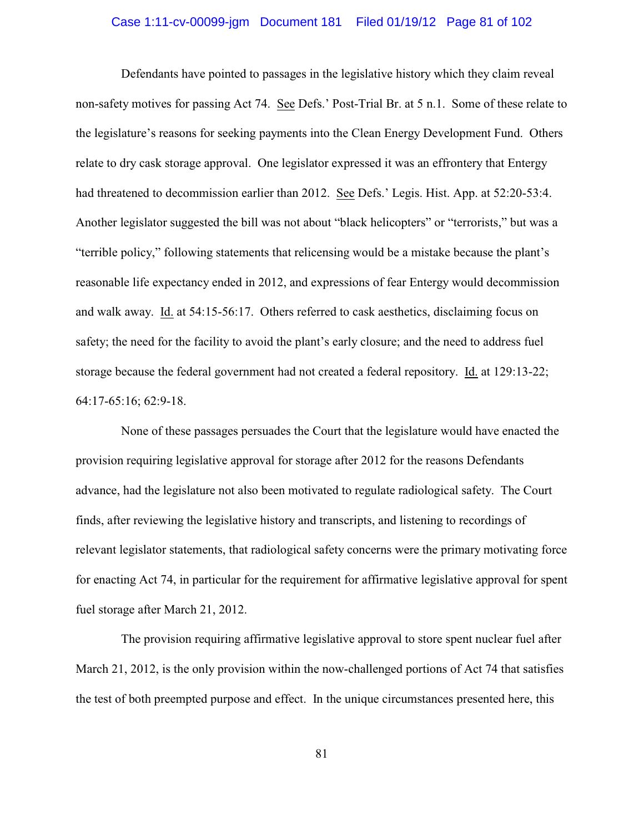# Case 1:11-cv-00099-jgm Document 181 Filed 01/19/12 Page 81 of 102

Defendants have pointed to passages in the legislative history which they claim reveal non-safety motives for passing Act 74. See Defs.' Post-Trial Br. at 5 n.1. Some of these relate to the legislature's reasons for seeking payments into the Clean Energy Development Fund. Others relate to dry cask storage approval. One legislator expressed it was an effrontery that Entergy had threatened to decommission earlier than 2012. See Defs.' Legis. Hist. App. at 52:20-53:4. Another legislator suggested the bill was not about "black helicopters" or "terrorists," but was a "terrible policy," following statements that relicensing would be a mistake because the plant's reasonable life expectancy ended in 2012, and expressions of fear Entergy would decommission and walk away. Id. at 54:15-56:17. Others referred to cask aesthetics, disclaiming focus on safety; the need for the facility to avoid the plant's early closure; and the need to address fuel storage because the federal government had not created a federal repository. Id. at 129:13-22; 64:17-65:16; 62:9-18.

None of these passages persuades the Court that the legislature would have enacted the provision requiring legislative approval for storage after 2012 for the reasons Defendants advance, had the legislature not also been motivated to regulate radiological safety. The Court finds, after reviewing the legislative history and transcripts, and listening to recordings of relevant legislator statements, that radiological safety concerns were the primary motivating force for enacting Act 74, in particular for the requirement for affirmative legislative approval for spent fuel storage after March 21, 2012.

The provision requiring affirmative legislative approval to store spent nuclear fuel after March 21, 2012, is the only provision within the now-challenged portions of Act 74 that satisfies the test of both preempted purpose and effect. In the unique circumstances presented here, this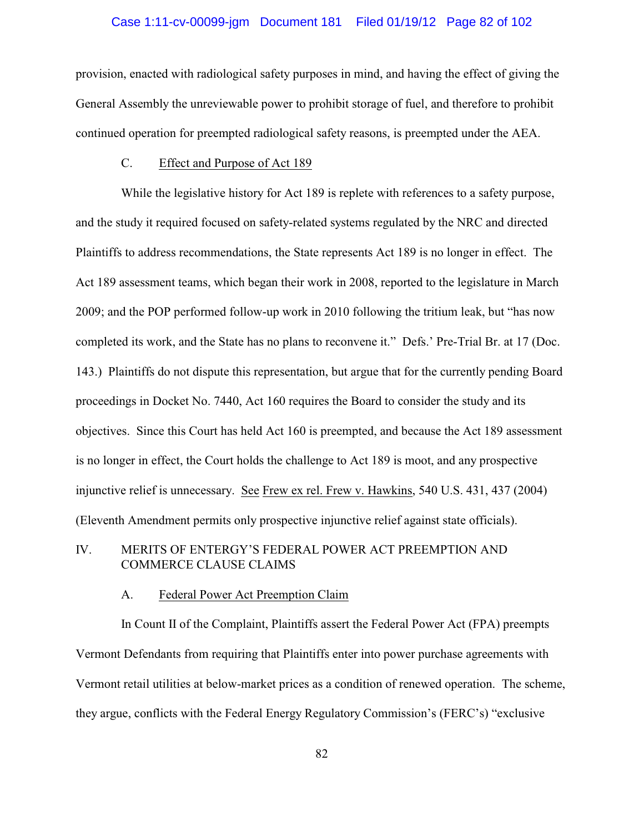# Case 1:11-cv-00099-jgm Document 181 Filed 01/19/12 Page 82 of 102

provision, enacted with radiological safety purposes in mind, and having the effect of giving the General Assembly the unreviewable power to prohibit storage of fuel, and therefore to prohibit continued operation for preempted radiological safety reasons, is preempted under the AEA.

#### C. Effect and Purpose of Act 189

While the legislative history for Act 189 is replete with references to a safety purpose, and the study it required focused on safety-related systems regulated by the NRC and directed Plaintiffs to address recommendations, the State represents Act 189 is no longer in effect. The Act 189 assessment teams, which began their work in 2008, reported to the legislature in March 2009; and the POP performed follow-up work in 2010 following the tritium leak, but "has now completed its work, and the State has no plans to reconvene it." Defs.' Pre-Trial Br. at 17 (Doc. 143.) Plaintiffs do not dispute this representation, but argue that for the currently pending Board proceedings in Docket No. 7440, Act 160 requires the Board to consider the study and its objectives. Since this Court has held Act 160 is preempted, and because the Act 189 assessment is no longer in effect, the Court holds the challenge to Act 189 is moot, and any prospective injunctive relief is unnecessary. See Frew ex rel. Frew v. Hawkins, 540 U.S. 431, 437 (2004) (Eleventh Amendment permits only prospective injunctive relief against state officials).

# IV. MERITS OF ENTERGY'S FEDERAL POWER ACT PREEMPTION AND COMMERCE CLAUSE CLAIMS

#### A. Federal Power Act Preemption Claim

In Count II of the Complaint, Plaintiffs assert the Federal Power Act (FPA) preempts Vermont Defendants from requiring that Plaintiffs enter into power purchase agreements with Vermont retail utilities at below-market prices as a condition of renewed operation. The scheme, they argue, conflicts with the Federal Energy Regulatory Commission's (FERC's) "exclusive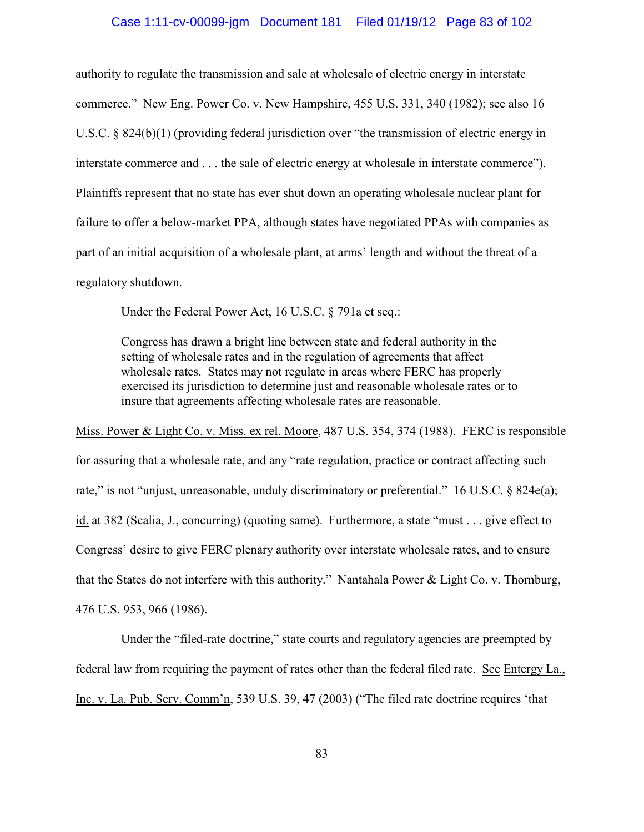#### Case 1:11-cv-00099-jgm Document 181 Filed 01/19/12 Page 83 of 102

authority to regulate the transmission and sale at wholesale of electric energy in interstate commerce." New Eng. Power Co. v. New Hampshire, 455 U.S. 331, 340 (1982); see also 16 U.S.C. § 824(b)(1) (providing federal jurisdiction over "the transmission of electric energy in interstate commerce and . . . the sale of electric energy at wholesale in interstate commerce"). Plaintiffs represent that no state has ever shut down an operating wholesale nuclear plant for failure to offer a below-market PPA, although states have negotiated PPAs with companies as part of an initial acquisition of a wholesale plant, at arms' length and without the threat of a regulatory shutdown.

Under the Federal Power Act, 16 U.S.C. § 791a et seq.:

Congress has drawn a bright line between state and federal authority in the setting of wholesale rates and in the regulation of agreements that affect wholesale rates. States may not regulate in areas where FERC has properly exercised its jurisdiction to determine just and reasonable wholesale rates or to insure that agreements affecting wholesale rates are reasonable.

Miss. Power & Light Co. v. Miss. ex rel. Moore, 487 U.S. 354, 374 (1988). FERC is responsible for assuring that a wholesale rate, and any "rate regulation, practice or contract affecting such rate," is not "unjust, unreasonable, unduly discriminatory or preferential." 16 U.S.C. § 824e(a); id. at 382 (Scalia, J., concurring) (quoting same). Furthermore, a state "must . . . give effect to Congress' desire to give FERC plenary authority over interstate wholesale rates, and to ensure that the States do not interfere with this authority." Nantahala Power & Light Co. v. Thornburg, 476 U.S. 953, 966 (1986).

Under the "filed-rate doctrine," state courts and regulatory agencies are preempted by federal law from requiring the payment of rates other than the federal filed rate. See Entergy La., Inc. v. La. Pub. Serv. Comm'n, 539 U.S. 39, 47 (2003) ("The filed rate doctrine requires 'that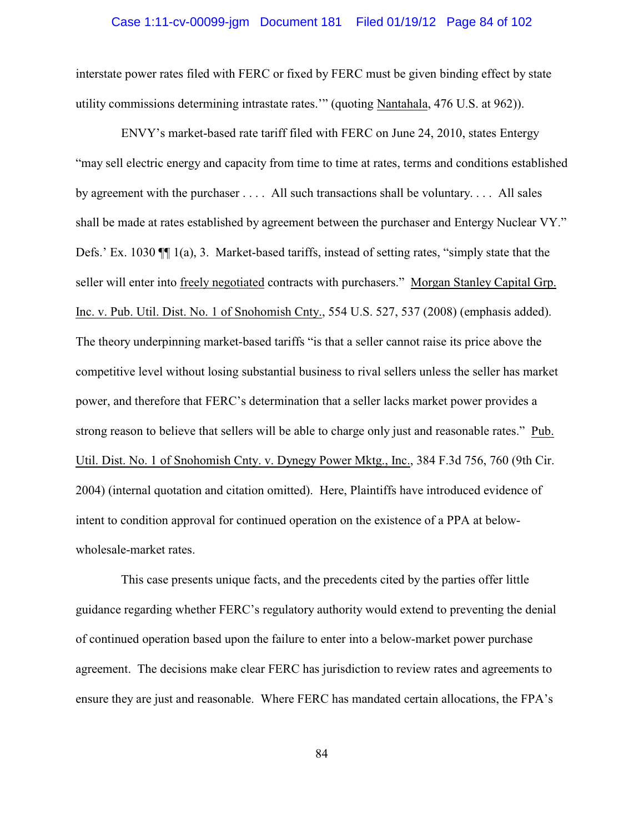# Case 1:11-cv-00099-jgm Document 181 Filed 01/19/12 Page 84 of 102

interstate power rates filed with FERC or fixed by FERC must be given binding effect by state utility commissions determining intrastate rates.'" (quoting Nantahala, 476 U.S. at 962)).

ENVY's market-based rate tariff filed with FERC on June 24, 2010, states Entergy "may sell electric energy and capacity from time to time at rates, terms and conditions established by agreement with the purchaser . . . . All such transactions shall be voluntary. . . . All sales shall be made at rates established by agreement between the purchaser and Entergy Nuclear VY." Defs.' Ex. 1030 ¶¶ 1(a), 3. Market-based tariffs, instead of setting rates, "simply state that the seller will enter into freely negotiated contracts with purchasers." Morgan Stanley Capital Grp. Inc. v. Pub. Util. Dist. No. 1 of Snohomish Cnty., 554 U.S. 527, 537 (2008) (emphasis added). The theory underpinning market-based tariffs "is that a seller cannot raise its price above the competitive level without losing substantial business to rival sellers unless the seller has market power, and therefore that FERC's determination that a seller lacks market power provides a strong reason to believe that sellers will be able to charge only just and reasonable rates." Pub. Util. Dist. No. 1 of Snohomish Cnty. v. Dynegy Power Mktg., Inc., 384 F.3d 756, 760 (9th Cir. 2004) (internal quotation and citation omitted). Here, Plaintiffs have introduced evidence of intent to condition approval for continued operation on the existence of a PPA at belowwholesale-market rates.

This case presents unique facts, and the precedents cited by the parties offer little guidance regarding whether FERC's regulatory authority would extend to preventing the denial of continued operation based upon the failure to enter into a below-market power purchase agreement. The decisions make clear FERC has jurisdiction to review rates and agreements to ensure they are just and reasonable. Where FERC has mandated certain allocations, the FPA's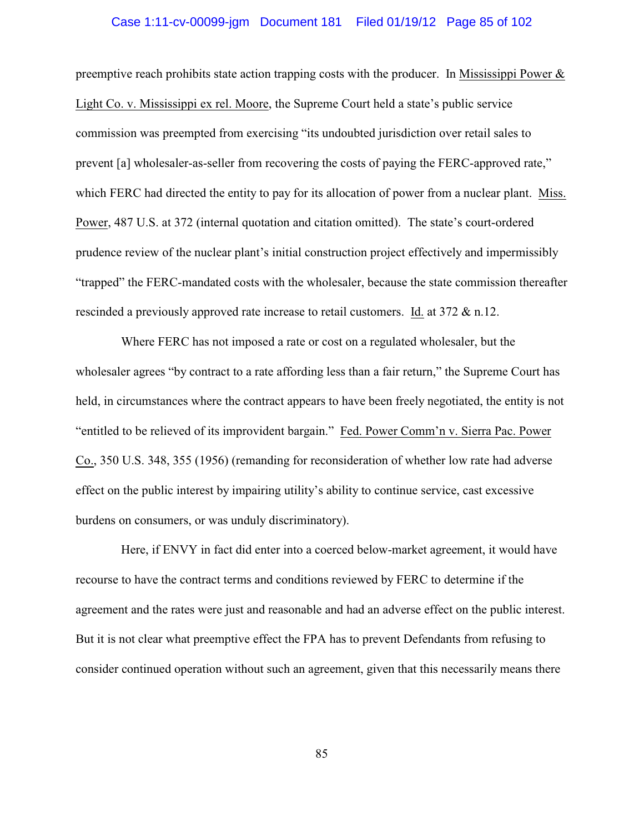# Case 1:11-cv-00099-jgm Document 181 Filed 01/19/12 Page 85 of 102

preemptive reach prohibits state action trapping costs with the producer. In Mississippi Power  $\&$ Light Co. v. Mississippi ex rel. Moore, the Supreme Court held a state's public service commission was preempted from exercising "its undoubted jurisdiction over retail sales to prevent [a] wholesaler-as-seller from recovering the costs of paying the FERC-approved rate," which FERC had directed the entity to pay for its allocation of power from a nuclear plant. Miss. Power, 487 U.S. at 372 (internal quotation and citation omitted). The state's court-ordered prudence review of the nuclear plant's initial construction project effectively and impermissibly "trapped" the FERC-mandated costs with the wholesaler, because the state commission thereafter rescinded a previously approved rate increase to retail customers. Id. at 372 & n.12.

Where FERC has not imposed a rate or cost on a regulated wholesaler, but the wholesaler agrees "by contract to a rate affording less than a fair return," the Supreme Court has held, in circumstances where the contract appears to have been freely negotiated, the entity is not "entitled to be relieved of its improvident bargain." Fed. Power Comm'n v. Sierra Pac. Power Co., 350 U.S. 348, 355 (1956) (remanding for reconsideration of whether low rate had adverse effect on the public interest by impairing utility's ability to continue service, cast excessive burdens on consumers, or was unduly discriminatory).

Here, if ENVY in fact did enter into a coerced below-market agreement, it would have recourse to have the contract terms and conditions reviewed by FERC to determine if the agreement and the rates were just and reasonable and had an adverse effect on the public interest. But it is not clear what preemptive effect the FPA has to prevent Defendants from refusing to consider continued operation without such an agreement, given that this necessarily means there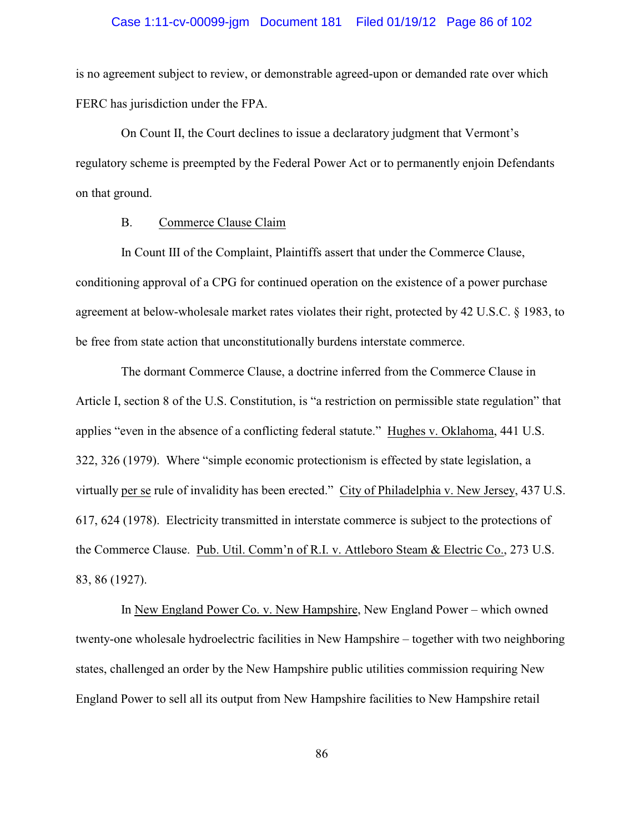#### Case 1:11-cv-00099-jgm Document 181 Filed 01/19/12 Page 86 of 102

is no agreement subject to review, or demonstrable agreed-upon or demanded rate over which FERC has jurisdiction under the FPA.

On Count II, the Court declines to issue a declaratory judgment that Vermont's regulatory scheme is preempted by the Federal Power Act or to permanently enjoin Defendants on that ground.

#### B. Commerce Clause Claim

In Count III of the Complaint, Plaintiffs assert that under the Commerce Clause, conditioning approval of a CPG for continued operation on the existence of a power purchase agreement at below-wholesale market rates violates their right, protected by 42 U.S.C. § 1983, to be free from state action that unconstitutionally burdens interstate commerce.

The dormant Commerce Clause, a doctrine inferred from the Commerce Clause in Article I, section 8 of the U.S. Constitution, is "a restriction on permissible state regulation" that applies "even in the absence of a conflicting federal statute." Hughes v. Oklahoma, 441 U.S. 322, 326 (1979). Where "simple economic protectionism is effected by state legislation, a virtually per se rule of invalidity has been erected." City of Philadelphia v. New Jersey, 437 U.S. 617, 624 (1978). Electricity transmitted in interstate commerce is subject to the protections of the Commerce Clause. Pub. Util. Comm'n of R.I. v. Attleboro Steam & Electric Co., 273 U.S. 83, 86 (1927).

In New England Power Co. v. New Hampshire, New England Power – which owned twenty-one wholesale hydroelectric facilities in New Hampshire – together with two neighboring states, challenged an order by the New Hampshire public utilities commission requiring New England Power to sell all its output from New Hampshire facilities to New Hampshire retail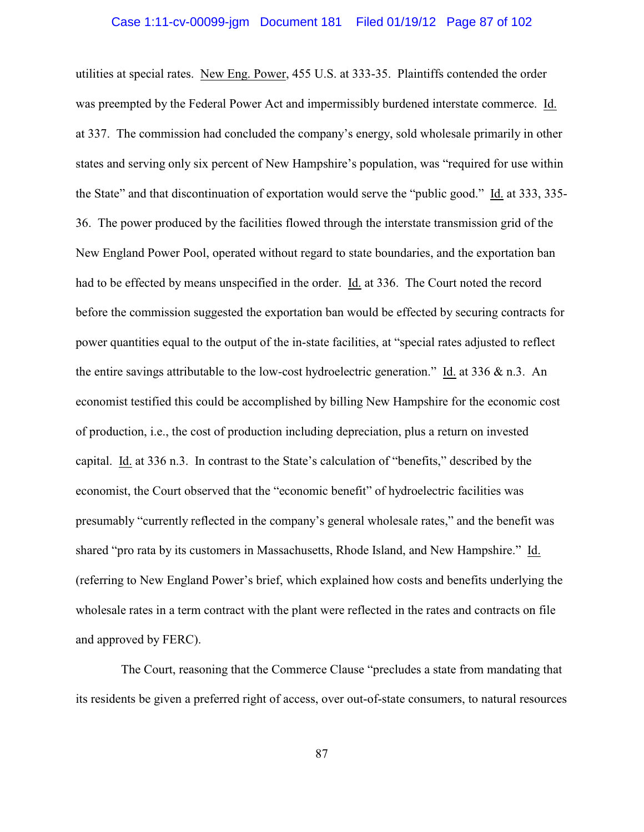# Case 1:11-cv-00099-jgm Document 181 Filed 01/19/12 Page 87 of 102

utilities at special rates. New Eng. Power, 455 U.S. at 333-35. Plaintiffs contended the order was preempted by the Federal Power Act and impermissibly burdened interstate commerce. Id. at 337. The commission had concluded the company's energy, sold wholesale primarily in other states and serving only six percent of New Hampshire's population, was "required for use within the State" and that discontinuation of exportation would serve the "public good." Id. at 333, 335- 36. The power produced by the facilities flowed through the interstate transmission grid of the New England Power Pool, operated without regard to state boundaries, and the exportation ban had to be effected by means unspecified in the order. Id. at 336. The Court noted the record before the commission suggested the exportation ban would be effected by securing contracts for power quantities equal to the output of the in-state facilities, at "special rates adjusted to reflect the entire savings attributable to the low-cost hydroelectric generation." Id. at 336 & n.3. An economist testified this could be accomplished by billing New Hampshire for the economic cost of production, i.e., the cost of production including depreciation, plus a return on invested capital. Id. at 336 n.3. In contrast to the State's calculation of "benefits," described by the economist, the Court observed that the "economic benefit" of hydroelectric facilities was presumably "currently reflected in the company's general wholesale rates," and the benefit was shared "pro rata by its customers in Massachusetts, Rhode Island, and New Hampshire." Id. (referring to New England Power's brief, which explained how costs and benefits underlying the wholesale rates in a term contract with the plant were reflected in the rates and contracts on file and approved by FERC).

The Court, reasoning that the Commerce Clause "precludes a state from mandating that its residents be given a preferred right of access, over out-of-state consumers, to natural resources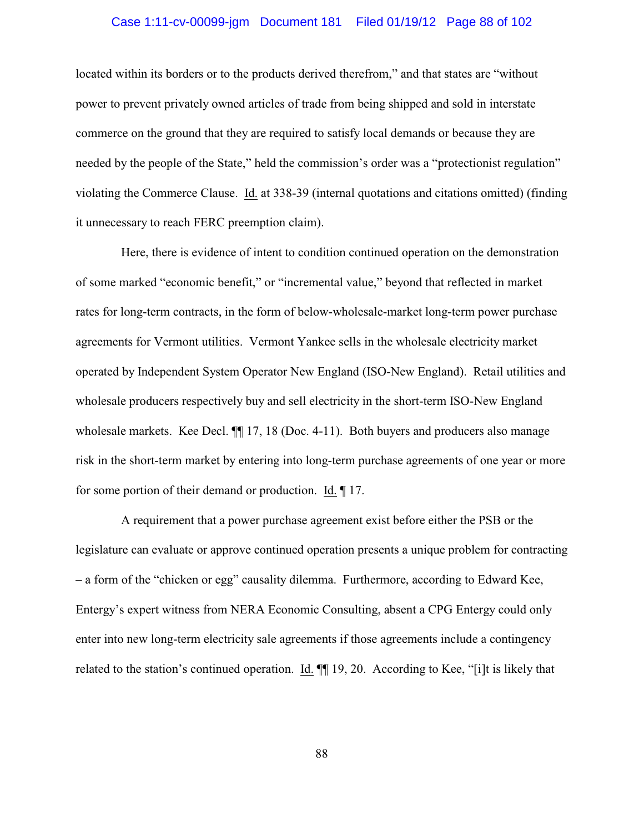# Case 1:11-cv-00099-jgm Document 181 Filed 01/19/12 Page 88 of 102

located within its borders or to the products derived therefrom," and that states are "without power to prevent privately owned articles of trade from being shipped and sold in interstate commerce on the ground that they are required to satisfy local demands or because they are needed by the people of the State," held the commission's order was a "protectionist regulation" violating the Commerce Clause. Id. at 338-39 (internal quotations and citations omitted) (finding it unnecessary to reach FERC preemption claim).

Here, there is evidence of intent to condition continued operation on the demonstration of some marked "economic benefit," or "incremental value," beyond that reflected in market rates for long-term contracts, in the form of below-wholesale-market long-term power purchase agreements for Vermont utilities. Vermont Yankee sells in the wholesale electricity market operated by Independent System Operator New England (ISO-New England). Retail utilities and wholesale producers respectively buy and sell electricity in the short-term ISO-New England wholesale markets. Kee Decl.  $\P$  17, 18 (Doc. 4-11). Both buyers and producers also manage risk in the short-term market by entering into long-term purchase agreements of one year or more for some portion of their demand or production. Id. ¶ 17.

A requirement that a power purchase agreement exist before either the PSB or the legislature can evaluate or approve continued operation presents a unique problem for contracting – a form of the "chicken or egg" causality dilemma. Furthermore, according to Edward Kee, Entergy's expert witness from NERA Economic Consulting, absent a CPG Entergy could only enter into new long-term electricity sale agreements if those agreements include a contingency related to the station's continued operation. Id. ¶¶ 19, 20.According to Kee, "[i]t is likely that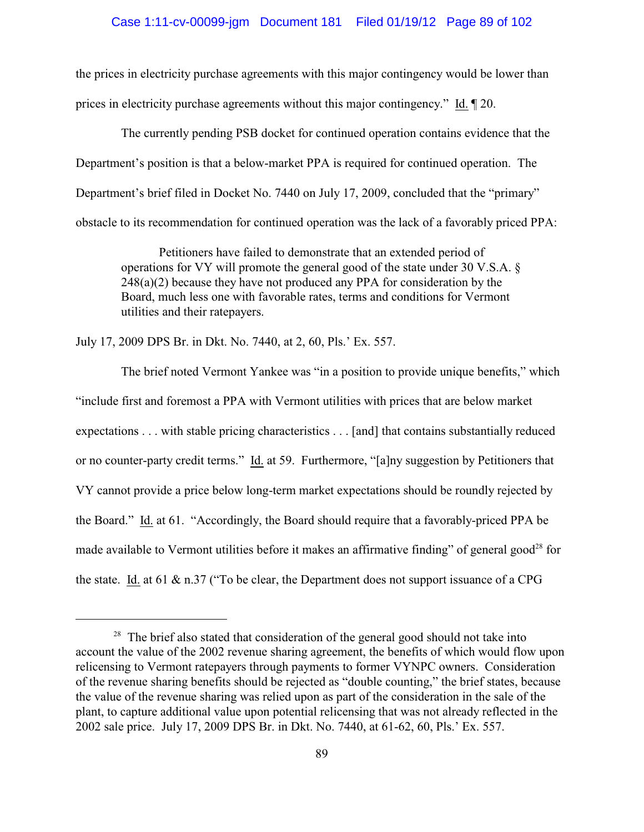#### Case 1:11-cv-00099-jgm Document 181 Filed 01/19/12 Page 89 of 102

the prices in electricity purchase agreements with this major contingency would be lower than prices in electricity purchase agreements without this major contingency." Id. ¶ 20.

The currently pending PSB docket for continued operation contains evidence that the Department's position is that a below-market PPA is required for continued operation. The Department's brief filed in Docket No. 7440 on July 17, 2009, concluded that the "primary" obstacle to its recommendation for continued operation was the lack of a favorably priced PPA:

Petitioners have failed to demonstrate that an extended period of operations for VY will promote the general good of the state under 30 V.S.A. § 248(a)(2) because they have not produced any PPA for consideration by the Board, much less one with favorable rates, terms and conditions for Vermont utilities and their ratepayers.

July 17, 2009 DPS Br. in Dkt. No. 7440, at 2, 60, Pls.' Ex. 557.

The brief noted Vermont Yankee was "in a position to provide unique benefits," which "include first and foremost a PPA with Vermont utilities with prices that are below market expectations . . . with stable pricing characteristics . . . [and] that contains substantially reduced or no counter-party credit terms." Id. at 59. Furthermore, "[a]ny suggestion by Petitioners that VY cannot provide a price below long-term market expectations should be roundly rejected by the Board." Id. at 61. "Accordingly, the Board should require that a favorably-priced PPA be made available to Vermont utilities before it makes an affirmative finding" of general good<sup>28</sup> for the state. Id. at 61  $\&$  n.37 ("To be clear, the Department does not support issuance of a CPG

 $28$  The brief also stated that consideration of the general good should not take into account the value of the 2002 revenue sharing agreement, the benefits of which would flow upon relicensing to Vermont ratepayers through payments to former VYNPC owners. Consideration of the revenue sharing benefits should be rejected as "double counting," the brief states, because the value of the revenue sharing was relied upon as part of the consideration in the sale of the plant, to capture additional value upon potential relicensing that was not already reflected in the 2002 sale price. July 17, 2009 DPS Br. in Dkt. No. 7440, at 61-62, 60, Pls.' Ex. 557.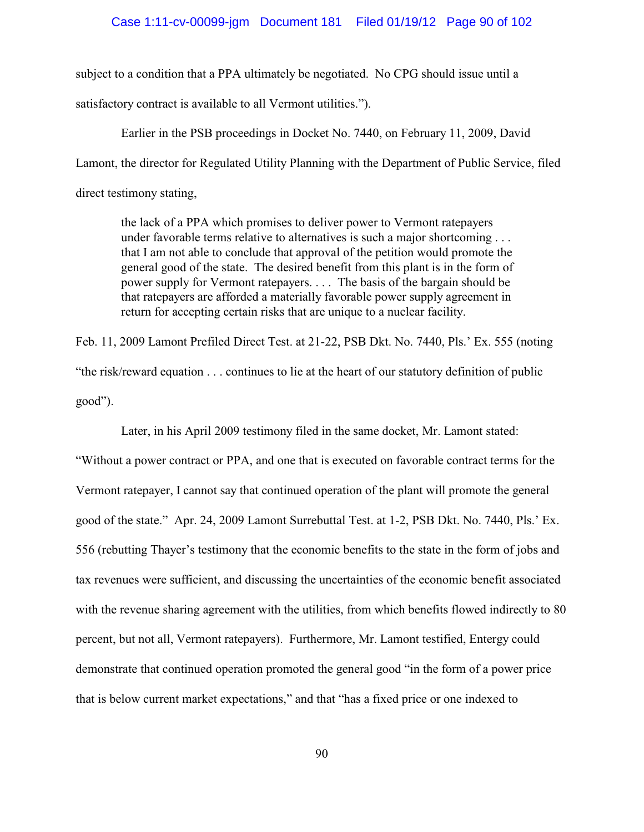# Case 1:11-cv-00099-jgm Document 181 Filed 01/19/12 Page 90 of 102

subject to a condition that a PPA ultimately be negotiated. No CPG should issue until a satisfactory contract is available to all Vermont utilities.").

Earlier in the PSB proceedings in Docket No. 7440, on February 11, 2009, David Lamont, the director for Regulated Utility Planning with the Department of Public Service, filed direct testimony stating,

the lack of a PPA which promises to deliver power to Vermont ratepayers under favorable terms relative to alternatives is such a major shortcoming . . . that I am not able to conclude that approval of the petition would promote the general good of the state. The desired benefit from this plant is in the form of power supply for Vermont ratepayers. . . . The basis of the bargain should be that ratepayers are afforded a materially favorable power supply agreement in return for accepting certain risks that are unique to a nuclear facility.

Feb. 11, 2009 Lamont Prefiled Direct Test. at 21-22, PSB Dkt. No. 7440, Pls.' Ex. 555 (noting "the risk/reward equation . . . continues to lie at the heart of our statutory definition of public good").

Later, in his April 2009 testimony filed in the same docket, Mr. Lamont stated:

"Without a power contract or PPA, and one that is executed on favorable contract terms for the Vermont ratepayer, I cannot say that continued operation of the plant will promote the general good of the state." Apr. 24, 2009 Lamont Surrebuttal Test. at 1-2, PSB Dkt. No. 7440, Pls.' Ex. 556 (rebutting Thayer's testimony that the economic benefits to the state in the form of jobs and tax revenues were sufficient, and discussing the uncertainties of the economic benefit associated with the revenue sharing agreement with the utilities, from which benefits flowed indirectly to 80 percent, but not all, Vermont ratepayers). Furthermore, Mr. Lamont testified, Entergy could demonstrate that continued operation promoted the general good "in the form of a power price that is below current market expectations," and that "has a fixed price or one indexed to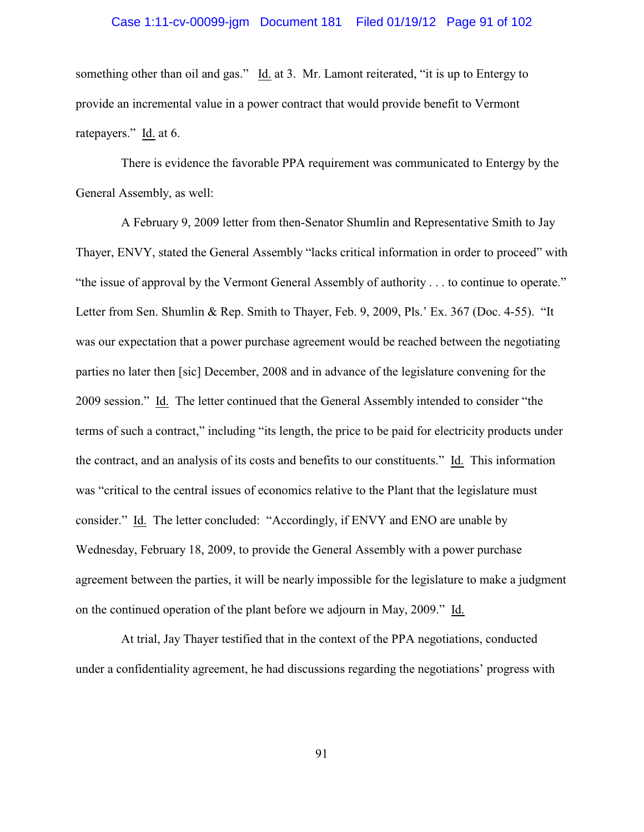# Case 1:11-cv-00099-jgm Document 181 Filed 01/19/12 Page 91 of 102

something other than oil and gas." Id. at 3. Mr. Lamont reiterated, "it is up to Entergy to provide an incremental value in a power contract that would provide benefit to Vermont ratepayers." Id. at 6.

There is evidence the favorable PPA requirement was communicated to Entergy by the General Assembly, as well:

A February 9, 2009 letter from then-Senator Shumlin and Representative Smith to Jay Thayer, ENVY, stated the General Assembly "lacks critical information in order to proceed" with "the issue of approval by the Vermont General Assembly of authority . . . to continue to operate." Letter from Sen. Shumlin & Rep. Smith to Thayer, Feb. 9, 2009, Pls.' Ex. 367 (Doc. 4-55). "It was our expectation that a power purchase agreement would be reached between the negotiating parties no later then [sic] December, 2008 and in advance of the legislature convening for the 2009 session." Id. The letter continued that the General Assembly intended to consider "the terms of such a contract," including "its length, the price to be paid for electricity products under the contract, and an analysis of its costs and benefits to our constituents." Id. This information was "critical to the central issues of economics relative to the Plant that the legislature must consider." Id. The letter concluded: "Accordingly, if ENVY and ENO are unable by Wednesday, February 18, 2009, to provide the General Assembly with a power purchase agreement between the parties, it will be nearly impossible for the legislature to make a judgment on the continued operation of the plant before we adjourn in May, 2009." Id.

At trial, Jay Thayer testified that in the context of the PPA negotiations, conducted under a confidentiality agreement, he had discussions regarding the negotiations' progress with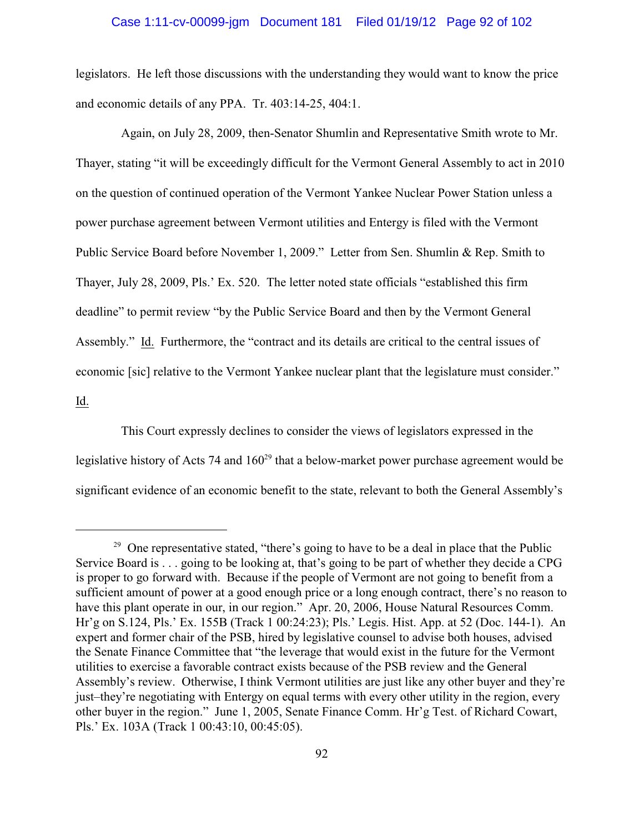#### Case 1:11-cv-00099-jgm Document 181 Filed 01/19/12 Page 92 of 102

legislators. He left those discussions with the understanding they would want to know the price and economic details of any PPA. Tr. 403:14-25, 404:1.

Again, on July 28, 2009, then-Senator Shumlin and Representative Smith wrote to Mr. Thayer, stating "it will be exceedingly difficult for the Vermont General Assembly to act in 2010 on the question of continued operation of the Vermont Yankee Nuclear Power Station unless a power purchase agreement between Vermont utilities and Entergy is filed with the Vermont Public Service Board before November 1, 2009." Letter from Sen. Shumlin & Rep. Smith to Thayer, July 28, 2009, Pls.' Ex. 520. The letter noted state officials "established this firm deadline" to permit review "by the Public Service Board and then by the Vermont General Assembly." Id. Furthermore, the "contract and its details are critical to the central issues of economic [sic] relative to the Vermont Yankee nuclear plant that the legislature must consider." Id.

This Court expressly declines to consider the views of legislators expressed in the legislative history of Acts 74 and  $160<sup>29</sup>$  that a below-market power purchase agreement would be significant evidence of an economic benefit to the state, relevant to both the General Assembly's

<sup>&</sup>lt;sup>29</sup> One representative stated, "there's going to have to be a deal in place that the Public Service Board is . . . going to be looking at, that's going to be part of whether they decide a CPG is proper to go forward with. Because if the people of Vermont are not going to benefit from a sufficient amount of power at a good enough price or a long enough contract, there's no reason to have this plant operate in our, in our region." Apr. 20, 2006, House Natural Resources Comm. Hr'g on S.124, Pls.' Ex. 155B (Track 1 00:24:23); Pls.' Legis. Hist. App. at 52 (Doc. 144-1). An expert and former chair of the PSB, hired by legislative counsel to advise both houses, advised the Senate Finance Committee that "the leverage that would exist in the future for the Vermont utilities to exercise a favorable contract exists because of the PSB review and the General Assembly's review. Otherwise, I think Vermont utilities are just like any other buyer and they're just–they're negotiating with Entergy on equal terms with every other utility in the region, every other buyer in the region." June 1, 2005, Senate Finance Comm. Hr'g Test. of Richard Cowart, Pls.' Ex. 103A (Track 1 00:43:10, 00:45:05).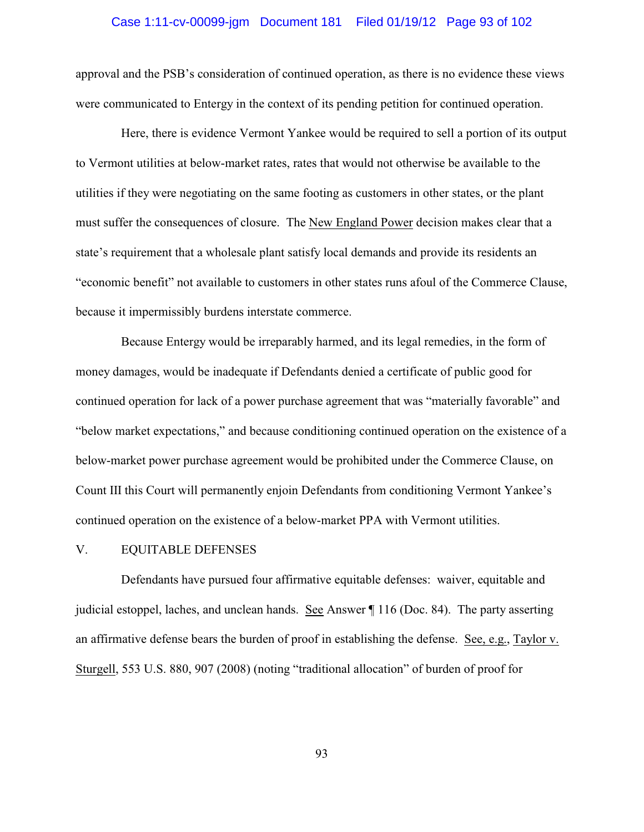# Case 1:11-cv-00099-jgm Document 181 Filed 01/19/12 Page 93 of 102

approval and the PSB's consideration of continued operation, as there is no evidence these views were communicated to Entergy in the context of its pending petition for continued operation.

Here, there is evidence Vermont Yankee would be required to sell a portion of its output to Vermont utilities at below-market rates, rates that would not otherwise be available to the utilities if they were negotiating on the same footing as customers in other states, or the plant must suffer the consequences of closure. The New England Power decision makes clear that a state's requirement that a wholesale plant satisfy local demands and provide its residents an "economic benefit" not available to customers in other states runs afoul of the Commerce Clause, because it impermissibly burdens interstate commerce.

Because Entergy would be irreparably harmed, and its legal remedies, in the form of money damages, would be inadequate if Defendants denied a certificate of public good for continued operation for lack of a power purchase agreement that was "materially favorable" and "below market expectations," and because conditioning continued operation on the existence of a below-market power purchase agreement would be prohibited under the Commerce Clause, on Count III this Court will permanently enjoin Defendants from conditioning Vermont Yankee's continued operation on the existence of a below-market PPA with Vermont utilities.

#### V. EQUITABLE DEFENSES

Defendants have pursued four affirmative equitable defenses: waiver, equitable and judicial estoppel, laches, and unclean hands. See Answer ¶ 116 (Doc. 84). The party asserting an affirmative defense bears the burden of proof in establishing the defense. See, e.g., Taylor v. Sturgell, 553 U.S. 880, 907 (2008) (noting "traditional allocation" of burden of proof for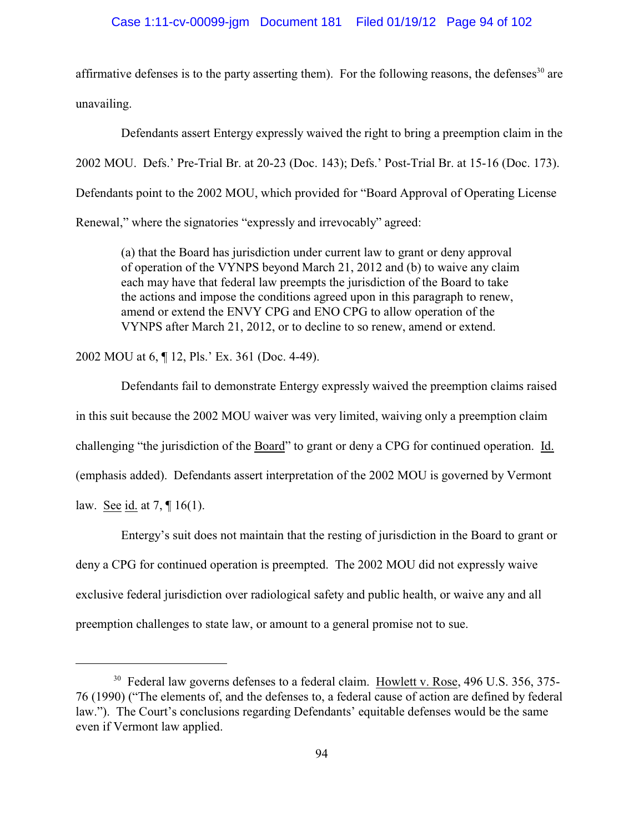#### Case 1:11-cv-00099-jgm Document 181 Filed 01/19/12 Page 94 of 102

affirmative defenses is to the party asserting them). For the following reasons, the defenses<sup>30</sup> are unavailing.

Defendants assert Entergy expressly waived the right to bring a preemption claim in the 2002 MOU. Defs.' Pre-Trial Br. at 20-23 (Doc. 143); Defs.' Post-Trial Br. at 15-16 (Doc. 173). Defendants point to the 2002 MOU, which provided for "Board Approval of Operating License Renewal," where the signatories "expressly and irrevocably" agreed:

(a) that the Board has jurisdiction under current law to grant or deny approval of operation of the VYNPS beyond March 21, 2012 and (b) to waive any claim each may have that federal law preempts the jurisdiction of the Board to take the actions and impose the conditions agreed upon in this paragraph to renew, amend or extend the ENVY CPG and ENO CPG to allow operation of the VYNPS after March 21, 2012, or to decline to so renew, amend or extend.

2002 MOU at 6, ¶ 12, Pls.' Ex. 361 (Doc. 4-49).

Defendants fail to demonstrate Entergy expressly waived the preemption claims raised in this suit because the 2002 MOU waiver was very limited, waiving only a preemption claim challenging "the jurisdiction of the Board" to grant or deny a CPG for continued operation. Id. (emphasis added). Defendants assert interpretation of the 2002 MOU is governed by Vermont law. See id. at 7, ¶ 16(1).

Entergy's suit does not maintain that the resting of jurisdiction in the Board to grant or deny a CPG for continued operation is preempted. The 2002 MOU did not expressly waive exclusive federal jurisdiction over radiological safety and public health, or waive any and all preemption challenges to state law, or amount to a general promise not to sue.

 $30$  Federal law governs defenses to a federal claim. Howlett v. Rose, 496 U.S. 356, 375-76 (1990) ("The elements of, and the defenses to, a federal cause of action are defined by federal law."). The Court's conclusions regarding Defendants' equitable defenses would be the same even if Vermont law applied.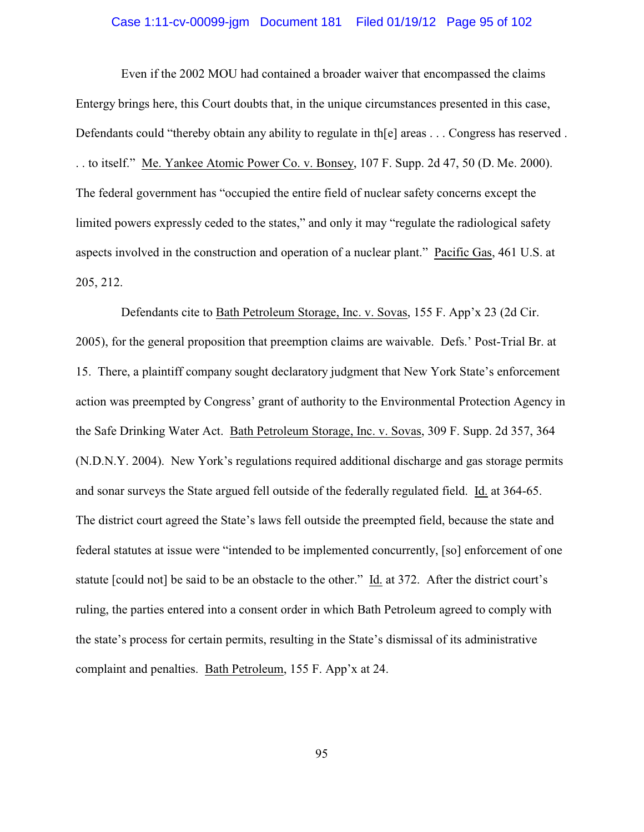# Case 1:11-cv-00099-jgm Document 181 Filed 01/19/12 Page 95 of 102

Even if the 2002 MOU had contained a broader waiver that encompassed the claims Entergy brings here, this Court doubts that, in the unique circumstances presented in this case, Defendants could "thereby obtain any ability to regulate in th[e] areas . . . Congress has reserved . . . to itself." Me. Yankee Atomic Power Co. v. Bonsey, 107 F. Supp. 2d 47, 50 (D. Me. 2000). The federal government has "occupied the entire field of nuclear safety concerns except the limited powers expressly ceded to the states," and only it may "regulate the radiological safety aspects involved in the construction and operation of a nuclear plant." Pacific Gas, 461 U.S. at 205, 212.

Defendants cite to Bath Petroleum Storage, Inc. v. Sovas, 155 F. App'x 23 (2d Cir. 2005), for the general proposition that preemption claims are waivable. Defs.' Post-Trial Br. at 15. There, a plaintiff company sought declaratory judgment that New York State's enforcement action was preempted by Congress' grant of authority to the Environmental Protection Agency in the Safe Drinking Water Act. Bath Petroleum Storage, Inc. v. Sovas, 309 F. Supp. 2d 357, 364 (N.D.N.Y. 2004). New York's regulations required additional discharge and gas storage permits and sonar surveys the State argued fell outside of the federally regulated field. Id. at 364-65. The district court agreed the State's laws fell outside the preempted field, because the state and federal statutes at issue were "intended to be implemented concurrently, [so] enforcement of one statute [could not] be said to be an obstacle to the other." Id. at 372. After the district court's ruling, the parties entered into a consent order in which Bath Petroleum agreed to comply with the state's process for certain permits, resulting in the State's dismissal of its administrative complaint and penalties. Bath Petroleum, 155 F. App'x at 24.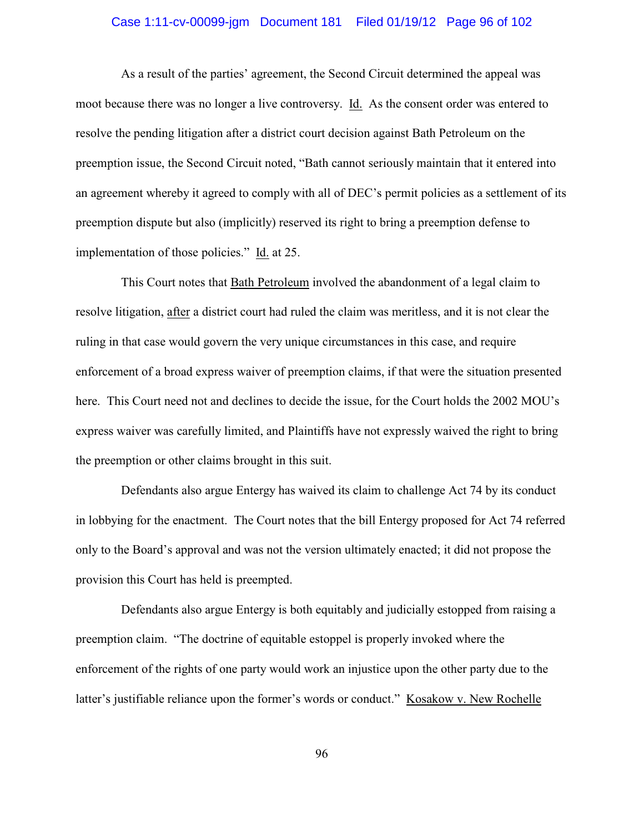# Case 1:11-cv-00099-jgm Document 181 Filed 01/19/12 Page 96 of 102

As a result of the parties' agreement, the Second Circuit determined the appeal was moot because there was no longer a live controversy. Id. As the consent order was entered to resolve the pending litigation after a district court decision against Bath Petroleum on the preemption issue, the Second Circuit noted, "Bath cannot seriously maintain that it entered into an agreement whereby it agreed to comply with all of DEC's permit policies as a settlement of its preemption dispute but also (implicitly) reserved its right to bring a preemption defense to implementation of those policies." Id. at 25.

This Court notes that Bath Petroleum involved the abandonment of a legal claim to resolve litigation, after a district court had ruled the claim was meritless, and it is not clear the ruling in that case would govern the very unique circumstances in this case, and require enforcement of a broad express waiver of preemption claims, if that were the situation presented here. This Court need not and declines to decide the issue, for the Court holds the 2002 MOU's express waiver was carefully limited, and Plaintiffs have not expressly waived the right to bring the preemption or other claims brought in this suit.

Defendants also argue Entergy has waived its claim to challenge Act 74 by its conduct in lobbying for the enactment. The Court notes that the bill Entergy proposed for Act 74 referred only to the Board's approval and was not the version ultimately enacted; it did not propose the provision this Court has held is preempted.

Defendants also argue Entergy is both equitably and judicially estopped from raising a preemption claim. "The doctrine of equitable estoppel is properly invoked where the enforcement of the rights of one party would work an injustice upon the other party due to the latter's justifiable reliance upon the former's words or conduct." Kosakow v. New Rochelle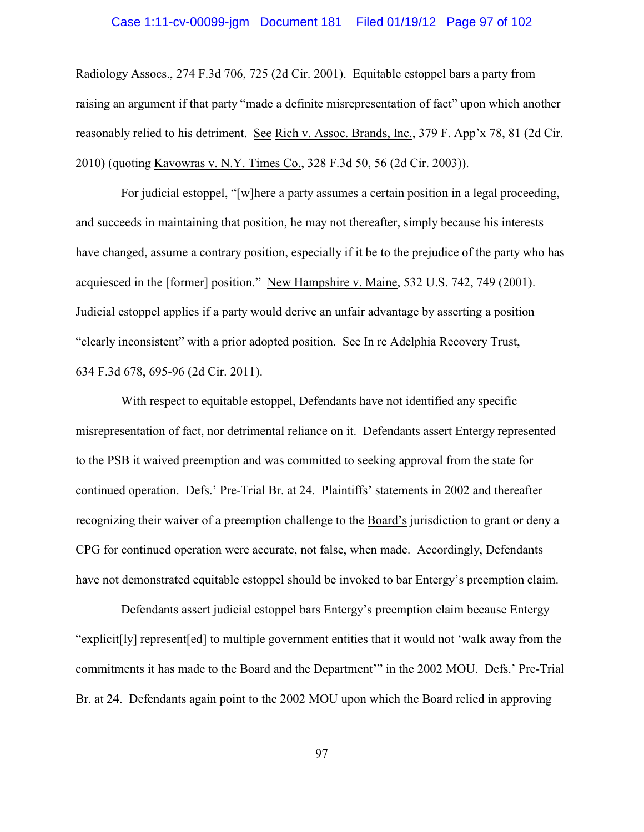# Case 1:11-cv-00099-jgm Document 181 Filed 01/19/12 Page 97 of 102

Radiology Assocs., 274 F.3d 706, 725 (2d Cir. 2001). Equitable estoppel bars a party from raising an argument if that party "made a definite misrepresentation of fact" upon which another reasonably relied to his detriment. See Rich v. Assoc. Brands, Inc., 379 F. App'x 78, 81 (2d Cir. 2010) (quoting Kavowras v. N.Y. Times Co., 328 F.3d 50, 56 (2d Cir. 2003)).

For judicial estoppel, "[w]here a party assumes a certain position in a legal proceeding, and succeeds in maintaining that position, he may not thereafter, simply because his interests have changed, assume a contrary position, especially if it be to the prejudice of the party who has acquiesced in the [former] position." New Hampshire v. Maine, 532 U.S. 742, 749 (2001). Judicial estoppel applies if a party would derive an unfair advantage by asserting a position "clearly inconsistent" with a prior adopted position. See In re Adelphia Recovery Trust, 634 F.3d 678, 695-96 (2d Cir. 2011).

With respect to equitable estoppel, Defendants have not identified any specific misrepresentation of fact, nor detrimental reliance on it. Defendants assert Entergy represented to the PSB it waived preemption and was committed to seeking approval from the state for continued operation. Defs.' Pre-Trial Br. at 24. Plaintiffs' statements in 2002 and thereafter recognizing their waiver of a preemption challenge to the Board's jurisdiction to grant or deny a CPG for continued operation were accurate, not false, when made. Accordingly, Defendants have not demonstrated equitable estoppel should be invoked to bar Entergy's preemption claim.

Defendants assert judicial estoppel bars Entergy's preemption claim because Entergy "explicit[ly] represent[ed] to multiple government entities that it would not 'walk away from the commitments it has made to the Board and the Department'" in the 2002 MOU. Defs.' Pre-Trial Br. at 24. Defendants again point to the 2002 MOU upon which the Board relied in approving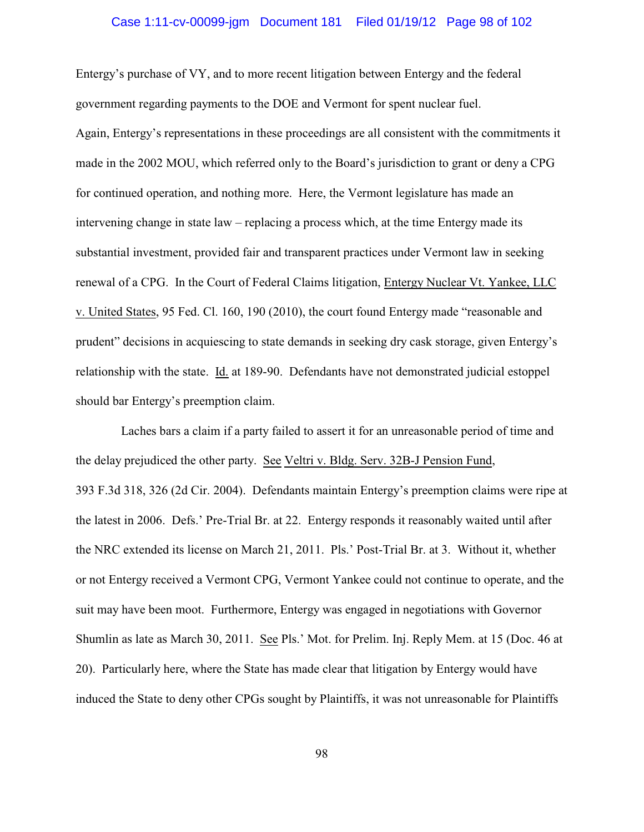# Case 1:11-cv-00099-jgm Document 181 Filed 01/19/12 Page 98 of 102

Entergy's purchase of VY, and to more recent litigation between Entergy and the federal government regarding payments to the DOE and Vermont for spent nuclear fuel. Again, Entergy's representations in these proceedings are all consistent with the commitments it made in the 2002 MOU, which referred only to the Board's jurisdiction to grant or deny a CPG for continued operation, and nothing more. Here, the Vermont legislature has made an intervening change in state law – replacing a process which, at the time Entergy made its substantial investment, provided fair and transparent practices under Vermont law in seeking renewal of a CPG. In the Court of Federal Claims litigation, Entergy Nuclear Vt. Yankee, LLC v. United States, 95 Fed. Cl. 160, 190 (2010), the court found Entergy made "reasonable and prudent" decisions in acquiescing to state demands in seeking dry cask storage, given Entergy's relationship with the state. Id. at 189-90. Defendants have not demonstrated judicial estoppel should bar Entergy's preemption claim.

Laches bars a claim if a party failed to assert it for an unreasonable period of time and the delay prejudiced the other party. See Veltri v. Bldg. Serv. 32B-J Pension Fund, 393 F.3d 318, 326 (2d Cir. 2004). Defendants maintain Entergy's preemption claims were ripe at the latest in 2006. Defs.' Pre-Trial Br. at 22. Entergy responds it reasonably waited until after the NRC extended its license on March 21, 2011. Pls.' Post-Trial Br. at 3. Without it, whether or not Entergy received a Vermont CPG, Vermont Yankee could not continue to operate, and the suit may have been moot. Furthermore, Entergy was engaged in negotiations with Governor Shumlin as late as March 30, 2011. See Pls.' Mot. for Prelim. Inj. Reply Mem. at 15 (Doc. 46 at 20). Particularly here, where the State has made clear that litigation by Entergy would have induced the State to deny other CPGs sought by Plaintiffs, it was not unreasonable for Plaintiffs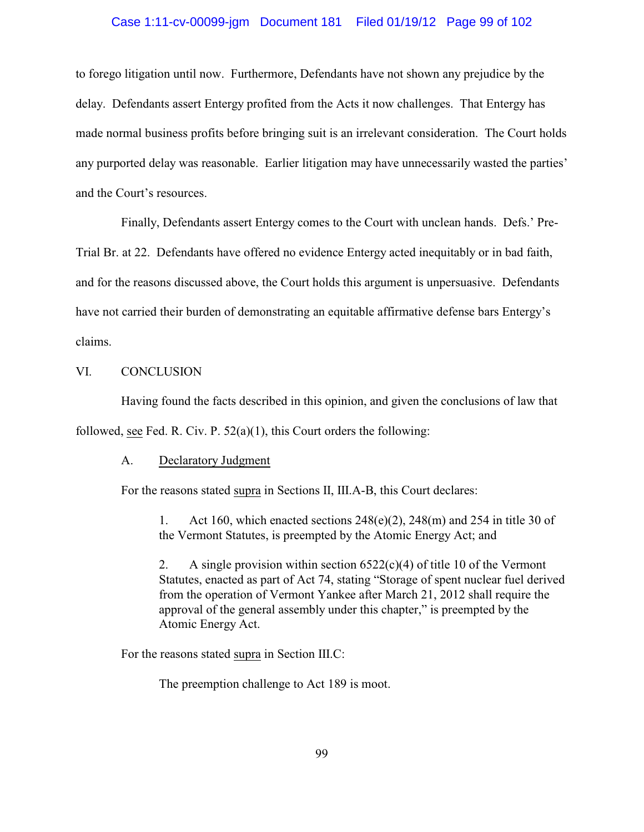#### Case 1:11-cv-00099-jgm Document 181 Filed 01/19/12 Page 99 of 102

to forego litigation until now. Furthermore, Defendants have not shown any prejudice by the delay. Defendants assert Entergy profited from the Acts it now challenges. That Entergy has made normal business profits before bringing suit is an irrelevant consideration. The Court holds any purported delay was reasonable. Earlier litigation may have unnecessarily wasted the parties' and the Court's resources.

Finally, Defendants assert Entergy comes to the Court with unclean hands. Defs.' Pre-

Trial Br. at 22. Defendants have offered no evidence Entergy acted inequitably or in bad faith, and for the reasons discussed above, the Court holds this argument is unpersuasive. Defendants have not carried their burden of demonstrating an equitable affirmative defense bars Entergy's claims.

### VI. CONCLUSION

Having found the facts described in this opinion, and given the conclusions of law that followed, see Fed. R. Civ. P.  $52(a)(1)$ , this Court orders the following:

#### A. Declaratory Judgment

For the reasons stated supra in Sections II, III.A-B, this Court declares:

1. Act 160, which enacted sections  $248(e)(2)$ ,  $248(m)$  and  $254$  in title 30 of the Vermont Statutes, is preempted by the Atomic Energy Act; and

2. A single provision within section  $6522(c)(4)$  of title 10 of the Vermont Statutes, enacted as part of Act 74, stating "Storage of spent nuclear fuel derived from the operation of Vermont Yankee after March 21, 2012 shall require the approval of the general assembly under this chapter," is preempted by the Atomic Energy Act.

For the reasons stated supra in Section III.C:

The preemption challenge to Act 189 is moot.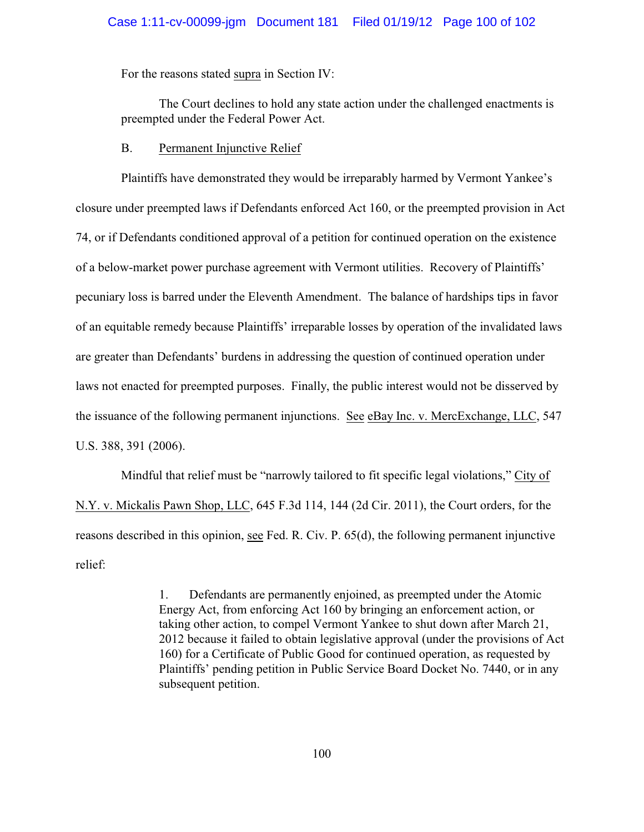#### Case 1:11-cv-00099-jgm Document 181 Filed 01/19/12 Page 100 of 102

For the reasons stated supra in Section IV:

The Court declines to hold any state action under the challenged enactments is preempted under the Federal Power Act.

#### B. Permanent Injunctive Relief

Plaintiffs have demonstrated they would be irreparably harmed by Vermont Yankee's closure under preempted laws if Defendants enforced Act 160, or the preempted provision in Act 74, or if Defendants conditioned approval of a petition for continued operation on the existence of a below-market power purchase agreement with Vermont utilities. Recovery of Plaintiffs' pecuniary loss is barred under the Eleventh Amendment. The balance of hardships tips in favor of an equitable remedy because Plaintiffs' irreparable losses by operation of the invalidated laws are greater than Defendants' burdens in addressing the question of continued operation under laws not enacted for preempted purposes. Finally, the public interest would not be disserved by the issuance of the following permanent injunctions. See eBay Inc. v. MercExchange, LLC, 547 U.S. 388, 391 (2006).

Mindful that relief must be "narrowly tailored to fit specific legal violations," City of N.Y. v. Mickalis Pawn Shop, LLC, 645 F.3d 114, 144 (2d Cir. 2011), the Court orders, for the reasons described in this opinion, see Fed. R. Civ. P. 65(d), the following permanent injunctive relief:

> 1. Defendants are permanently enjoined, as preempted under the Atomic Energy Act, from enforcing Act 160 by bringing an enforcement action, or taking other action, to compel Vermont Yankee to shut down after March 21, 2012 because it failed to obtain legislative approval (under the provisions of Act 160) for a Certificate of Public Good for continued operation, as requested by Plaintiffs' pending petition in Public Service Board Docket No. 7440, or in any subsequent petition.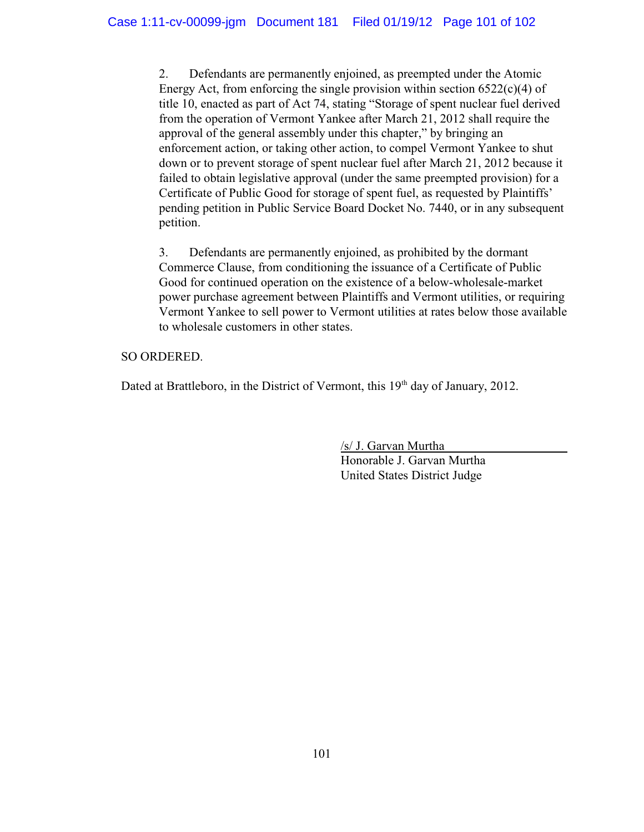2. Defendants are permanently enjoined, as preempted under the Atomic Energy Act, from enforcing the single provision within section  $6522(c)(4)$  of title 10, enacted as part of Act 74, stating "Storage of spent nuclear fuel derived from the operation of Vermont Yankee after March 21, 2012 shall require the approval of the general assembly under this chapter," by bringing an enforcement action, or taking other action, to compel Vermont Yankee to shut down or to prevent storage of spent nuclear fuel after March 21, 2012 because it failed to obtain legislative approval (under the same preempted provision) for a Certificate of Public Good for storage of spent fuel, as requested by Plaintiffs' pending petition in Public Service Board Docket No. 7440, or in any subsequent petition.

3. Defendants are permanently enjoined, as prohibited by the dormant Commerce Clause, from conditioning the issuance of a Certificate of Public Good for continued operation on the existence of a below-wholesale-market power purchase agreement between Plaintiffs and Vermont utilities, or requiring Vermont Yankee to sell power to Vermont utilities at rates below those available to wholesale customers in other states.

# SO ORDERED.

Dated at Brattleboro, in the District of Vermont, this 19<sup>th</sup> day of January, 2012.

/s/ J. Garvan Murtha Honorable J. Garvan Murtha United States District Judge